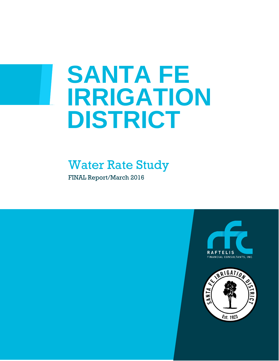# **SANTA FE IRRIGATION DISTRICT**

# Water Rate Study

FINAL Report/March 2016

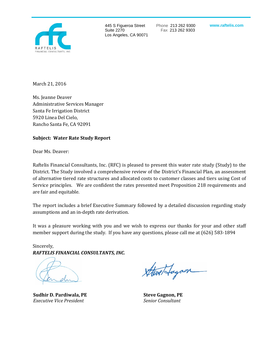

445 S Figueroa Street Suite 2270 Los Angeles, CA 90071 Phone 213 262 9300 Fax 213 262 9303

**www.raftelis.com**

March 21, 2016

Ms. Jeanne Deaver Administrative Services Manager Santa Fe Irrigation District 5920 Linea Del Cielo, Rancho Santa Fe, CA 92091

#### **Subject: Water Rate Study Report**

Dear Ms. Deaver:

Raftelis Financial Consultants, Inc. (RFC) is pleased to present this water rate study (Study) to the District. The Study involved a comprehensive review of the District's Financial Plan, an assessment of alternative tiered rate structures and allocated costs to customer classes and tiers using Cost of Service principles. We are confident the rates presented meet Proposition 218 requirements and are fair and equitable.

The report includes a brief Executive Summary followed by a detailed discussion regarding study assumptions and an in-depth rate derivation.

It was a pleasure working with you and we wish to express our thanks for your and other staff member support during the study. If you have any questions, please call me at (626) 583-1894

Sincerely, *RAFTELIS FINANCIAL CONSULTANTS, INC.*

**Sudhir D. Pardiwala, PE Steve Gagnon, PE** *Executive Vice President Senior Consultant*

etfagoon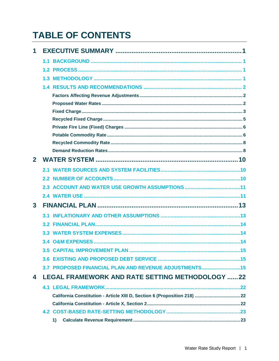# **TABLE OF CONTENTS**

| 1              |     |                                                        |  |
|----------------|-----|--------------------------------------------------------|--|
|                | 1.1 |                                                        |  |
|                |     |                                                        |  |
|                | 1.3 |                                                        |  |
|                |     |                                                        |  |
|                |     |                                                        |  |
|                |     |                                                        |  |
|                |     |                                                        |  |
|                |     |                                                        |  |
|                |     |                                                        |  |
|                |     |                                                        |  |
|                |     |                                                        |  |
|                |     |                                                        |  |
| $\overline{2}$ |     |                                                        |  |
|                |     |                                                        |  |
|                |     |                                                        |  |
|                |     |                                                        |  |
|                |     |                                                        |  |
| $\mathbf{3}$   |     |                                                        |  |
|                |     |                                                        |  |
|                |     |                                                        |  |
|                |     |                                                        |  |
|                |     |                                                        |  |
|                |     |                                                        |  |
|                |     |                                                        |  |
|                |     | 3.7 PROPOSED FINANCIAL PLAN AND REVENUE ADJUSTMENTS15  |  |
| 4              |     | <b>LEGAL FRAMEWORK AND RATE SETTING METHODOLOGY 22</b> |  |
|                |     |                                                        |  |
|                |     |                                                        |  |
|                |     |                                                        |  |
|                |     |                                                        |  |
|                | 1)  |                                                        |  |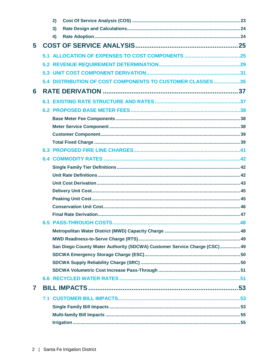|   | 2)                                                                        |  |
|---|---------------------------------------------------------------------------|--|
|   | 3)                                                                        |  |
|   | 4)                                                                        |  |
| 5 |                                                                           |  |
|   |                                                                           |  |
|   |                                                                           |  |
|   |                                                                           |  |
|   | 5.4 DISTRIBUTION OF COST COMPONENTS TO CUSTOMER CLASSES35                 |  |
| 6 |                                                                           |  |
|   |                                                                           |  |
|   |                                                                           |  |
|   |                                                                           |  |
|   |                                                                           |  |
|   |                                                                           |  |
|   |                                                                           |  |
|   |                                                                           |  |
|   |                                                                           |  |
|   |                                                                           |  |
|   |                                                                           |  |
|   |                                                                           |  |
|   |                                                                           |  |
|   |                                                                           |  |
|   |                                                                           |  |
|   |                                                                           |  |
|   |                                                                           |  |
|   |                                                                           |  |
|   |                                                                           |  |
|   | San Diego County Water Authority (SDCWA) Customer Service Charge (CSC) 49 |  |
|   |                                                                           |  |
|   |                                                                           |  |
|   |                                                                           |  |
|   |                                                                           |  |
| 7 |                                                                           |  |
|   |                                                                           |  |
|   |                                                                           |  |
|   |                                                                           |  |
|   |                                                                           |  |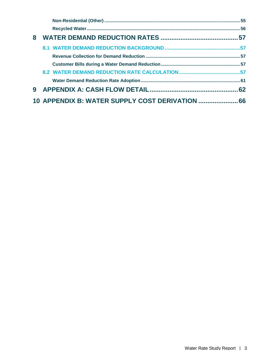| 8 |                                                 |  |
|---|-------------------------------------------------|--|
|   |                                                 |  |
|   |                                                 |  |
|   |                                                 |  |
|   |                                                 |  |
|   |                                                 |  |
| 9 |                                                 |  |
|   | 10 APPENDIX B: WATER SUPPLY COST DERIVATION  66 |  |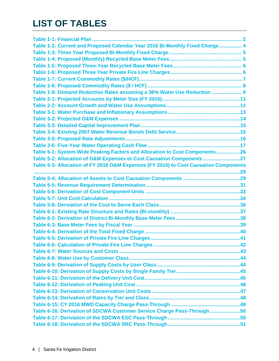# **LIST OF TABLES**

| Table 1-2: Current and Proposed Calendar Year 2016 Bi-Monthly Fixed Charge 4         |  |
|--------------------------------------------------------------------------------------|--|
|                                                                                      |  |
|                                                                                      |  |
|                                                                                      |  |
|                                                                                      |  |
|                                                                                      |  |
|                                                                                      |  |
| Table 1-9: Demand Reduction Rates assuming a 36% Water Use Reduction  9              |  |
|                                                                                      |  |
|                                                                                      |  |
|                                                                                      |  |
|                                                                                      |  |
|                                                                                      |  |
|                                                                                      |  |
|                                                                                      |  |
|                                                                                      |  |
| Table 5-1: System-Wide Peaking Factors and Allocation to Cost Components26           |  |
| Table 5-2: Allocation of O&M Expenses to Cost Causation Components 27                |  |
| Table 5-3: Allocation of FY 2016 O&M Expenses (FY 2016) to Cost Causation Components |  |
|                                                                                      |  |
|                                                                                      |  |
|                                                                                      |  |
|                                                                                      |  |
|                                                                                      |  |
|                                                                                      |  |
|                                                                                      |  |
|                                                                                      |  |
|                                                                                      |  |
|                                                                                      |  |
|                                                                                      |  |
|                                                                                      |  |
|                                                                                      |  |
|                                                                                      |  |
|                                                                                      |  |
|                                                                                      |  |
|                                                                                      |  |
|                                                                                      |  |
|                                                                                      |  |
|                                                                                      |  |
|                                                                                      |  |
| Table 6-16: Derivation of SDCWA Customer Service Charge Pass-Through 50              |  |
|                                                                                      |  |
|                                                                                      |  |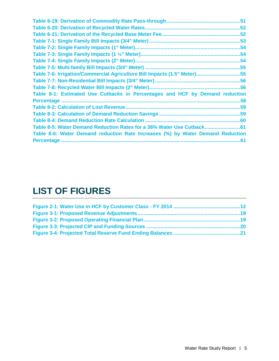| <b>Table 6-20: Derivation of Recycled Water Rates</b>                          |     |
|--------------------------------------------------------------------------------|-----|
|                                                                                |     |
|                                                                                |     |
|                                                                                |     |
|                                                                                |     |
|                                                                                |     |
|                                                                                |     |
| Table 7-6: Irrigation/Commercial Agriculture Bill Impacts (1.5" Meter)55       |     |
|                                                                                |     |
|                                                                                |     |
| Table 8-1: Estimated Use Cutbacks in Percentages and HCF by Demand reduction   |     |
|                                                                                |     |
|                                                                                |     |
|                                                                                |     |
|                                                                                |     |
| Table 8-5: Water Demand Reduction Rates for a 36% Water Use Cutback            |     |
| Table 8-6: Water Demand reduction Rate Increases (%) by Water Demand Reduction |     |
|                                                                                | .61 |

# **LIST OF FIGURES**

<span id="page-8-0"></span>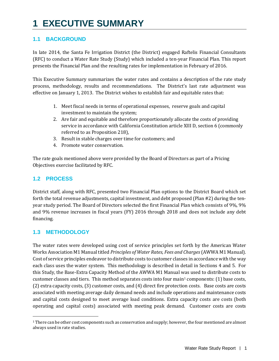# **1 EXECUTIVE SUMMARY**

# <span id="page-10-0"></span>**1.1 BACKGROUND**

In late 2014, the Santa Fe Irrigation District (the District) engaged Raftelis Financial Consultants (RFC) to conduct a Water Rate Study (Study) which included a ten-year Financial Plan. This report presents the Financial Plan and the resulting rates for implementation in February of 2016.

This Executive Summary summarizes the water rates and contains a description of the rate study process, methodology, results and recommendations. The District's last rate adjustment was effective on January 1, 2013. The District wishes to establish fair and equitable rates that:

- 1. Meet fiscal needs in terms of operational expenses, reserve goals and capital investment to maintain the system;
- 2. Are fair and equitable and therefore proportionately allocate the costs of providing service in accordance with California Constitution article XIII D, section 6 (commonly referred to as Proposition 218),
- 3. Result in stable charges over time for customers; and
- 4. Promote water conservation.

The rate goals mentioned above were provided by the Board of Directors as part of a Pricing Objectives exercise facilitated by RFC.

# <span id="page-10-1"></span>**1.2 PROCESS**

District staff, along with RFC, presented two Financial Plan options to the District Board which set forth the total revenue adjustments, capital investment, and debt proposed (Plan #2) during the tenyear study period. The Board of Directors selected the first Financial Plan which consists of 9%, 9% and 9% revenue increases in fiscal years (FY) 2016 through 2018 and does not include any debt financing.

## <span id="page-10-2"></span>**1.3 METHODOLOGY**

The water rates were developed using cost of service principles set forth by the American Water Works Association M1 Manual titled *Principles of Water Rates, Fees and Charges*(AWWA M1 Manual). Cost of service principles endeavor to distribute costs to customer classes in accordance with the way each class uses the water system. This methodology is described in detail in Sections 4 and 5. For this Study, the Base-Extra Capacity Method of the AWWA M1 Manual [wa](#page-10-3)s used to distribute costs to customer classes and tiers. This method separates costs into four main1 components: (1) base costs, (2) extra capacity costs, (3) customer costs, and (4) direct fire protection costs. Base costs are costs associated with meeting average daily demand needs and include operations and maintenance costs and capital costs designed to meet average load conditions. Extra capacity costs are costs (both operating and capital costs) associated with meeting peak demand. Customer costs are costs

<span id="page-10-3"></span>j <sup>1</sup> There can be other cost components such as conservation and supply; however, the four mentioned are almost always used in rate studies.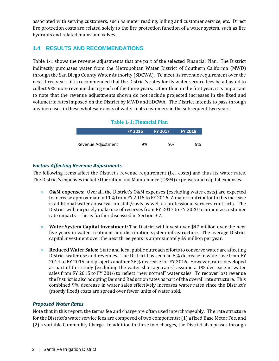associated with serving customers, such as meter reading, billing and customer service, etc. Direct fire protection costs are related solely to the fire protection function of a water system, such as fire hydrants and related mains and valves.

# <span id="page-11-0"></span>**1.4 RESULTS AND RECOMMENDATIONS**

Table 1-1 shows the revenue adjustments that are part of the selected Financial Plan. The District indirectly purchases water from the Metropolitan Water District of Southern California (MWD) through the San Diego County Water Authority (SDCWA). To meet its revenue requirement over the next three years, it is recommended that the District's rates for its water service fees be adjusted to collect 9% more revenue during each of the three years. Other than in the first year, it is important to note that the revenue adjustments shown do not include projected increases in the fixed and volumetric rates imposed on the District by MWD and SDCWA. The District intends to pass through any increases in these wholesale costs of water to its customers in the subsequent two years.

#### **Table 1-1: Financial Plan**

<span id="page-11-3"></span>

|                    | <b>FY 2016</b> | <b>FY 2017</b> | <b>FY 2018</b> |  |
|--------------------|----------------|----------------|----------------|--|
|                    | 9%             | 9%             | 9%             |  |
| Revenue Adjustment |                |                |                |  |

#### <span id="page-11-1"></span>*Factors Affecting Revenue Adjustments*

The following items affect the District's revenue requirement (i.e., costs) and thus its water rates. The District's expenses include Operation and Maintenance (O&M) expenses and capital expenses.

- » **O&M expenses:** Overall, the District's O&M expenses (excluding water costs) are expected to increase approximately 11% from FY 2015 to FY 2016. A major contributor to this increase is additional water conservation staff/costs as well as professional services contracts. The District will purposely make use of reserves from FY 2017 to FY 2020 to minimize customer rate impacts – this is further discussed in Section 3.7.
- » **Water System Capital Investment:** The District will invest over \$47 million over the next five years in water treatment and distribution system infrastructure. The average District capital investment over the next three years is approximately \$9 million per year.
- » **Reduced Water Sales:** State and local public outreach efforts to conserve water are affecting District water use and revenues. The District has seen an 8% decrease in water use from FY 2014 to FY 2015 and projects another 36% decrease for FY 2016. However, rates developed as part of this study (excluding the water shortage rates) assume a 1% decrease in water sales from FY 2015 to FY 2016 to reflect "new normal" water sales. To recover lost revenue the District is also adopting Demand Reduction rates as part of the overall rate structure. This combined 9% decrease in water sales effectively increases water rates since the District's (mostly fixed) costs are spread over fewer units of water sold.

#### <span id="page-11-2"></span>*Proposed Water Rates*

Note that in this report, the terms fee and charge are often used interchangeably. The rate structure for the District's water service fees are composed of two components: (1) a fixed Base Meter Fee, and (2) a variable Commodity Charge. In addition to these two charges, the District also passes through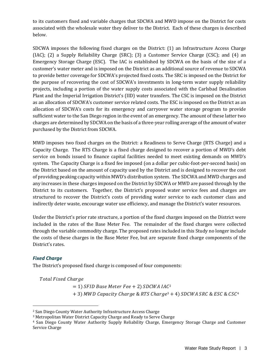to its customers fixed and variable charges that SDCWA and MWD impose on the District for costs associated with the wholesale water they deliver to the District. Each of these charges is described below.

SDCWA imposes the following fixed charges on the District: (1) an Infrastructure Access Charge (IAC); (2) a Supply Reliability Charge (SRC); (3) a Customer Service Charge (CSC); and (4) an Emergency Storage Charge (ESC). The IAC is established by SDCWA on the basis of the size of a customer's water meter and is imposed on the District as an additional source of revenue to SDCWA to provide better coverage for SDCWA's projected fixed costs. The SRC is imposed on the District for the purpose of recovering the cost of SDCWA's investments in long-term water supply reliability projects, including a portion of the water supply costs associated with the Carlsbad Desalination Plant and the Imperial Irrigation District's (IID) water transfers. The CSC is imposed on the District as an allocation of SDCWA's customer service related costs. The ESC is imposed on the District as an allocation of SDCWA's costs for its emergency and carryover water storage program to provide sufficient water to the San Diego region in the event of an emergency. The amount of these latter two charges are determined by SDCWA on the basis of a three-year rolling average of the amount of water purchased by the District from SDCWA.

MWD imposes two fixed charges on the District: a Readiness to Serve Charge (RTS Charge) and a Capacity Charge. The RTS Charge is a fixed charge designed to recover a portion of MWD's debt service on bonds issued to finance capital facilities needed to meet existing demands on MWD's system. The Capacity Charge is a fixed fee imposed (on a dollar per cubic-foot-per-second basis) on the District based on the amount of capacity used by the District and is designed to recover the cost of providing peaking capacity within MWD's distribution system. The SDCWA and MWD charges and any increases in these charges imposed on the District by SDCWA or MWD are passed through by the District to its customers. Together, the District's proposed water service fees and charges are structured to recover the District's costs of providing water service to each customer class and indirectly deter waste, encourage water use efficiency, and manage the District's water resources.

Under the District's prior rate structure, a portion of the fixed charges imposed on the District were included in the rates of the Base Meter Fee. The remainder of the fixed charges were collected through the variable commodity charge. The proposed rates included in this Study no longer include the costs of these charges in the Base Meter Fee, but are separate fixed charge components of the District's rates.

## <span id="page-12-0"></span>*Fixed Charge*

The District's proposed fixed charge is composed of four components:

Total Fixed Charge

 $= 1$ ) SFID Base Meter Fee  $+ 2$ ) SDCWA IAC<sup>2</sup>  $+$  3) MWD Capacity Charge & RTS Charge<sup>3</sup> + 4) SDCWA SRC & ESC & CSC<sup>4</sup>

j <sup>2</sup> San Diego County Water Authority Infrastructure Access Charge

<sup>3</sup> Metropolitan Water District Capacity Charge and Ready to Serve Charge

<sup>4</sup> San Diego County Water Authority Supply Reliability Charge, Emergency Storage Charge and Customer Service Charge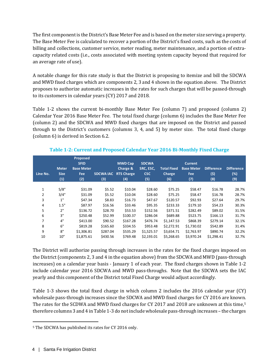The first component is the District's Base Meter Fee and is based on the meter size serving a property. The Base Meter Fee is calculated to recover a portion of the District's fixed costs, such as the costs of billing and collections, customer service, meter reading, meter maintenance, and a portion of extracapacity related costs (i.e., costs associated with meeting system capacity beyond that required for an average rate of use).

A notable change for this rate study is that the District is proposing to itemize and bill the SDCWA and MWD fixed charges which are components 2, 3 and 4 shown in the equation above. The District proposes to authorize automatic increases in the rates for such charges that will be passed-through to its customers in calendar years (CY) 2017 and 2018.

Table 1-2 shows the current bi-monthly Base Meter Fee (column 7) and proposed (column 2) Calendar Year 2016 Base Meter Fee. The total fixed charge (column 6) includes the Base Meter Fee (column 2) and the SDCWA and MWD fixed charges that are imposed on the District and passed through to the District's customers (columns 3, 4, and 5) by meter size. The total fixed charge (column 6) is derived in Section 6.2.

<span id="page-13-0"></span>

| Line No. | <b>Meter</b><br><b>Size</b><br>(1) | Proposed<br><b>SFID</b><br><b>Base Meter</b><br><b>Fee</b><br>(2) | <b>SDCWA IAC</b><br>(3) | <b>MWD Cap</b><br>Charge &<br><b>RTS Charge</b><br>(4) | <b>SDCWA</b><br>SRC, ESC,<br><b>CSC</b><br>(5) | <b>Total Fixed</b><br><b>Charge</b><br>(6) | <b>Current</b><br><b>Base Meter</b><br><b>Fee</b><br>(7) | <b>Difference</b><br>(5)<br>(8) | <b>Difference</b><br>$(\%)$<br>(9) |
|----------|------------------------------------|-------------------------------------------------------------------|-------------------------|--------------------------------------------------------|------------------------------------------------|--------------------------------------------|----------------------------------------------------------|---------------------------------|------------------------------------|
|          |                                    |                                                                   |                         |                                                        |                                                |                                            |                                                          |                                 |                                    |
| 1        | 5/8"                               | \$31.09                                                           | \$5.52                  | \$10.04                                                | \$28.60                                        | \$75.25                                    | \$58.47                                                  | \$16.78                         | 28.7%                              |
| 2        | 3/4"                               | \$31.09                                                           | \$5.52                  | \$10.04                                                | \$28.60                                        | \$75.25                                    | \$58.47                                                  | \$16.78                         | 28.7%                              |
| 3        | 1"                                 | \$47.34                                                           | \$8.83                  | \$16.73                                                | \$47.67                                        | \$120.57                                   | \$92.93                                                  | \$27.64                         | 29.7%                              |
| 4        | 1.5"                               | \$87.97                                                           | \$16.56                 | \$33.46                                                | \$95.35                                        | \$233.33                                   | \$179.10                                                 | \$54.23                         | 30.3%                              |
| 5        | 2"                                 | \$136.72                                                          | \$28.70                 | \$53.53                                                | \$152.56                                       | \$371.51                                   | \$282.49                                                 | \$89.02                         | 31.5%                              |
| 6        | 3"                                 | \$250.48                                                          | \$52.99                 | \$100.37                                               | \$286.04                                       | \$689.88                                   | \$523.75                                                 | \$166.13                        | 31.7%                              |
| 7        | 4"                                 | \$413.00                                                          | \$90.52                 | \$167.28                                               | \$476.74                                       | \$1,147.53                                 | \$868.39                                                 | \$279.14                        | 32.1%                              |
| 8        | 6"                                 | \$819.28                                                          | \$165.60                | \$334.55                                               | \$953.48                                       | \$2,272.91                                 | \$1,730.02                                               | \$542.89                        | 31.4%                              |
| 9        | 8"                                 | \$1,306.81                                                        | \$287.04                | \$535.29                                               | \$1,525.57                                     | \$3,654.71                                 | \$2,763.97                                               | \$890.74                        | 32.2%                              |
| 10       | 10"                                | \$1,875.61                                                        | \$430.56                | \$769.48                                               | \$2,193.01                                     | \$5,268.65                                 | \$3,970.24                                               | \$1,298.41                      | 32.7%                              |

#### **Table 1-2: Current and Proposed Calendar Year 2016 Bi-Monthly Fixed Charge**

The District will authorize passing through increases in the rates for the fixed charges imposed on the District (components 2, 3 and 4 in the equation above) from the SDCWA and MWD (pass-through increases) on a calendar year basis - January 1 of each year. The fixed charges shown in Table 1-2 include calendar year 2016 SDCWA and MWD pass-throughs. Note that the SDCWA sets the IAC yearly and this component of the District total Fixed Charge would adjust accordingly.

Table 1-3 shows the total fixed charge in which column 2 includes the 2016 calendar year (CY) wholesale pass-through increases since the SDCWA and MWD fixed charges for CY 2016 are known. The rates for the SCDWA and MWD fixed charges for CY 2017 and 2018 are unknown at this time,<sup>[5](#page-13-1)</sup> therefore columns 3 and 4 in Table 1-3 do not include wholesale pass-through increases – the charges

<span id="page-13-1"></span>j <sup>5</sup> The SDCWA has published its rates for CY 2016 only.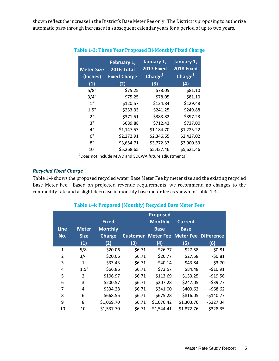<span id="page-14-1"></span>shown reflect the increase in the District's Base Meter Fee only. The District is proposing to authorize automatic pass-through increases in subsequent calendar years for a period of up to two years.

| <b>Meter Size</b><br>(Inches)<br>(1) | February 1,<br><b>2016 Total</b><br><b>Fixed Charge</b><br>(2) | January 1,<br>2017 Fixed<br>Charge <sup>1</sup><br>(3) | January 1,<br>2018 Fixed<br>Charge <sup>1</sup><br>(4) |
|--------------------------------------|----------------------------------------------------------------|--------------------------------------------------------|--------------------------------------------------------|
| 5/8"                                 | \$75.25                                                        | \$78.05                                                | \$81.10                                                |
| 3/4"                                 | \$75.25                                                        | \$78.05                                                | \$81.10                                                |
| 1"                                   | \$120.57                                                       | \$124.84                                               | \$129.48                                               |
| 1.5"                                 | \$233.33                                                       | \$241.25                                               | \$249.88                                               |
| 2"                                   | \$371.51                                                       | \$383.82                                               | \$397.23                                               |
| 3"                                   | \$689.88                                                       | \$712.43                                               | \$737.00                                               |
| 4"                                   | \$1,147.53                                                     | \$1,184.70                                             | \$1,225.22                                             |
| 6"                                   | \$2,272.91                                                     | \$2,346.65                                             | \$2,427.02                                             |
| 8"                                   | \$3,654.71                                                     | \$3,772.33                                             | \$3,900.53                                             |
| 10"                                  | \$5,268.65                                                     | \$5,437.46                                             | \$5,621.46                                             |

#### **Table 1-3: Three Year Proposed Bi-Monthly Fixed Charge**

 $1$ Does not include MWD and SDCWA future adjustments

#### <span id="page-14-0"></span>*Recycled Fixed Charge*

Table 1-4 shows the proposed recycled water Base Meter Fee by meter size and the existing recycled Base Meter Fee. Based on projected revenue requirements, we recommend no changes to the commodity rate and a slight decrease in monthly base meter fee as shown in Table 1-4.

#### **Table 1-4: Proposed (Monthly) Recycled Base Meter Fees**

<span id="page-14-2"></span>

|                |              |                |                 | <b>Proposed</b> |                                       |            |
|----------------|--------------|----------------|-----------------|-----------------|---------------------------------------|------------|
|                |              | <b>Fixed</b>   |                 | <b>Monthly</b>  | <b>Current</b>                        |            |
| <b>Line</b>    | <b>Meter</b> | <b>Monthly</b> |                 | <b>Base</b>     | <b>Base</b>                           |            |
| No.            | <b>Size</b>  | <b>Charge</b>  | <b>Customer</b> |                 | <b>Meter Fee Meter Fee Difference</b> |            |
|                | (1)          | (2)            | (3)             | (4)             | (5)                                   | (6)        |
| $\mathbf{1}$   | 5/8"         | \$20.06        | \$6.71          | \$26.77         | \$27.58                               | $-50.81$   |
| $\overline{2}$ | 3/4"         | \$20.06        | \$6.71          | \$26.77         | \$27.58                               | $-50.81$   |
| 3              | 1"           | \$33.43        | \$6.71          | \$40.14         | \$43.84                               | $-53.70$   |
| 4              | 1.5"         | \$66.86        | \$6.71          | \$73.57         | \$84.48                               | $-510.91$  |
| 5              | 2"           | \$106.97       | \$6.71          | \$113.69        | \$133.25                              | $-519.56$  |
| 6              | 3"           | \$200.57       | \$6.71          | \$207.28        | \$247.05                              | $-539.77$  |
| 7              | 4"           | \$334.28       | \$6.71          | \$341.00        | \$409.62                              | $-568.62$  |
| 8              | 6"           | \$668.56       | \$6.71          | \$675.28        | \$816.05                              | $-$140.77$ |
| 9              | 8"           | \$1,069.70     | \$6.71          | \$1,076.42      | \$1,303.76                            | $-5227.34$ |
| 10             | 10"          | \$1,537.70     | \$6.71          | \$1,544.41      | \$1,872.76                            | $-5328.35$ |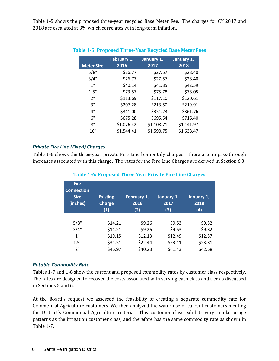<span id="page-15-2"></span>Table 1-5 shows the proposed three-year recycled Base Meter Fee. The charges for CY 2017 and 2018 are escalated at 3% which correlates with long-term inflation.

| <b>Meter Size</b> | February 1,<br>2016 | January 1,<br>2017 | January 1,<br>2018 |
|-------------------|---------------------|--------------------|--------------------|
| 5/8"              | \$26.77             | \$27.57            | \$28.40            |
| 3/4"              | \$26.77             | \$27.57            | \$28.40            |
| 1"                | \$40.14             | \$41.35            | \$42.59            |
| 1.5"              | \$73.57             | \$75.78            | \$78.05            |
| 2"                | \$113.69            | \$117.10           | \$120.61           |
| 3"                | \$207.28            | \$213.50           | \$219.91           |
| 4"                | \$341.00            | \$351.23           | \$361.76           |
| 6"                | \$675.28            | \$695.54           | \$716.40           |
| 8"                | \$1,076.42          | \$1,108.71         | \$1,141.97         |
| 10"               | \$1,544.41          | \$1,590.75         | \$1,638.47         |

#### **Table 1-5: Proposed Three-Year Recycled Base Meter Fees**

#### <span id="page-15-0"></span>*Private Fire Line (Fixed) Charges*

<span id="page-15-3"></span>Table 1-6 shows the three-year private Fire Line bi-monthly charges. There are no pass-through increases associated with this charge. The rates for the Fire Line Charges are derived in Section 6.3.

| <b>Fire</b><br><b>Connection</b><br><b>Size</b><br>(inches) | <b>Existing</b><br><b>Charge</b><br>(1) | February 1,<br>2016<br>(2) | January 1,<br>2017<br>(3) | January 1,<br>2018<br>(4) |
|-------------------------------------------------------------|-----------------------------------------|----------------------------|---------------------------|---------------------------|
| 5/8"                                                        | \$14.21                                 | \$9.26                     | \$9.53                    | \$9.82                    |
| 3/4"                                                        | \$14.21                                 | \$9.26                     | \$9.53                    | \$9.82                    |
| 1"                                                          | \$19.15                                 | \$12.13                    | \$12.49                   | \$12.87                   |
| 1.5"                                                        | \$31.51                                 | \$22.44                    | \$23.11                   | \$23.81                   |
| 2"                                                          | \$46.97                                 | \$40.23                    | \$41.43                   | \$42.68                   |

#### **Table 1-6: Proposed Three Year Private Fire Line Charges**

#### <span id="page-15-1"></span>*Potable Commodity Rate*

Tables 1-7 and 1-8 show the current and proposed commodity rates by customer class respectively. The rates are designed to recover the costs associated with serving each class and tier as discussed in Sections 5 and 6.

At the Board's request we assessed the feasibility of creating a separate commodity rate for Commercial Agriculture customers. We then analyzed the water use of current customers meeting the District's Commercial Agriculture criteria. This customer class exhibits very similar usage patterns as the irrigation customer class, and therefore has the same commodity rate as shown in Table 1-7.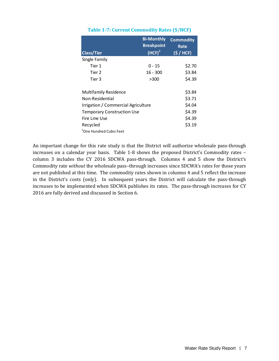<span id="page-16-0"></span>

|                                     | <b>Bi-Monthly</b><br><b>Breakpoint</b> | <b>Commodity</b><br>Rate |
|-------------------------------------|----------------------------------------|--------------------------|
| <b>Class/Tier</b>                   | (HCF) <sup>1</sup>                     | (S / HCF)                |
| Single Family                       |                                        |                          |
| Tier 1                              | 0 - 15                                 | \$2.70                   |
| Tier 2                              | $16 - 300$                             | \$3.84                   |
| Tier 3                              | >300                                   | \$4.39                   |
|                                     |                                        |                          |
| <b>Multifamily Residence</b>        |                                        | \$3.84                   |
| Non-Residential                     |                                        | \$3.71                   |
| Irrigation / Commercial Agriculture |                                        | \$4.04                   |
| <b>Temporary Construction Use</b>   |                                        | \$4.39                   |
| Fire Line Use                       |                                        | \$4.39                   |
| Recycled                            |                                        | \$3.19                   |
| <sup>1</sup> One Hundred Cubic Feet |                                        |                          |

#### **Table 1-7: Current Commodity Rates (\$/HCF)**

An important change for this rate study is that the District will authorize wholesale pass-through increases on a calendar year basis. Table 1-8 shows the proposed District's Commodity rates – column 3 includes the CY 2016 SDCWA pass-through. Columns 4 and 5 show the District's Commodity rate *without* the wholesale pass–through increases since SDCWA's rates for those years are not published at this time. The commodity rates shown in columns 4 and 5 reflect the increase in the District's costs (only). In subsequent years the District will calculate the pass-through increases to be implemented when SDCWA publishes its rates. The pass-through increases for CY 2016 are fully derived and discussed in Section 6.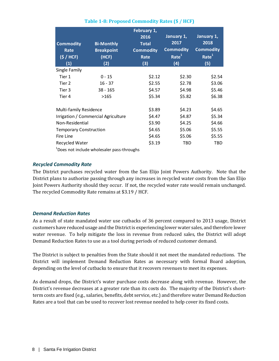<span id="page-17-2"></span>

|                               |                                                        | February 1,      |                   |                              |
|-------------------------------|--------------------------------------------------------|------------------|-------------------|------------------------------|
|                               |                                                        | 2016             | January 1,        | January 1,                   |
| <b>Commodity</b>              | <b>Bi-Monthly</b>                                      | <b>Total</b>     | 2017              | 2018                         |
| Rate                          | <b>Breakpoint</b>                                      | <b>Commodity</b> | <b>Commodity</b>  | <b>Commodity</b>             |
| (S / HCF)                     | (HCF)                                                  | Rate             | Rate <sup>1</sup> | $\overline{\mathsf{Rate}}^1$ |
| (1)                           | (2)                                                    | (3)              | (4)               | (5)                          |
| Single Family                 |                                                        |                  |                   |                              |
| Tier 1                        | $0 - 15$                                               | \$2.12           | \$2.30            | \$2.54                       |
| Tier 2                        | $16 - 37$                                              | \$2.55           | \$2.78            | \$3.06                       |
| Tier 3                        | $38 - 165$                                             | \$4.57           | \$4.98            | \$5.46                       |
| Tier 4                        | >165                                                   | \$5.34           | \$5.82            | \$6.38                       |
| Multi-family Residence        |                                                        | \$3.89           | \$4.23            | \$4.65                       |
|                               | Irrigation / Commercial Agriculture                    | \$4.47           | \$4.87            | \$5.34                       |
| Non-Residential               |                                                        | \$3.90           | \$4.25            | \$4.66                       |
| <b>Temporary Construction</b> |                                                        | \$4.65           | \$5.06            | \$5.55                       |
| Fire Line                     |                                                        | \$4.65           | \$5.06            | \$5.55                       |
| <b>Recycled Water</b>         |                                                        | \$3.19           | TBD               | <b>TBD</b>                   |
|                               | <sup>1</sup> Does not include wholesaler pass-throughs |                  |                   |                              |

## **Table 1-8: Proposed Commodity Rates (\$ / HCF)**

#### <span id="page-17-0"></span>*Recycled Commodity Rate*

The District purchases recycled water from the San Elijo Joint Powers Authority. Note that the District plans to authorize passing through any increases in recycled water costs from the San Elijo Joint Powers Authority should they occur. If not, the recycled water rate would remain unchanged. The recycled Commodity Rate remains at \$3.19 / HCF.

#### <span id="page-17-1"></span>*Demand Reduction Rates*

As a result of state mandated water use cutbacks of 36 percent compared to 2013 usage, District customers have reduced usage and the District is experiencing lower water sales, and therefore lower water revenue. To help mitigate the loss in revenue from reduced sales, the District will adopt Demand Reduction Rates to use as a tool during periods of reduced customer demand.

The District is subject to penalties from the State should it not meet the mandated reductions. The District will implement Demand Reduction Rates as necessary with formal Board adoption, depending on the level of cutbacks to ensure that it recovers revenues to meet its expenses.

As demand drops, the District's water purchase costs decrease along with revenue. However, the District's revenue decreases at a greater rate than its costs do. The majority of the District's shortterm costs are fixed (e.g., salaries, benefits, debt service, etc.) and therefore water Demand Reduction Rates are a tool that can be used to recover lost revenue needed to help cover its fixed costs.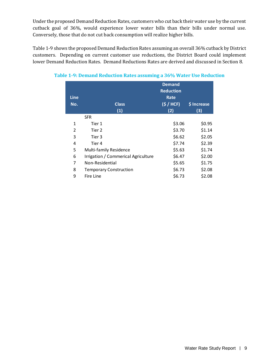Under the proposed Demand Reduction Rates, customers who cut back their water use by the current cutback goal of 36%, would experience lower water bills than their bills under normal use. Conversely, those that do not cut back consumption will realize higher bills.

Table 1-9 shows the proposed Demand Reduction Rates assuming an overall 36% cutback by District customers. Depending on current customer use reductions, the District Board could implement lower Demand Reduction Rates. Demand Reductions Rates are derived and discussed in Section 8.

|             |                                     | <b>Demand</b>    |             |
|-------------|-------------------------------------|------------------|-------------|
|             |                                     | <b>Reduction</b> |             |
| <b>Line</b> |                                     | Rate             |             |
| No.         | <b>Class</b>                        | (S / HCF)        | \$ Increase |
|             | (1)                                 | (2)              | (3)         |
|             | <b>SFR</b>                          |                  |             |
| 1           | Tier 1                              | \$3.06           | \$0.95      |
| 2           | Tier 2                              | \$3.70           | \$1.14      |
| 3           | Tier 3                              | \$6.62           | \$2.05      |
| 4           | Tier 4                              | \$7.74           | \$2.39      |
| 5           | Multi-family Residence              | \$5.63           | \$1.74      |
| 6           | Irrigation / Commerical Agriculture | \$6.47           | \$2.00      |
| 7           | Non-Residential                     | \$5.65           | \$1.75      |
| 8           | <b>Temporary Construction</b>       | \$6.73           | \$2.08      |
| 9           | Fire Line                           | \$6.73           | \$2.08      |

<span id="page-18-0"></span>**Table 1-9: Demand Reduction Rates assuming a 36% Water Use Reduction**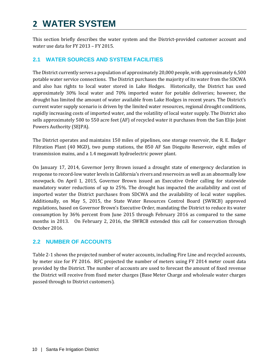# <span id="page-19-0"></span>**2 WATER SYSTEM**

This section briefly describes the water system and the District-provided customer account and water use data for FY 2013 – FY 2015.

# <span id="page-19-1"></span>**2.1 WATER SOURCES AND SYSTEM FACILITIES**

The District currently serves a population of approximately 20,000 people, with approximately 6,500 potable water service connections. The District purchases the majority of its water from the SDCWA and also has rights to local water stored in Lake Hodges. Historically, the District has used approximately 30% local water and 70% imported water for potable deliveries; however, the drought has limited the amount of water available from Lake Hodges in recent years. The District's current water supply scenario is driven by the limited water resources, regional drought conditions, rapidly increasing costs of imported water, and the volatility of local water supply. The District also sells approximately 500 to 550 acre feet (AF) of recycled water it purchases from the San Elijo Joint Powers Authority (SEJPA).

The District operates and maintains 150 miles of pipelines, one storage reservoir, the R. E. Badger Filtration Plant (40 MGD), two pump stations, the 850 AF San Dieguito Reservoir, eight miles of transmission mains, and a 1.4 megawatt hydroelectric power plant.

On January 17, 2014, Governor Jerry Brown issued a drought state of emergency declaration in response to record-low water levels in California's rivers and reservoirs as well as an abnormally low snowpack. On April 1, 2015, Governor Brown issued an Executive Order calling for statewide mandatory water reductions of up to 25%. The drought has impacted the availability and cost of imported water the District purchases from SDCWA and the availability of local water supplies. Additionally, on May 5, 2015, the State Water Resources Control Board (SWRCB) approved regulations, based on Governor Brown's Executive Order, mandating the District to reduce its water consumption by 36% percent from June 2015 through February 2016 as compared to the same months in 2013. On February 2, 2016, the SWRCB extended this call for conservation through October 2016.

# <span id="page-19-2"></span>**2.2 NUMBER OF ACCOUNTS**

Table 2-1 shows the projected number of water accounts, including Fire Line and recycled accounts, by meter size for FY 2016. RFC projected the number of meters using FY 2014 meter count data provided by the District. The number of accounts are used to forecast the amount of fixed revenue the District will receive from fixed meter charges (Base Meter Charge and wholesale water charges passed through to District customers).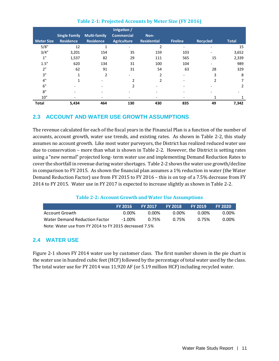<span id="page-20-2"></span>

|                   |                      |                     | Irrigation /      |                    |                 |                 |              |
|-------------------|----------------------|---------------------|-------------------|--------------------|-----------------|-----------------|--------------|
|                   | <b>Single Family</b> | <b>Multi-family</b> | <b>Commercial</b> | Non-               |                 |                 |              |
| <b>Meter Size</b> | <b>Residence</b>     | <b>Residence</b>    | Agriculture       | <b>Residential</b> | <b>Fireline</b> | <b>Recycled</b> | <b>Total</b> |
| 5/8"              | 12                   | 1                   |                   | 2                  |                 |                 | 15           |
| 3/4"              | 3,201                | 154                 | 35                | 159                | 103             |                 | 3,652        |
| 1"                | 1,537                | 82                  | 29                | 111                | 565             | 15              | 2,339        |
| 1.5"              | 620                  | 134                 | 31                | 100                | 104             |                 | 989          |
| 2"                | 62                   | 91                  | 31                | 54                 | 63              | 28              | 329          |
| 3"                |                      | $\overline{2}$      |                   | $\overline{2}$     |                 | 3               | 8            |
| 4"                |                      |                     |                   | $\overline{2}$     |                 |                 |              |
| 6"                |                      |                     | 2                 |                    |                 |                 | 2            |
| 8"                |                      |                     |                   |                    |                 |                 |              |
| 10"               |                      |                     |                   |                    |                 |                 |              |
| <b>Total</b>      | 5,434                | 464                 | 130               | 430                | 835             | 49              | 7,342        |

# **Table 2-1: Projected Accounts by Meter Size (FY 2016)**

# <span id="page-20-0"></span>**2.3 ACCOUNT AND WATER USE GROWTH ASSUMPTIONS**

The revenue calculated for each of the fiscal years in the Financial Plan is a function of the number of accounts, account growth, water use trends, and existing rates. As shown in Table 2-2, this study assumes no account growth. Like most water purveyors, the District has realized reduced water use due to conservation – more than what is shown in Table 2-2. However, the District is setting rates using a "new normal" projected long- term water use and implementing Demand Reduction Rates to cover the shortfall in revenue during water shortages. Table 2-2 shows the water use growth/decline in comparison to FY 2015. As shown the financial plan assumes a 1% reduction in water (the Water Demand Reduction Factor) use from FY 2015 to FY 2016 – this is on top of a 7.5% decrease from FY 2014 to FY 2015. Water use in FY 2017 is expected to increase slightly as shown in Table 2-2.

## **Table 2-2: Account Growth and Water Use Assumptions**

<span id="page-20-3"></span>

|                                                        | <b>FY 2016</b> | <b>FY 2017</b> | <b>FY 2018</b> | <b>FY 2019</b> | <b>FY 2020</b> |  |  |  |  |
|--------------------------------------------------------|----------------|----------------|----------------|----------------|----------------|--|--|--|--|
| Account Growth                                         | 0.00%          | . በ በበ%        | 0.00%          | . በ በበ%        | 0.00%          |  |  |  |  |
| Water Demand Reduction Factor                          | በ 75%          | 0.75%          | 0.00%          |                |                |  |  |  |  |
| Note: Water use from FY 2014 to FY 2015 decreased 7.5% |                |                |                |                |                |  |  |  |  |

# <span id="page-20-1"></span>**2.4 WATER USE**

Figure 2-1 shows FY 2014 water use by customer class. The first number shown in the pie chart is the water use in hundred cubic feet (HCF) followed by the percentage of total water used by the class. The total water use for FY 2014 was 11,920 AF (or 5.19 million HCF) including recycled water.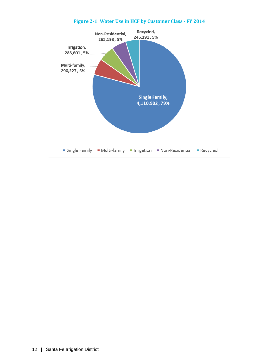<span id="page-21-0"></span>

# **Figure 2-1: Water Use in HCF by Customer Class - FY 2014**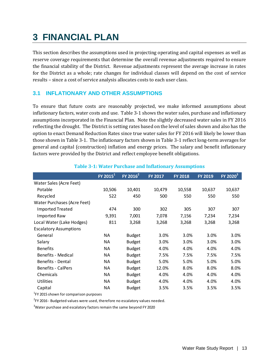# <span id="page-22-0"></span>**3 FINANCIAL PLAN**

This section describes the assumptions used in projecting operating and capital expenses as well as reserve coverage requirements that determine the overall revenue adjustments required to ensure the financial stability of the District. Revenue adjustments represent the average increase in rates for the District as a whole; rate changes for individual classes will depend on the cost of service results – since a cost of service analysis allocates costs to each user class.

# <span id="page-22-1"></span>**3.1 INFLATIONARY AND OTHER ASSUMPTIONS**

To ensure that future costs are reasonably projected, we make informed assumptions about inflationary factors, water costs and use. Table 3-1 shows the water sales, purchase and inflationary assumptions incorporated in the Financial Plan. Note the slightly decreased water sales in FY 2016 reflecting the drought. The District is setting rates based on the level of sales shown and also has the option to enact Demand Reduction Rates since true water sales for FY 2016 will likely be lower than those shown in Table 3-1. The inflationary factors shown in Table 3-1 reflect long-term averages for general and capital (construction) inflation and energy prices. The salary and benefit inflationary factors were provided by the District and reflect employee benefit obligations.

<span id="page-22-2"></span>

|                               | $[Y 2015^1]$ | $FY 2016^2$   | <b>FY 2017</b> | <b>FY 2018</b> | <b>FY 2019</b> | $FY 2020^3$ |
|-------------------------------|--------------|---------------|----------------|----------------|----------------|-------------|
| Water Sales (Acre Feet)       |              |               |                |                |                |             |
| Potable                       | 10,506       | 10,401        | 10,479         | 10,558         | 10,637         | 10,637      |
| Recycled                      | 522          | 450           | 500            | 550            | 550            | 550         |
| Water Purchases (Acre Feet)   |              |               |                |                |                |             |
| <b>Imported Treated</b>       | 474          | 300           | 302            | 305            | 307            | 307         |
| <b>Imported Raw</b>           | 9,391        | 7,001         | 7,078          | 7,156          | 7,234          | 7,234       |
| Local Water (Lake Hodges)     | 811          | 3,268         | 3,268          | 3,268          | 3,268          | 3,268       |
| <b>Escalatory Assumptions</b> |              |               |                |                |                |             |
| General                       | <b>NA</b>    | <b>Budget</b> | 3.0%           | 3.0%           | 3.0%           | 3.0%        |
| Salary                        | <b>NA</b>    | <b>Budget</b> | 3.0%           | 3.0%           | 3.0%           | 3.0%        |
| <b>Benefits</b>               | <b>NA</b>    | <b>Budget</b> | 4.0%           | 4.0%           | 4.0%           | 4.0%        |
| <b>Benefits - Medical</b>     | <b>NA</b>    | <b>Budget</b> | 7.5%           | 7.5%           | 7.5%           | 7.5%        |
| Benefits - Dental             | <b>NA</b>    | <b>Budget</b> | 5.0%           | 5.0%           | 5.0%           | 5.0%        |
| <b>Benefits - CalPers</b>     | <b>NA</b>    | <b>Budget</b> | 12.0%          | 8.0%           | 8.0%           | 8.0%        |
| Chemicals                     | <b>NA</b>    | <b>Budget</b> | 4.0%           | 4.0%           | 4.0%           | 4.0%        |
| Utilities                     | <b>NA</b>    | <b>Budget</b> | 4.0%           | 4.0%           | 4.0%           | 4.0%        |
| Capital                       | <b>NA</b>    | <b>Budget</b> | 3.5%           | 3.5%           | 3.5%           | 3.5%        |

### **Table 3-1: Water Purchase and Inflationary Assumptions**

<sup>1</sup>FY 2015 shown for comparison purposes

 $2$ FY 2016 - Budgeted values were used, therefore no escalatory values needed.

 $3$ Water purchase and escalatory factors remain the same beyond FY 2020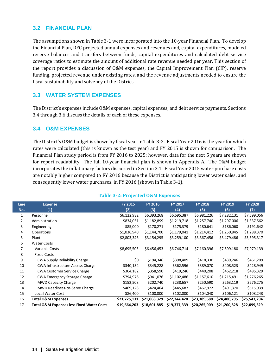### <span id="page-23-0"></span>**3.2 FINANCIAL PLAN**

The assumptions shown in Table 3-1 were incorporated into the 10-year Financial Plan. To develop the Financial Plan, RFC projected annual expenses and revenues and, capital expenditures, modeled reserve balances and transfers between funds, capital expenditures and calculated debt service coverage ratios to estimate the amount of additional rate revenue needed per year. This section of the report provides a discussion of O&M expenses, the Capital Improvement Plan (CIP), reserve funding, projected revenue under existing rates, and the revenue adjustments needed to ensure the fiscal sustainability and solvency of the District.

# <span id="page-23-1"></span>**3.3 WATER SYSTEM EXPENSES**

The District's expenses include O&M expenses, capital expenses, and debt service payments. Sections 3.4 through 3.6 discuss the details of each of these expenses.

## <span id="page-23-2"></span>**3.4 O&M EXPENSES**

The District's O&M budget is shown by fiscal year in Table 3-2. Fiscal Year 2016 is the year for which rates were calculated (this is known as the test year) and FY 2015 is shown for comparison. The Financial Plan study period is from FY 2016 to 2025; however, data for the next 5 years are shown for report readability. The full 10-year financial plan is shown in Appendix A. The O&M budget incorporates the inflationary factors discussed in Section 3.1. Fiscal Year 2015 water purchase costs are notably higher compared to FY 2016 because the District is anticipating lower water sales, and consequently lower water purchases, in FY 2016 (shown in Table 3-1).

<span id="page-23-3"></span>

| <b>Line</b>    | <b>Expense</b>                                       | <b>FY 2015</b> | <b>FY 2016</b> | <b>FY 2017</b> | <b>FY 2018</b> | <b>FY 2019</b> | <b>FY 2020</b> |
|----------------|------------------------------------------------------|----------------|----------------|----------------|----------------|----------------|----------------|
| No.            | (1)                                                  | (2)            | (3)            | (4)            | (5)            | (6)            | (7)            |
| $\mathbf{1}$   | Personnel                                            | \$6,122,982    | \$6,393,268    | \$6,695,387    | \$6,981,226    | \$7,282,131    | \$7,599,056    |
| $\overline{2}$ | Administration                                       | \$834,031      | \$1,182,899    | \$1,219,718    | \$1,257,740    | \$1,297,006    | \$1,337,562    |
| 3              | Engineering                                          | \$85,000       | \$170,271      | \$175,379      | \$180,641      | \$186,060      | \$191,642      |
| 4              | Operations                                           | \$1,036,940    | \$1,144,700    | \$1,179,041    | \$1,214,412    | \$1,250,845    | \$1,288,370    |
| 5              | Plant                                                | \$2,803,346    | \$3,154,295    | \$3,259,100    | \$3,367,456    | \$3,479,486    | \$3,595,317    |
| 6              | <b>Water Costs</b>                                   |                |                |                |                |                |                |
| 7              | Variable Costs                                       | \$8,695,505    | \$6,456,453    | \$6,746,714    | \$7,160,396    | \$7,599,180    | \$7,979,139    |
| 8              | <b>Fixed Costs</b>                                   |                |                |                |                |                |                |
| 9              | <b>CWA Supply Reliability Charge</b>                 | \$0            | \$194,346      | \$398,409      | \$418,330      | \$439,246      | \$461,209      |
| 10             | CWA Infrastructure Access Charge                     | \$340,134      | \$345,228      | \$362,596      | \$389,070      | \$408,523      | \$428,949      |
| 11             | <b>CWA Customer Service Charge</b>                   | \$304,182      | \$358,590      | \$419,246      | \$440,208      | \$462,218      | \$485,329      |
| 12             | <b>CWA Emergency Storage Charge</b>                  | \$794,976      | \$941,076      | \$1,102,486    | \$1,157,610    | \$1,215,491    | \$1,276,265    |
| 13             | <b>MWD Capacity Charge</b>                           | \$152,508      | \$202,740      | \$238,657      | \$250,590      | \$263,119      | \$276,275      |
| 14             | MWD Readiness-to-Serve Charge                        | \$469,128      | \$424,464      | \$445,687      | \$467,972      | \$491,370      | \$515,939      |
| 15             | Local Water Cost                                     | \$86,400       | \$100,000      | \$102,000      | \$104,040      | \$106,121      | \$108,243      |
| 16             | <b>Total O&amp;M Expenses</b>                        | \$21,725,131   | \$21,068,329   | \$22,344,420   | \$23,389,688   | \$24,480,795   | \$25,543,294   |
| 17             | <b>Total O&amp;M Expenses less Fixed Water Costs</b> | \$19,664,203   | \$18,601,885   | \$19,377,339   | \$20,265,909   | \$21,200,828   | \$22,099,329   |

## **Table 3-2: Projected O&M Expenses**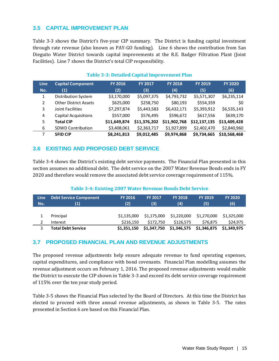# <span id="page-24-0"></span>**3.5 CAPITAL IMPROVEMENT PLAN**

Table 3-3 shows the District's five-year CIP summary. The District is funding capital investment through rate revenue (also known as PAY-GO funding). Line 6 shows the contribution from San Dieguito Water District towards capital improvements at the R.E. Badger Filtration Plant (Joint Facilities). Line 7 shows the District's total CIP responsibility.

<span id="page-24-3"></span>

| <b>Line</b><br>No. | <b>Capital Component</b><br>(1) | <b>FY 2016</b><br>(2) | <b>FY 2017</b><br>(3) | <b>FY 2018</b><br>(4) | <b>FY 2019</b><br>(5) | <b>FY 2020</b><br>(6) |
|--------------------|---------------------------------|-----------------------|-----------------------|-----------------------|-----------------------|-----------------------|
| 1                  | <b>Distribution System</b>      | \$3,170,000           | \$5,097,375           | \$4,793,732           | \$5,571,307           | \$6,235,114           |
| $\mathbf{2}$       | <b>Other District Assets</b>    | \$625,000             | \$258,750             | \$80,193              | \$554,359             | \$0                   |
| 3                  | Joint Facilities                | \$7,297,874           | \$5,443,583           | \$6,432,171           | \$5,393,912           | \$6,535,143           |
| 4                  | <b>Capital Acquisitions</b>     | \$557,000             | \$576,495             | \$596,672             | \$617,556             | \$639,170             |
| 5                  | <b>Total CIP</b>                | \$11,649,874          | \$11,376,202          | \$11,902,768          | \$12,137,135          | \$13,409,428          |
| 6                  | <b>SDWD Contribution</b>        | \$3,408,061           | \$2,363,717           | \$1,927,899           | \$2,402,470           | \$2,840,960           |
|                    | <b>SFID CIP</b>                 | \$8,241,813           | \$9,012,485           | \$9,974,868           | \$9,734,665           | \$10,568,468          |

### **Table 3-3: Detailed Capital Improvement Plan**

# <span id="page-24-1"></span>**3.6 EXISTING AND PROPOSED DEBT SERVICE**

Table 3-4 shows the District's existing debt service payments. The Financial Plan presented in this section assumes no additional debt. The debt service on the 2007 Water Revenue Bonds ends in FY 2020 and therefore would remove the associated debt service coverage requirement of 115%.

#### **Table 3-4: Existing 2007 Water Revenue Bonds Debt Service**

<span id="page-24-4"></span>

| <b>Line</b><br>No. | <b>Debt Service Component</b><br>(1) | <b>FY 2016</b><br>(2) | <b>FY 2017</b><br>(3) | <b>FY 2018</b><br>(4) | <b>FY 2019</b><br>(5) | <b>FY 2020</b><br>(6) |
|--------------------|--------------------------------------|-----------------------|-----------------------|-----------------------|-----------------------|-----------------------|
|                    | Principal                            | \$1.135,000           | \$1,175,000           | \$1,220,000           | \$1,270,000           | \$1.325.000           |
|                    | Interest                             | \$216.150             | \$172.750             | \$126.575             | \$76.875              | \$24.975              |
|                    | Total Debt Service                   | \$1,351,150           | \$1,347,750           | \$1,346,575           | \$1,346,875           | \$1,349,975           |

# <span id="page-24-2"></span>**3.7 PROPOSED FINANCIAL PLAN AND REVENUE ADJUSTMENTS**

The proposed revenue adjustments help ensure adequate revenue to fund operating expenses, capital expenditures, and compliance with bond covenants. Financial Plan modelling assumes the revenue adjustment occurs on February 1, 2016. The proposed revenue adjustments would enable the District to execute the CIP shown in Table 3-3 and exceed its debt service coverage requirement of 115% over the ten year study period.

Table 3-5 shows the Financial Plan selected by the Board of Directors. At this time the District has elected to proceed with three annual revenue adjustments, as shown in Table 3-5. The rates presented in Section 6 are based on this Financial Plan.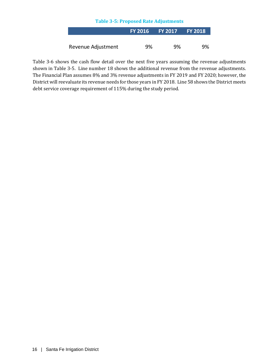| <b>Table 3-5: Proposed Rate Adjustments</b> |  |  |  |  |
|---------------------------------------------|--|--|--|--|
|---------------------------------------------|--|--|--|--|

<span id="page-25-0"></span>

|                    |    | FY 2016 FY 2017 FY 2018 |     |
|--------------------|----|-------------------------|-----|
|                    |    |                         |     |
| Revenue Adjustment | 9% | 9%                      | .9% |

Table 3-6 shows the cash flow detail over the next five years assuming the revenue adjustments shown in Table 3-5. Line number 18 shows the additional revenue from the revenue adjustments. The Financial Plan assumes 8% and 3% revenue adjustments in FY 2019 and FY 2020; however, the District will reevaluate its revenue needs for those years in FY 2018. Line 58 shows the District meets debt service coverage requirement of 115% during the study period.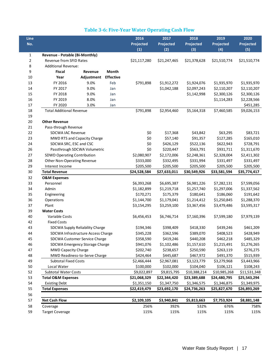# **Table 3-6: Five-Year Water Operating Cash Flow**

<span id="page-26-0"></span>

| Line   |                                 |                                    |                  | 2016         | 2017         | 2018         | 2019         | 2020         |
|--------|---------------------------------|------------------------------------|------------------|--------------|--------------|--------------|--------------|--------------|
| No.    |                                 |                                    |                  | Projected    | Projected    | Projected    | Projected    | Projected    |
|        |                                 |                                    |                  | (1)          | (2)          | (3)          | (4)          | (5)          |
| 1      | Revenue - Potable (Bi-Monthly)  |                                    |                  |              |              |              |              |              |
| 2      | Revenue from SFID Rates         |                                    |                  | \$21,117,280 | \$21,247,465 | \$21,378,628 | \$21,510,774 | \$21,510,774 |
| 8      | <b>Additional Revenue:</b>      |                                    |                  |              |              |              |              |              |
| 9      | <b>Fiscal</b>                   | Revenue                            | Month            |              |              |              |              |              |
| 10     | Year                            | Adjustment                         | <b>Effective</b> |              |              |              |              |              |
| 13     | FY 2016                         | 9.0%                               | Feb              | \$791,898    | \$1,912,272  | \$1,924,076  | \$1,935,970  | \$1,935,970  |
| 14     | FY 2017                         | 9.0%                               | Jan              |              | \$1,042,188  | \$2,097,243  | \$2,110,207  | \$2,110,207  |
| 15     | FY 2018                         | 9.0%                               | Jan              |              |              | \$1,142,998  | \$2,300,126  | \$2,300,126  |
| 16     | FY 2019                         | 8.0%                               | Jan              |              |              |              | \$1,114,283  | \$2,228,566  |
| 17     | FY 2020                         | 3.0%                               | Jan              |              |              |              |              | \$451,285    |
| 18     | <b>Total Additional Revenue</b> |                                    |                  | \$791,898    | \$2,954,460  | \$5,164,318  | \$7,460,585  | \$9,026,153  |
| 19     |                                 |                                    |                  |              |              |              |              |              |
| $20\,$ | <b>Other Revenue</b>            |                                    |                  |              |              |              |              |              |
| 21     | Pass-through Revenue            |                                    |                  |              |              |              |              |              |
| 22     | <b>SDCWA IAC Revenue</b>        |                                    |                  | \$0          | \$17,368     | \$43,842     | \$63,295     | \$83,721     |
| 23     |                                 | MWD RTS and Capacity Charge        |                  | \$0          | \$57,140     | \$91,357     | \$127,285    | \$165,010    |
| 24     | SDCWA SRC, ESC and CSC          |                                    |                  | \$0          | \$426,129    | \$522,136    | \$622,943    | \$728,791    |
| 26     |                                 | Passthrough SDCWA Volumetric       |                  | \$0          | \$220,447    | \$563,791    | \$931,711    | \$1,311,670  |
| 27     | SDWD Operating Contribution     |                                    |                  | \$2,080,907  | \$2,172,006  | \$2,248,361  | \$2,328,004  | \$2,411,302  |
| 28     | Other Non-Operating Revenue     |                                    |                  | \$333,000    | \$332,495    | \$331,994    | \$331,497    | \$331,497    |
| 29     | Interest Income                 |                                    |                  | \$205,500    | \$205,500    | \$205,500    | \$205,500    | \$205,500    |
| 30     | <b>Total Revenue</b>            |                                    |                  | \$24,528,584 | \$27,633,011 | \$30,549,926 | \$33,581,594 | \$35,774,417 |
| 32     | <b>O&amp;M Expenses</b>         |                                    |                  |              |              |              |              |              |
| 33     | Personnel                       |                                    |                  | \$6,393,268  | \$6,695,387  | \$6,981,226  | \$7,282,131  | \$7,599,056  |
| 34     | Admin                           |                                    |                  | \$1,182,899  | \$1,219,718  | \$1,257,740  | \$1,297,006  | \$1,337,562  |
| 35     | Engineering                     |                                    |                  | \$170,271    | \$175,379    | \$180,641    | \$186,060    | \$191,642    |
| 36     | Operations                      |                                    |                  | \$1,144,700  | \$1,179,041  | \$1,214,412  | \$1,250,845  | \$1,288,370  |
| 37     | Plant                           |                                    |                  | \$3,154,295  | \$3,259,100  | \$3,367,456  | \$3,479,486  | \$3,595,317  |
| 39     | <b>Water Costs</b>              |                                    |                  |              |              |              |              |              |
| 40     | Variable Costs                  |                                    |                  | \$6,456,453  | \$6,746,714  | \$7,160,396  | \$7,599,180  | \$7,979,139  |
| 42     | <b>Fixed Costs</b>              |                                    |                  |              |              |              |              |              |
| 43     |                                 | SDCWA Supply Reliability Charge    |                  | \$194,346    | \$398,409    | \$418,330    | \$439,246    | \$461,209    |
| 44     |                                 | SDCWA Infrastructure Access Charge |                  | \$345,228    | \$362,596    | \$389,070    | \$408,523    | \$428,949    |
| 45     |                                 | SDCWA Customer Service Charge      |                  | \$358,590    | \$419,246    | \$440,208    | \$462,218    | \$485,329    |
| 46     |                                 | SDCWA Emergency Storage Charge     |                  | \$941,076    | \$1,102,486  | \$1,157,610  | \$1,215,491  | \$1,276,265  |
| 47     | <b>MWD Capacity Charge</b>      |                                    |                  | \$202,740    | \$238,657    | \$250,590    | \$263,119    | \$276,275    |
| 48     |                                 | MWD Readiness-to-Serve Charge      |                  | \$424,464    | \$445,687    | \$467,972    | \$491,370    | \$515,939    |
| 49     | <b>Subtotal Fixed Costs</b>     |                                    |                  | \$2,466,444  | \$2,967,081  | \$3,123,779  | \$3,279,968  | \$3,443,966  |
| 50     | Local Water                     |                                    |                  | \$100,000    | \$102,000    | \$104,040    | \$106,121    | \$108,243    |
| 52     | <b>Subtotal Water Costs</b>     |                                    |                  | \$9,022,897  | \$9,815,795  | \$10,388,214 | \$10,985,268 | \$11,531,348 |
| 53     | <b>Total O&amp;M Expenses</b>   |                                    |                  | \$21,068,329 | \$22,344,420 | \$23,389,688 | \$24,480,795 | \$25,543,294 |
| 54     | <b>Existing Debt</b>            |                                    |                  | \$1,351,150  | \$1,347,750  | \$1,346,575  | \$1,346,875  | \$1,349,975  |
| 55     | <b>Total Expenses</b>           |                                    |                  | \$22,419,479 | \$23,692,170 | \$24,736,263 | \$25,827,670 | \$26,893,269 |
| 56     |                                 |                                    |                  |              |              |              |              |              |
| 57     | <b>Net Cash Flow</b>            |                                    |                  | \$2,109,105  | \$3,940,841  | \$5,813,663  | \$7,753,924  | \$8,881,148  |
| 58     | Coverage                        |                                    |                  | 256%         | 392%         | 532%         | 676%         | 758%         |
| 59     | <b>Target Coverage</b>          |                                    |                  | 115%         | 115%         | 115%         | 115%         | 115%         |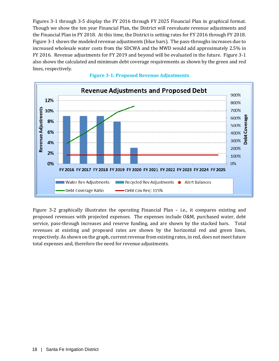Figures 3-1 through 3-5 display the FY 2016 through FY 2025 Financial Plan in graphical format. Though we show the ten year Financial Plan, the District will reevaluate revenue adjustments and the Financial Plan in FY 2018. At this time, the District is setting rates for FY 2016 through FY 2018. Figure 3-1 shows the modeled revenue adjustments (blue bars). The pass-throughs increases due to increased wholesale water costs from the SDCWA and the MWD would add approximately 2.5% in FY 2016. Revenue adjustments for FY 2019 and beyond will be evaluated in the future. Figure 3-1 also shows the calculated and minimum debt coverage requirements as shown by the green and red lines, respectively.

<span id="page-27-0"></span>

**Figure 3-1: Proposed Revenue Adjustments**

Figure 3-2 graphically illustrates the operating Financial Plan – i.e., it compares existing and proposed revenues with projected expenses. The expenses include O&M, purchased water, debt service, pass-through increases and reserve funding, and are shown by the stacked bars. Total revenues at existing and proposed rates are shown by the horizontal red and green lines, respectively. As shown on the graph, current revenue from existing rates, in red, does not meet future total expenses and, therefore the need for revenue adjustments.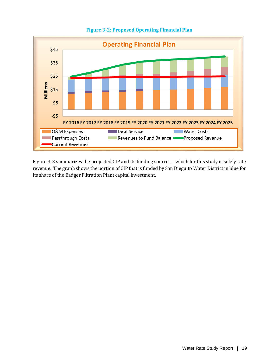<span id="page-28-0"></span>

**Figure 3-2: Proposed Operating Financial Plan**

Figure 3-3 summarizes the projected CIP and its funding sources – which for this study is solely rate revenue. The graph shows the portion of CIP that is funded by San Dieguito Water District in blue for its share of the Badger Filtration Plant capital investment.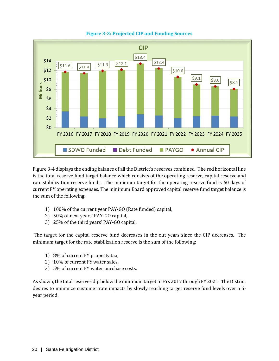<span id="page-29-0"></span>

**Figure 3-3: Projected CIP and Funding Sources**

Figure 3-4 displays the ending balance of all the District's reserves combined. The red horizontal line is the total reserve fund target balance which consists of the operating reserve, capital reserve and rate stabilization reserve funds. The minimum target for the operating reserve fund is 60 days of current FY operating expenses. The minimum Board approved capital reserve fund target balance is the sum of the following:

- 1) 100% of the current year PAY-GO (Rate funded) capital,
- 2) 50% of next years' PAY-GO capital,
- 3) 25% of the third years' PAY-GO capital.

The target for the capital reserve fund decreases in the out years since the CIP decreases. The minimum target for the rate stabilization reserve is the sum of the following:

- 1) 8% of current FY property tax,
- 2) 10% of current FY water sales,
- 3) 5% of current FY water purchase costs.

As shown, the total reserves dip below the minimum target in FYs 2017 through FY 2021. The District desires to minimize customer rate impacts by slowly reaching target reserve fund levels over a 5 year period.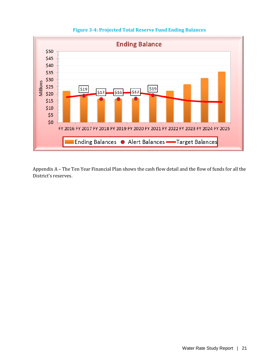<span id="page-30-0"></span>

# **Figure 3-4: Projected Total Reserve Fund Ending Balances**

Appendix A – The Ten Year Financial Plan shows the cash flow detail and the flow of funds for all the District's reserves.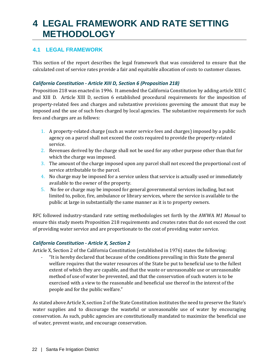# <span id="page-31-0"></span>**4 LEGAL FRAMEWORK AND RATE SETTING METHODOLOGY**

# <span id="page-31-1"></span>**4.1 LEGAL FRAMEWORK**

This section of the report describes the legal framework that was considered to ensure that the calculated cost of service rates provide a fair and equitable allocation of costs to customer classes.

#### <span id="page-31-2"></span>*California Constitution - Article XIII D, Section 6 (Proposition 218)*

Proposition 218 was enacted in 1996. It amended the California Constitution by adding article XIII C and XIII D. Article XIII D, section 6 established procedural requirements for the imposition of property-related fees and charges and substantive provisions governing the amount that may be imposed and the use of such fees charged by local agencies. The substantive requirements for such fees and charges are as follows:

- 1. A property-related charge (such as water service fees and charges) imposed by a public agency on a parcel shall not exceed the costs required to provide the property-related service.
- 2. Revenues derived by the charge shall not be used for any other purpose other than that for which the charge was imposed.
- 3. The amount of the charge imposed upon any parcel shall not exceed the proportional cost of service attributable to the parcel.
- 4. No charge may be imposed for a service unless that service is actually used or immediately available to the owner of the property.
- 5. No fee or charge may be imposed for general governmental services including, but not limited to, police, fire, ambulance or library services, where the service is available to the public at large in substantially the same manner as it is to property owners.

RFC followed industry-standard rate setting methodologies set forth by the AWWA *M1 Manual* to ensure this study meets Proposition 218 requirements and creates rates that do not exceed the cost of providing water service and are proportionate to the cost of providing water service.

#### <span id="page-31-3"></span>*California Constitution - Article X, Section 2*

Article X, Section 2 of the California Constitution (established in 1976) states the following:

- "It is hereby declared that because of the conditions prevailing in this State the general welfare requires that the water resources of the State be put to beneficial use to the fullest extent of which they are capable, and that the waste or unreasonable use or unreasonable method of use of water be prevented, and that the conservation of such waters is to be exercised with a view to the reasonable and beneficial use thereof in the interest of the people and for the public welfare."

As stated above Article X, section 2 of the State Constitution institutes the need to preserve the State's water supplies and to discourage the wasteful or unreasonable use of water by encouraging conservation. As such, public agencies are constitutionally mandated to maximize the beneficial use of water, prevent waste, and encourage conservation.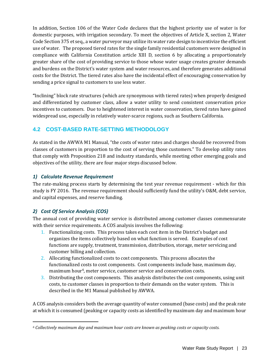In addition, Section 106 of the Water Code declares that the highest priority use of water is for domestic purposes, with irrigation secondary. To meet the objectives of Article X, section 2, Water Code Section 375 et seq., a water purveyor may utilize its water rate design to incentivize the efficient use of water. The proposed tiered rates for the single family residential customers were designed in compliance with California Constitution article XIII D, section 6 by allocating a proportionately greater share of the cost of providing service to those whose water usage creates greater demands and burdens on the District's water system and water resources, and therefore generates additional costs for the District. The tiered rates also have the incidental effect of encouraging conservation by sending a price signal to customers to use less water.

**"**Inclining" block rate structures (which are synonymous with tiered rates) when properly designed and differentiated by customer class, allow a water utility to send consistent conservation price incentives to customers. Due to heightened interest in water conservation, tiered rates have gained widespread use, especially in relatively water-scarce regions, such as Southern California.

# <span id="page-32-0"></span>**4.2 COST-BASED RATE-SETTING METHODOLOGY**

As stated in the AWWA M1 Manual, "the costs of water rates and charges should be recovered from classes of customers in proportion to the cost of serving those customers." To develop utility rates that comply with Proposition 218 and industry standards, while meeting other emerging goals and objectives of the utility, there are four major steps discussed below.

## <span id="page-32-1"></span>*1) Calculate Revenue Requirement*

The rate-making process starts by determining the test year revenue requirement - which for this study is FY 2016. The revenue requirement should sufficiently fund the utility's O&M, debt service, and capital expenses, and reserve funding.

# <span id="page-32-2"></span>*2) Cost Of Service Analysis (COS)*

The annual cost of providing water service is distributed among customer classes commensurate with their service requirements. A COS analysis involves the following:

- 1. Functionalizing costs. This process takes each cost item in the District's budget and organizes the items collectively based on what function is served. Examples of cost functions are supply, treatment, transmission, distribution, storage, meter servicing and customer billing and collection.
- 2. Allocating functionalized costs to cost components. This process allocates the functionalized costs to cost components. Cost components include base, maximum day, maximum hour<sup>[6](#page-32-3)</sup>, meter service, customer service and conservation costs.
- 3. Distributing the cost components. This analysis distributes the cost components, using unit costs, to customer classes in proportion to their demands on the water system. This is described in the M1 Manual published by AWWA.

A COS analysis considers both the average quantity of water consumed (base costs) and the peak rate at which it is consumed (peaking or capacity costs as identified by maximum day and maximum hour

<span id="page-32-3"></span>j *<sup>6</sup> Collectively maximum day and maximum hour costs are known as peaking costs or capacity costs.*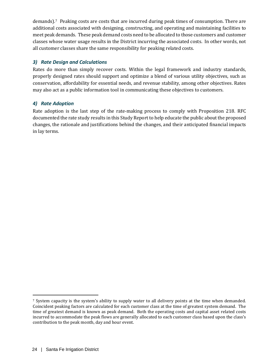demands).[7](#page-33-2) Peaking costs are costs that are incurred during peak times of consumption. There are additional costs associated with designing, constructing, and operating and maintaining facilities to meet peak demands. These peak demand costs need to be allocated to those customers and customer classes whose water usage results in the District incurring the associated costs. In other words, not all customer classes share the same responsibility for peaking related costs.

# <span id="page-33-0"></span>*3) Rate Design and Calculations*

Rates do more than simply recover costs. Within the legal framework and industry standards, properly designed rates should support and optimize a blend of various utility objectives, such as conservation, affordability for essential needs, and revenue stability, among other objectives. Rates may also act as a public information tool in communicating these objectives to customers.

## <span id="page-33-1"></span>*4) Rate Adoption*

Rate adoption is the last step of the rate-making process to comply with Proposition 218. RFC documented the rate study results in this Study Report to help educate the public about the proposed changes, the rationale and justifications behind the changes, and their anticipated financial impacts in lay terms.

j

<span id="page-33-2"></span><sup>&</sup>lt;sup>7</sup> System capacity is the system's ability to supply water to all delivery points at the time when demanded. Coincident peaking factors are calculated for each customer class at the time of greatest system demand. The time of greatest demand is known as peak demand. Both the operating costs and capital asset related costs incurred to accommodate the peak flows are generally allocated to each customer class based upon the class's contribution to the peak month, day and hour event.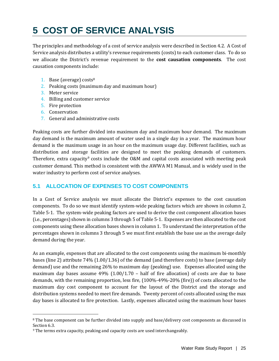# <span id="page-34-0"></span>**5 COST OF SERVICE ANALYSIS**

The principles and methodology of a cost of service analysis were described in Section 4.2. A Cost of Service analysis distributes a utility's revenue requirements (costs) to each customer class. To do so we allocate the District's revenue requirement to the **cost causation components**. The cost causation components include:

- 1. Base (average) costs<sup>[8](#page-34-2)</sup>
- 2. Peaking costs (maximum day and maximum hour)
- 3. Meter service
- 4. Billing and customer service
- 5. Fire protection
- 6. Conservation

j

7. General and administrative costs

Peaking costs are further divided into maximum day and maximum hour demand. The maximum day demand is the maximum amount of water used in a single day in a year. The maximum hour demand is the maximum usage in an hour on the maximum usage day. Different facilities, such as distribution and storage facilities are designed to meet the peaking demands of customers. Therefore, extra capacity<sup>[9](#page-34-3)</sup> costs include the  $0&M$  and capital costs associated with meeting peak customer demand. This method is consistent with the AWWA M1 Manual, and is widely used in the water industry to perform cost of service analyses.

# <span id="page-34-1"></span>**5.1 ALLOCATION OF EXPENSES TO COST COMPONENTS**

In a Cost of Service analysis we must allocate the District's expenses to the cost causation components. To do so we must identify system-wide peaking factors which are shown in column 2, Table 5-1. The system-wide peaking factors are used to derive the cost component allocation bases (i.e., percentages) shown in columns 3 through 5 of Table 5-1. Expenses are then allocated to the cost components using these allocation bases shown in column 1. To understand the interpretation of the percentages shown in columns 3 through 5 we must first establish the base use as the average daily demand during the year.

As an example, expenses that are allocated to the cost components using the maximum bi-monthly bases (line 2) attribute 74% (1.00/1.36) of the demand (and therefore costs) to base (average daily demand) use and the remaining 26% to maximum day (peaking) use. Expenses allocated using the maximum day bases assume  $49\%$  (1.00/1.70 – half of fire allocation) of costs are due to base demands, with the remaining proportion, less fire, (100%-49%-20% (fire)) of costs allocated to the maximum day cost component to account for the layout of the District and the storage and distribution systems needed to meet fire demands. Twenty percent of costs allocated using the max day bases is allocated to fire protection. Lastly, expenses allocated using the maximum hour bases

<span id="page-34-2"></span><sup>8</sup> The base component can be further divided into supply and base/delivery cost components as discussed in Section 6.3.

<span id="page-34-3"></span>*<sup>9</sup>* The terms extra capacity, peaking and capacity costs are used interchangeably.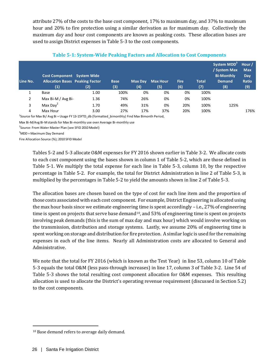attribute 27% of the costs to the base cost component, 17% to maximum day, and 37% to maximum hour and 20% to fire protection using a similar derivation as for maximum day. Collectively the maximum day and hour cost components are known as peaking costs. These allocation bases are used to assign District expenses in Table 5-3 to the cost components.

<span id="page-35-0"></span>

| Line No.       | <b>Cost Component</b> System Wide<br><b>Allocation Bases Peaking Factor</b><br>(1) | (2)  | <b>Base</b><br>(3) | Max Day<br>(4) | <b>Max Hour</b><br>(5) | <b>Fire</b><br>(6) | <b>Total</b><br>(7) | System MDD <sup>3</sup><br>/ System Max<br><b>Bi-Monthly</b><br><b>Demand</b><br>(8) | Hour/<br><b>Max</b><br>Day<br><b>Ratio</b><br>(9) |
|----------------|------------------------------------------------------------------------------------|------|--------------------|----------------|------------------------|--------------------|---------------------|--------------------------------------------------------------------------------------|---------------------------------------------------|
|                | Base                                                                               | 1.00 | 100%               | 0%             | 0%                     | 0%                 | 100%                |                                                                                      |                                                   |
| $\overline{2}$ | Max Bi-M / Avg Bi-                                                                 | 1.36 | 74%                | 26%            | 0%                     | 0%                 | 100%                |                                                                                      |                                                   |
| 3              | Max Day <sup>2</sup>                                                               | 1.70 | 49%                | 31%            | 0%                     | 20%                | 100%                | 125%                                                                                 |                                                   |
| 4              | Max Hour                                                                           | 3.00 | 27%                | 17%            | 37%                    | 20%                | 100%                |                                                                                      | 176%                                              |

#### **Table 5-1: System-Wide Peaking Factors and Allocation to Cost Components**

<sup>1</sup>Source for Max Bi/ Avg Bi = Usage FY 13-15YTD\_db (formatted\_bimonthly) Find Max Bimonth Period,

Max Bi-M/Avg Bi-M stands for Max Bi-monthly use over Average Bi-monthly use

2 Source: From Water Master Plan (see SFID 2010 Model)

<sup>3</sup>MDD = Maximum Day Demand

Fire Allocation Source (%); 2010 SFID Model

Tables 5-2 and 5-3 allocate O&M expenses for FY 2016 shown earlier in Table 3-2. We allocate costs to each cost component using the bases shown in column 1 of Table 5-2, which are those defined in Table 5-1. We multiply the total expense for each line in Table 5-3, column 10, by the respective percentage in Table 5-2. For example, the total for District Administration in line 2 of Table 5-3, is multiplied by the percentages in Table 5-2 to yield the amounts shown in line 2 of Table 5-3.

The allocation bases are chosen based on the type of cost for each line item and the proportion of those costs associated with each cost component. For example, District Engineering is allocated using the max hour basis since we estimate engineering time is spent accordingly – i.e., 27% of engineering time is spent on projects that serve base demand<sup>[10](#page-35-1)</sup>, and 53% of engineering time is spent on projects involving peak demands (this is the sum of max day and max hour) which would involve working on the transmission, distribution and storage systems. Lastly, we assume 20% of engineering time is spent working on storage and distribution for fire protection. A similar logic is used for the remaining expenses in each of the line items. Nearly all Administration costs are allocated to General and Administrative.

We note that the total for FY 2016 (which is known as the Test Year) in line 53, column 10 of Table 5-3 equals the total O&M (less pass-through increases) in line 17, column 3 of Table 3-2. Line 54 of Table 5-3 shows the total resulting cost component allocation for O&M expenses. This resulting allocation is used to allocate the District's operating revenue requirement (discussed in Section 5.2) to the cost components.

<span id="page-35-1"></span>j <sup>10</sup> Base demand refers to average daily demand.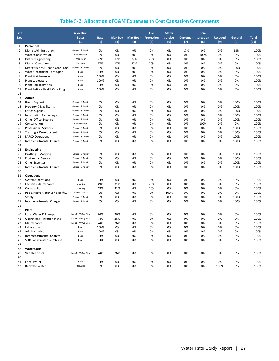## **Table 5-2: Allocation of O&M Expenses to Cost Causation Components**

| Line           |                                               | <b>Allocation</b> |             |                |                 | <b>Fire</b> | <b>Meter</b>   |                 | Con-      |          |         |              |
|----------------|-----------------------------------------------|-------------------|-------------|----------------|-----------------|-------------|----------------|-----------------|-----------|----------|---------|--------------|
| No.            |                                               | <b>Bases</b>      | <b>Base</b> | <b>Max Day</b> | <b>Max Hour</b> | Protection  | <b>Service</b> | <b>Customer</b> | servation | Recycled | General | <b>Total</b> |
|                |                                               | (1)               | (2)         | (3)            | (4)             | (5)         | (6)            | (7)             | (8)       | (9)      | (9)     | (10)         |
| 1              | Personnel                                     |                   |             |                |                 |             |                |                 |           |          |         |              |
| $\overline{2}$ | <b>District Administration</b>                | General & Admin   | 0%          | 0%             | 0%              | 0%          | 0%             | 17%             | 0%        | 0%       | 83%     | 100%         |
| 3              | <b>Water Conservation</b>                     | Conservation      | 0%          | 0%             | 0%              | 0%          | 0%             | 0%              | 100%      | 0%       | 0%      | 100%         |
| 4              | <b>District Engineering</b>                   | Max Hour          | 27%         | 17%            | 37%             | 20%         | 0%             | 0%              | 0%        | 0%       | 0%      | 100%         |
| 5              | <b>District Operations</b>                    | Max Hour          | 27%         | 17%            | 37%             | 20%         | 0%             | 0%              | 0%        | 0%       | 0%      | 100%         |
| 6              | District Retiree Health Care Prog             | General & Admin   | 0%          | 0%             | 0%              | 0%          | 0%             | 0%              | 0%        | 0%       | 100%    | 100%         |
| 7              | Water Treatment Plant Oper                    | Base              | 100%        | 0%             | 0%              | 0%          | 0%             | 0%              | 0%        | 0%       | 0%      | 100%         |
| 8              | Plant Maintenance                             | Base              | 100%        | 0%             | 0%              | 0%          | 0%             | 0%              | 0%        | 0%       | 0%      | 100%         |
| 9              | Plant Laboratory                              | Base              | 100%        | 0%             | 0%              | 0%          | 0%             | 0%              | 0%        | 0%       | 0%      | 100%         |
| 10             | <b>Plant Administration</b>                   | Base              | 100%        | 0%             | 0%              | 0%          | 0%             | 0%              | 0%        | 0%       | 0%      | 100%         |
| 11             | Plant Retiree Health Care Prog                | Base              | 100%        | 0%             | 0%              | 0%          | 0%             | 0%              | 0%        | 0%       | 0%      | 100%         |
| 12             |                                               |                   |             |                |                 |             |                |                 |           |          |         |              |
| 13             | Admin                                         |                   |             |                |                 |             |                |                 |           |          |         |              |
| 14             | <b>Board Support</b>                          | General & Admin   | 0%          | 0%             | 0%              | 0%          | 0%             | 0%              | 0%        | 0%       | 100%    | 100%         |
| 15             | Property & Liability Ins                      | General & Admin   | 0%          | 0%             | 0%              | 0%          | 0%             | 0%              | 0%        | 0%       | 100%    | 100%         |
| 16             | <b>Office Supplies</b>                        | General & Admin   | 0%          | 0%             | 0%              | 0%          | 0%             | 0%              | 0%        | 0%       | 100%    | 100%         |
| 17             | <b>Information Technology</b>                 | General & Admin   | 0%          | 0%             | 0%              | 0%          | 0%             | 0%              | 0%        | 0%       | 100%    | 100%         |
| 18             | Other Office Expense                          | General & Admin   | 0%          | 0%             | 0%              | 0%          | 0%             | 0%              | 0%        | 0%       | 100%    | 100%         |
| 19             | Conservation                                  | Conservation      | 0%          | 0%             | 0%              | 0%          | 0%             | 0%              | 100%      | 0%       | 0%      | 100%         |
| 20             | <b>Professional Services</b>                  | General & Admin   | 0%          | 0%             | 0%              | 0%          | 0%             | 0%              | 0%        | 0%       | 100%    | 100%         |
| 21             | Training & Development                        | General & Admin   | 0%          | 0%             | 0%              | 0%          | 0%             | 0%              | 0%        | 0%       | 100%    | 100%         |
| 22             | LAFCO Operations                              | General & Admin   | 0%          | 0%             | 0%              | 0%          | 0%             | 0%              | 0%        | 0%       | 100%    | 100%         |
| 23             | Interdepartmental Charges                     | General & Admin   | 0%          | 0%             | 0%              | 0%          | 0%             | 0%              | 0%        | 0%       | 100%    | 100%         |
| 24             |                                               |                   |             |                |                 |             |                |                 |           |          |         |              |
| 25             | Engineering                                   |                   |             |                |                 |             |                |                 |           |          |         |              |
| 26             | Drafting & Mapping                            | General & Admin   | 0%          | 0%             | 0%              | 0%          | 0%             | 0%              | 0%        | 0%       | 100%    | 100%         |
| 27             | <b>Engineering Services</b>                   | General & Admin   | 0%          | 0%             | 0%              | 0%          | 0%             | 0%              | 0%        | 0%       | 100%    | 100%         |
| 28             | <b>Other Expenses</b>                         | General & Admin   | 0%          | 0%             | 0%              | 0%          | 0%             | 0%              | 0%        | 0%       | 100%    | 100%         |
| 29             | Interdepartmental Charges                     | General & Admin   | 0%          | 0%             | 0%              | 0%          | 0%             | 0%              | 0%        | 0%       | 100%    | 100%         |
| 30             |                                               |                   |             |                |                 |             |                |                 |           |          |         |              |
| 31             | <b>Operations</b>                             |                   |             |                |                 |             |                |                 |           |          |         |              |
|                |                                               | Base              | 100%        | 0%             | 0%              | 0%          | 0%             | 0%              | 0%        | 0%       | 0%      | 100%         |
| 32             | <b>System Operations</b>                      | Max Day           |             |                |                 | 20%         |                |                 |           |          | 0%      | 100%         |
| 33             | <b>Facilities Maintenance</b><br>Construction |                   | 49%         | 31%            | 0%              | 20%         | 0%<br>0%       | 0%<br>0%        | 0%        | 0%       | 0%      | 100%         |
| 34             |                                               | Max Day           | 49%<br>0%   | 31%            | 0%              | 0%          |                |                 | 0%        | 0%       | 0%      |              |
| 35             | Pot & Recyc Meter Ser & Bckflw                | Meter Service     |             | 0%             | 0%              |             | 100%           | 0%              | 0%        | 0%       |         | 100%         |
| 36             | Safety                                        | General & Admin   | 0%          | 0%             | 0%              | 0%          | 0%             | 0%              | 0%        | 0%       | 100%    | 100%         |
| 37             | Interdepartmental Charges                     | General & Admin   | 0%          | 0%             | 0%              | 0%          | 0%             | 0%              | 0%        | 0%       | 100%    | 100%         |
| 38             |                                               |                   |             |                |                 |             |                |                 |           |          |         |              |
| 39             | Plant                                         |                   |             |                |                 |             |                |                 |           |          |         |              |
| 40             | Local Water & Transport                       | Max Bi-M/Avg Bi-M | 74%         | 26%            | 0%              | 0%          | 0%             | 0%              | 0%        | 0%       | 0%      | 100%         |
| 41             | <b>Operations (Filtration Plant)</b>          | Max Bi-M/Avg Bi-M | 74%         | 26%            | 0%              | 0%          | 0%             | 0%              | 0%        | 0%       | 0%      | 100%         |
| 42             | Maintenance                                   | Max Bi-M/Avg Bi-M | 74%         | 26%            | 0%              | 0%          | 0%             | 0%              | 0%        | 0%       | 0%      | 100%         |
| 43             | Laboratory                                    | Base              | 100%        | 0%             | 0%              | 0%          | 0%             | 0%              | 0%        | 0%       | 0%      | 100%         |
| 44             | Administrative                                | Base              | 100%        | 0%             | 0%              | 0%          | 0%             | 0%              | 0%        | 0%       | 0%      | 100%         |
| 45             | Interdepartmental Charges                     | Base              | 100%        | 0%             | 0%              | 0%          | 0%             | 0%              | 0%        | 0%       | 0%      | 100%         |
| 46             | SFID Local Water Reimburse                    | Base              | 100%        | 0%             | 0%              | 0%          | 0%             | 0%              | 0%        | 0%       | 0%      | 100%         |
| 47             |                                               |                   |             |                |                 |             |                |                 |           |          |         |              |
| 48             | <b>Water Costs</b>                            |                   |             |                |                 |             |                |                 |           |          |         |              |
| 49             | Variable Costs                                | Max Bi-M/Avg Bi-M | 74%         | 26%            | 0%              | 0%          | 0%             | 0%              | 0%        | 0%       | 0%      | 100%         |
| 50             |                                               |                   |             |                |                 |             |                |                 |           |          |         |              |
| 51             | Local Water                                   | Base              | 100%        | 0%             | 0%              | 0%          | 0%             | 0%              | 0%        | 0%       | 0%      | 100%         |
| 52             | <b>Recycled Water</b>                         | Recycled          | 0%          | 0%             | 0%              | 0%          | 0%             | 0%              | 0%        | 100%     | 0%      | 100%         |
|                |                                               |                   |             |                |                 |             |                |                 |           |          |         |              |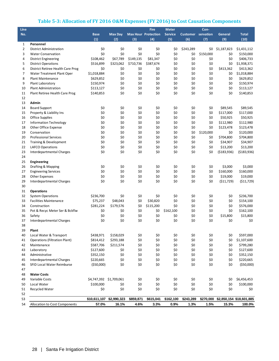## **Table 5-3: Allocation of FY 2016 O&M Expenses (FY 2016) to Cost Causation Components**

| Line           |                                      |                         |                |            | <b>Fire</b>                | <b>Meter</b>   |                           | Con-       |             |                          |
|----------------|--------------------------------------|-------------------------|----------------|------------|----------------------------|----------------|---------------------------|------------|-------------|--------------------------|
| No.            |                                      | <b>Base</b>             | <b>Max Day</b> |            | <b>Max Hour Protection</b> | <b>Service</b> | <b>Customer</b> servation |            | General     | <b>Total</b>             |
|                |                                      | (1)                     | (2)            | (3)        | (4)                        | (5)            | (6)                       | (7)        | (9)         | (10)                     |
| $\mathbf{1}$   | Personnel                            |                         |                |            |                            |                |                           |            |             |                          |
| $\overline{2}$ | <b>District Administration</b>       | \$0                     | \$0            | \$0        | \$0                        | \$0            | \$243,289                 | \$0        | \$1,187,823 | \$1,431,112              |
| 3              | <b>Water Conservation</b>            | \$0                     | \$0            | \$0        | \$0                        | \$0            | \$0                       | \$150,000  | \$0         | \$150,000                |
| 4              | <b>District Engineering</b>          | \$108,462               | \$67,789       | \$149,135  | \$81,347                   | \$0            | \$0                       | \$0        | \$0         | \$406,733                |
| 5              | <b>District Operations</b>           | \$516,899               | \$323,062      | \$710,736  | \$387,674                  | \$0            | \$0                       | \$0        | \$0         | \$1,938,371              |
| 6              | District Retiree Health Care Prog    | \$0                     | \$0            | \$0        | \$0                        | \$0            | \$0                       | \$0        | \$413,362   | \$413,362                |
| 7              | Water Treatment Plant Oper           | \$1,018,884             | \$0            | \$0        | \$0                        | \$0            | \$0                       | \$0        | \$0         | \$1,018,884              |
| 8              | <b>Plant Maintenance</b>             | \$629,852               | \$0            | \$0        | \$0                        | \$0            | \$0                       | \$0        | \$0         | \$629,852                |
| 9              | Plant Laboratory                     | \$150,974               | \$0            | \$0        | \$0                        | \$0            | \$0                       | \$0        | \$0         | \$150,974                |
| 10             | Plant Administration                 | \$113,127               | \$0<br>\$0     | \$0<br>\$0 | \$0<br>\$0                 | \$0<br>\$0     | \$0<br>\$0                | \$0<br>\$0 | \$0<br>\$0  | \$113,127<br>\$140,853   |
| 11             | Plant Retiree Health Care Prog       | \$140,853               |                |            |                            |                |                           |            |             |                          |
| 12             | Admin                                |                         |                |            |                            |                |                           |            |             |                          |
| 13<br>14       | <b>Board Support</b>                 | \$0                     | \$0            | \$0        | \$0                        | \$0            | \$0                       | \$0        | \$89,545    | \$89,545                 |
| 15             | Property & Liability Ins             | \$0                     | \$0            | \$0        | \$0                        | \$0            | \$0                       | \$0        | \$117,000   | \$117,000                |
| 16             | <b>Office Supplies</b>               | \$0                     | \$0            | \$0        | \$0                        | \$0            | \$0                       | \$0        | \$50,925    | \$50,925                 |
| 17             | <b>Information Technology</b>        | \$0                     | \$0            | \$0        | \$0                        | \$0            | \$0                       | \$0        | \$112,980   | \$112,980                |
| 18             | <b>Other Office Expense</b>          | \$0                     | \$0            | \$0        | \$0                        | \$0            | \$0                       | \$0        | \$123,478   | \$123,478                |
| 19             | Conservation                         | \$0                     | \$0            | \$0        | \$0                        | \$0            | \$0                       | \$120,000  | \$0         | \$120,000                |
| 20             | <b>Professional Services</b>         | \$0                     | \$0            | \$0        | \$0                        | \$0            | \$0                       | \$0        | \$704,800   | \$704,800                |
| 21             | Training & Development               | \$0                     | \$0            | \$0        | \$0                        | \$0            | \$0                       | \$0        | \$34,907    | \$34,907                 |
| 22             | <b>LAFCO Operations</b>              | \$0                     | \$0            | \$0        | \$0                        | \$0            | \$0                       | \$0        | \$13,200    | \$13,200                 |
| 23             | <b>Interdepartmental Charges</b>     | \$0                     | \$0            | \$0        | \$0                        | \$0            | \$0                       | \$0        | (5183, 936) | ( \$183, 936)            |
| 24             |                                      |                         |                |            |                            |                |                           |            |             |                          |
| 25             | Engineering                          |                         |                |            |                            |                |                           |            |             |                          |
| 26             | Drafting & Mapping                   | \$0                     | \$0            | \$0        | \$0                        | \$0            | \$0                       | \$0        | \$3,000     | \$3,000                  |
| 27             | <b>Engineering Services</b>          | \$0                     | \$0            | \$0        | \$0                        | \$0            | \$0                       | \$0        | \$160,000   | \$160,000                |
| 28             | Other Expenses                       | \$0                     | \$0            | \$0        | \$0                        | \$0            | \$0                       | \$0        | \$19,000    | \$19,000                 |
| 29             | Interdepartmental Charges            | \$0                     | \$0            | \$0        | \$0                        | \$0            | \$0                       | \$0        | (511, 729)  | (511, 729)               |
| 30             |                                      |                         |                |            |                            |                |                           |            |             |                          |
| 31             | <b>Operations</b>                    |                         |                |            |                            |                |                           |            |             |                          |
| 32             | <b>System Operations</b>             | \$236,700               | \$0            | \$0        | \$0                        | \$0            | \$0                       | \$0        | \$0         | \$236,700                |
| 33             | <b>Facilities Maintenance</b>        | \$75,237                | \$48,043       | \$0        | \$30,820                   | \$0            | \$0                       | \$0        | \$0         | \$154,100                |
| 34             | Construction                         | \$281,224               | \$179,576      | \$0        | \$115,200                  | \$0            | \$0                       | \$0        | \$0         | \$576,000                |
| 35             | Pot & Recyc Meter Ser & Bckflw       | \$0                     | \$0            | \$0        | \$0                        | \$162,100      | \$0                       | \$0        | \$0         | \$162,100                |
| 36             | Safety                               | \$0                     | \$0            | \$0        | \$0                        | \$0            | \$0                       | \$0        | \$15,800    | \$15,800                 |
| 37             | Interdepartmental Charges            | \$0                     | \$0            | \$0        | \$0                        | \$0            | \$0                       | \$0        | \$0         | \$0                      |
| 38             |                                      |                         |                |            |                            |                |                           |            |             |                          |
| 39             | Plant                                |                         |                |            |                            |                |                           |            |             |                          |
| 40             | Local Water & Transport              | \$438,971               | \$158,029      | \$0        | \$0                        | \$0            | \$0                       | \$0        | \$0         | \$597,000                |
| 41             | <b>Operations (Filtration Plant)</b> | \$814,412               | \$293,188      | \$0        | \$0                        | \$0            | \$0                       | \$0        | \$0         | \$1,107,600              |
| 42             | Maintenance                          | \$587,706               | \$211,574      | \$0        | \$0                        | \$0            | \$0                       | \$0        | \$0         | \$799,280                |
| 43             | Laboratory                           | \$127,600               | \$0            | \$0        | \$0                        | \$0            | \$0                       | \$0        | \$0         | \$127,600                |
| 44             | Administrative                       | \$352,150               | \$0            | \$0        | \$0                        | \$0            | \$0                       | \$0        | \$0         | \$352,150                |
| 45             | <b>Interdepartmental Charges</b>     | \$220,665               | \$0            | \$0        | \$0                        | \$0            | \$0                       | \$0        | \$0         | \$220,665                |
| 46             | SFID Local Water Reimburse           | ( \$50,000)             | \$0            | \$0        | \$0                        | \$0            | \$0                       | \$0        | \$0         | ( \$50,000)              |
| 47             |                                      |                         |                |            |                            |                |                           |            |             |                          |
| 48             | <b>Water Costs</b>                   |                         |                |            |                            |                |                           |            |             |                          |
| 49             | Variable Costs                       | \$4,747,392 \$1,709,061 |                | \$0        | \$0                        | \$0            | \$0                       | \$0        | \$0         | \$6,456,453              |
| 50             | Local Water                          | \$100,000               | \$0            | \$0        | \$0                        | \$0            | \$0                       | \$0        | \$0         | \$100,000                |
| 51             | Recycled Water                       | \$0                     | \$0            | \$0        | \$0                        | \$0            | \$0                       | \$0        | \$0         | \$0                      |
| 52             |                                      |                         |                |            |                            |                |                           |            |             |                          |
| 53             |                                      | \$10,611,107            | \$2,990,323    | \$859,871  | \$615,041                  | \$162,100      | \$243,289                 | \$270,000  |             | \$2,850,154 \$18,601,885 |
| 54             | Allocation to Cost Components        | 57.0%                   | 16.1%          | 4.6%       | 3.3%                       | 0.9%           | 1.3%                      | 1.5%       | 15.3%       | 100.0%                   |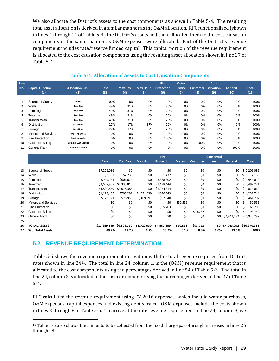We also allocate the District's assets to the cost components as shown in Table 5-4. The resulting total asset allocation is derived in a similar manner as the O&M allocation. RFC functionalized (shown in lines 1 through 11 of Table 5-4) the District's assets and then allocated them to the cost causation components in the same manner as O&M expenses were allocated. Part of the District's revenue requirement includes rate/reserve funded capital. This capital portion of the revenue requirement is allocated to the cost causation components using the resulting asset allocation shown in line 27 of Table 5-4.

| <b>Line</b><br>No. | <b>Capital Function</b><br>(1) | <b>Allocation Basis</b><br>(2)    | <b>Base</b><br>(3) | <b>Max Day</b><br>(4) | <b>Max Hour</b><br>(5) | <b>Fire</b><br><b>Protection</b><br>(6) | <b>Meter</b><br><b>Service</b><br>(7) | <b>Customer</b><br>(8) | Con-<br>servation<br>(9) | General<br>(10) | <b>Total</b><br>(11) |
|--------------------|--------------------------------|-----------------------------------|--------------------|-----------------------|------------------------|-----------------------------------------|---------------------------------------|------------------------|--------------------------|-----------------|----------------------|
|                    | Source of Supply               | Base                              | 100%               | 0%                    | 0%                     | 0%                                      | 0%                                    | 0%                     | 0%                       | 0%              | 100%                 |
| 2                  | Wells                          | Max Day                           | 49%                | 31%                   | 0%                     | 20%                                     | 0%                                    | 0%                     | 0%                       | 0%              | 100%                 |
| 3                  | Pumping                        | Max Day                           | 49%                | 31%                   | 0%                     | 20%                                     | 0%                                    | 0%                     | 0%                       | 0%              | 100%                 |
| 4                  | Treatment                      | Max Day                           | 49%                | 31%                   | 0%                     | 20%                                     | 0%                                    | 0%                     | 0%                       | 0%              | 100%                 |
| 5                  | Transmission                   | Max Day                           | 49%                | 31%                   | 0%                     | 20%                                     | 0%                                    | 0%                     | 0%                       | 0%              | 100%                 |
| 6                  | <b>Distribution</b>            | <b>Max Hour</b>                   | 27%                | 17%                   | 37%                    | 20%                                     | 0%                                    | 0%                     | 0%                       | 0%              | 100%                 |
|                    | Storage                        | <b>Max Hour</b>                   | 27%                | 17%                   | 37%                    | 20%                                     | 0%                                    | 0%                     | 0%                       | 0%              | 100%                 |
| 8                  | Meters and Services            | <b>Meter Service</b>              | 0%                 | 0%                    | 0%                     | 0%                                      | 100%                                  | 0%                     | 0%                       | 0%              | 100%                 |
| 9                  | Fire Protection                | <b>Fire Protection</b>            | 0%                 | 0%                    | 0%                     | 100%                                    | 0%                                    | 0%                     | 0%                       | 0%              | 100%                 |
| 10                 | <b>Customer Billing</b>        | <b>Billing &amp; Cust Service</b> | 0%                 | 0%                    | 0%                     | 0%                                      | 0%                                    | 100%                   | 0%                       | 0%              | 100%                 |
| 11                 | <b>General Plant</b>           | <b>General &amp; Admin</b>        | 0%                 | 0%                    | 0%                     | 0%                                      | 0%                                    | 0%                     | 0%                       | 100%            | 100%                 |

#### **Table 5-4: Allocation of Assets to Cost Causation Components**

|    |                         |              |                |                 | <b>Fire</b>       |               |                 | Conservati |             |              |
|----|-------------------------|--------------|----------------|-----------------|-------------------|---------------|-----------------|------------|-------------|--------------|
|    |                         | <b>Base</b>  | <b>Max Day</b> | <b>Max Hour</b> | <b>Protection</b> | <b>Meters</b> | <b>Customer</b> | on         | General     | <b>Total</b> |
|    |                         |              |                |                 |                   |               |                 |            |             |              |
| 13 | Source of Supply        | \$7,206,086  | \$0            | \$0             | \$0               | \$0           | \$0             | \$0        | \$0         | \$7,206,086  |
| 14 | Wells                   | \$3,507      | \$2,239        | \$0             | \$1,437           | \$0           | \$0             | \$0        | \$0         | Ŝ.<br>7,183  |
| 15 | Pumping                 | \$949,134    | \$606,074      | \$0             | \$388,802         | \$0           | \$0             | \$0        | \$0         | \$1,944,010  |
| 16 | Treatment               | \$3,657,967  | \$2,335,810    | \$0             | \$1,498,444       | \$0           | \$0             | \$0        | \$0         | \$7,492,221  |
| 17 | Transmission            | \$4,820,869  | \$3,078,386    | \$0             | \$1,974,814       | \$0           | \$0             | \$0        | \$0         | \$9,874,069  |
| 18 | <b>Distribution</b>     | \$1,128,465  | \$705,291      | \$1,551,639     | \$846,349         | \$0           | \$0             | \$0        | \$0         | \$4,231,744  |
| 19 | Storage                 | \$123,121    | \$76,950       | \$169,291       | \$92,340          | \$0           | \$0             | \$0        | \$0         | Ś<br>461,702 |
| 20 | Meters and Services     | \$0          | \$0            | \$0             | \$0               | \$50,551      | \$0             | \$0        | \$0         | 50,551<br>S  |
| 21 | Fire Protection         | \$0          | \$0            | \$0             | \$65,703          | \$0           | \$0             | \$0        | \$0         | 65,703<br>Ŝ  |
| 22 | <b>Customer Billing</b> | \$0          | \$0            | \$0             | \$0               | \$0           | \$93,752        | \$0        | \$0         | 93,752<br>Ŝ  |
| 23 | <b>General Plant</b>    | \$0          | \$0            | \$0             | \$0               | \$0           | \$0             | \$0        | \$4,943,292 | \$4,943,292  |
| 25 |                         |              |                |                 |                   |               |                 |            |             |              |
| 26 | <b>TOTAL ASSETS</b>     | \$17,889,149 | \$6,804,750    | \$1,720,930     | \$4,867,889       | \$50,551      | \$93,752        | SO.        | \$4,943,292 | \$36,370,313 |
| 27 | % of Total Assets       | 49.2%        | 18.7%          | 4.7%            | 13.4%             | 0.1%          | 0.3%            | $0.0\%$    | 13.6%       | 100%         |

## **5.2 REVENUE REQUIREMENT DETERMINATION**

Table 5-5 shows the revenue requirement derivation with the total revenue required from District rates shown in line 24[11.](#page-38-0) The total in line 24, column 1, is the (O&M) revenue requirement that is allocated to the cost components using the percentages derived in line 54 of Table 5-3. The total in line 24, column 2 is allocated to the cost components using the percentages derived in line 27 of Table 5-4.

RFC calculated the revenue requirement using FY 2016 expenses, which include water purchases, O&M expenses, capital expenses and existing debt service. O&M expenses include the costs shown in lines 3 through 8 in Table 5-5. To arrive at the rate revenue requirement in line 24, column 3, we

<span id="page-38-0"></span>j <sup>11</sup> Table 5-5 also shows the amounts to be collected from the fixed charge pass-through increases in lines 26 through 28.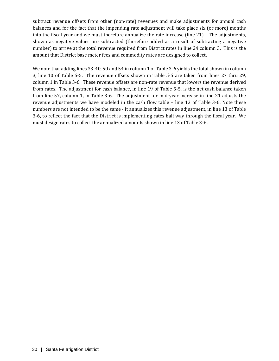subtract revenue offsets from other (non-rate) revenues and make adjustments for annual cash balances and for the fact that the impending rate adjustment will take place six (or more) months into the fiscal year and we must therefore annualize the rate increase (line 21). The adjustments, shown as negative values are subtracted (therefore added as a result of subtracting a negative number) to arrive at the total revenue required from District rates in line 24 column 3. This is the amount that District base meter fees and commodity rates are designed to collect.

We note that adding lines 33-40, 50 and 54 in column 1 of Table 3-6 yields the total shown in column 3, line 10 of Table 5-5. The revenue offsets shown in Table 5-5 are taken from lines 27 thru 29, column 1 in Table 3-6. These revenue offsets are non-rate revenue that lowers the revenue derived from rates. The adjustment for cash balance, in line 19 of Table 5-5, is the net cash balance taken from line 57, column 1, in Table 3-6. The adjustment for mid-year increase in line 21 adjusts the revenue adjustments we have modeled in the cash flow table – line 13 of Table 3-6. Note these numbers are not intended to be the same - it annualizes this revenue adjustment, in line 13 of Table 3-6, to reflect the fact that the District is implementing rates half way through the fiscal year. We must design rates to collect the annualized amounts shown in line 13 of Table 3-6.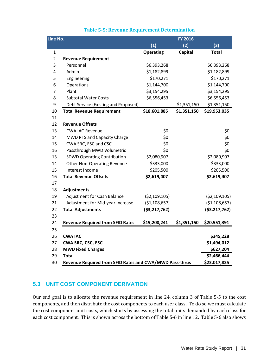| <b>Table 5-5: Revenue Requirement Determination</b> |  |
|-----------------------------------------------------|--|
|-----------------------------------------------------|--|

| Line No.       |                                                         |                  | <b>FY 2016</b> |                  |  |  |
|----------------|---------------------------------------------------------|------------------|----------------|------------------|--|--|
|                |                                                         | (1)              | (2)            | (3)              |  |  |
| $\mathbf{1}$   |                                                         | <b>Operating</b> | Capital        | <b>Total</b>     |  |  |
| $\overline{2}$ | <b>Revenue Requirement</b>                              |                  |                |                  |  |  |
| 3              | Personnel                                               | \$6,393,268      |                | \$6,393,268      |  |  |
| 4              | Admin                                                   | \$1,182,899      |                | \$1,182,899      |  |  |
| 5              | Engineering                                             | \$170,271        |                | \$170,271        |  |  |
| 6              | Operations                                              | \$1,144,700      |                | \$1,144,700      |  |  |
| 7              | Plant                                                   | \$3,154,295      |                | \$3,154,295      |  |  |
| 8              | <b>Subtotal Water Costs</b>                             | \$6,556,453      |                | \$6,556,453      |  |  |
| 9              | Debt Service (Existing and Proposed)                    |                  | \$1,351,150    | \$1,351,150      |  |  |
| 10             | <b>Total Revenue Requirement</b>                        | \$18,601,885     | \$1,351,150    | \$19,953,035     |  |  |
| 11             |                                                         |                  |                |                  |  |  |
| 12             | <b>Revenue Offsets</b>                                  |                  |                |                  |  |  |
| 13             | <b>CWA IAC Revenue</b>                                  | \$0              |                | \$0              |  |  |
| 14             | MWD RTS and Capacity Charge                             | \$0              |                | \$0              |  |  |
| 15             | CWA SRC, ESC and CSC                                    | \$0              |                | \$0              |  |  |
| 16             | Passthrough MWD Volumetric                              | \$0              |                | \$0              |  |  |
| 13             | <b>SDWD Operating Contribution</b>                      | \$2,080,907      |                | \$2,080,907      |  |  |
| 14             | <b>Other Non-Operating Revenue</b>                      | \$333,000        |                | \$333,000        |  |  |
| 15             | Interest Income                                         | \$205,500        |                | \$205,500        |  |  |
| 16             | <b>Total Revenue Offsets</b>                            | \$2,619,407      |                | \$2,619,407      |  |  |
| 17             |                                                         |                  |                |                  |  |  |
| 18             | Adjustments                                             |                  |                |                  |  |  |
| 19             | Adjustment for Cash Balance                             | (52, 109, 105)   |                | (52, 109, 105)   |  |  |
| 21             | Adjustment for Mid-year Increase                        | (51, 108, 657)   |                | (51, 108, 657)   |  |  |
| 22             | <b>Total Adjustments</b>                                | ( \$3, 217, 762) |                | ( \$3, 217, 762) |  |  |
| 23             |                                                         |                  |                |                  |  |  |
| 24             | <b>Revenue Required from SFID Rates</b>                 | \$19,200,241     | \$1,351,150    | \$20,551,391     |  |  |
| 25             |                                                         |                  |                |                  |  |  |
| 26             | <b>CWA IAC</b>                                          |                  |                | \$345,228        |  |  |
| 27             | <b>CWA SRC, CSC, ESC</b>                                |                  |                | \$1,494,012      |  |  |
| 28             | <b>MWD Fixed Charges</b>                                |                  |                | \$627,204        |  |  |
| 29             | <b>Total</b>                                            |                  |                | \$2,466,444      |  |  |
| 30             | Revenue Required from SFID Rates and CWA/MWD Pass-thrus |                  |                | \$23,017,835     |  |  |

## **5.3 UNIT COST COMPONENT DERIVATION**

Our end goal is to allocate the revenue requirement in line 24, column 3 of Table 5-5 to the cost components, and then distribute the cost components to each user class. To do so we must calculate the cost component unit costs, which starts by assessing the total units demanded by each class for each cost component. This is shown across the bottom of Table 5-6 in line 12. Table 5-6 also shows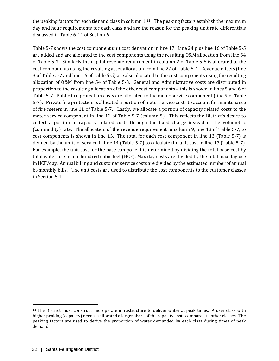the peaking factors for each tier and class in column 1.<sup>[12](#page-41-0)</sup> The peaking factors establish the maximum day and hour requirements for each class and are the reason for the peaking unit rate differentials discussed in Table 6-11 of Section 6.

Table 5-7 shows the cost component unit cost derivation in line 17. Line 24 plus line 16 of Table 5-5 are added and are allocated to the cost components using the resulting O&M allocation from line 54 of Table 5-3. Similarly the capital revenue requirement in column 2 of Table 5-5 is allocated to the cost components using the resulting asset allocation from line 27 of Table 5-4. Revenue offsets (line 3 of Table 5-7 and line 16 of Table 5-5) are also allocated to the cost components using the resulting allocation of O&M from line 54 of Table 5-3. General and Administrative costs are distributed in proportion to the resulting allocation of the other cost components – this is shown in lines 5 and 6 of Table 5-7. Public fire protection costs are allocated to the meter service component (line 9 of Table 5-7). Private fire protection is allocated a portion of meter service costs to account for maintenance of fire meters in line 11 of Table 5-7. Lastly, we allocate a portion of capacity related costs to the meter service component in line 12 of Table 5-7 (column 5). This reflects the District's desire to collect a portion of capacity related costs through the fixed charge instead of the volumetric (commodity) rate. The allocation of the revenue requirement in column 9, line 13 of Table 5-7, to cost components is shown in line 13. The total for each cost component in line 13 (Table 5-7) is divided by the units of service in line 14 (Table 5-7) to calculate the unit cost in line 17 (Table 5-7). For example, the unit cost for the base component is determined by dividing the total base cost by total water use in one hundred cubic feet (HCF). Max day costs are divided by the total max day use in HCF/day. Annual billing and customer service costs are divided by the estimated number of annual bi-monthly bills. The unit costs are used to distribute the cost components to the customer classes in Section 5.4.

<span id="page-41-0"></span>j  $12$  The District must construct and operate infrastructure to deliver water at peak times. A user class with higher peaking (capacity) needs is allocated a larger share of the capacity costs compared to other classes. The peaking factors are used to derive the proportion of water demanded by each class during times of peak demand.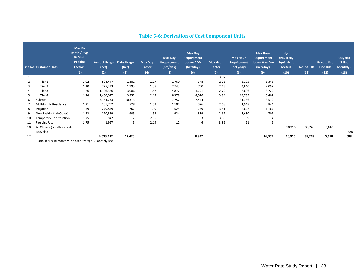|    | <b>Line No Customer Class</b>                                                                                                                                                                                                 | Max Bi-<br>Mnth / Avg<br><b>Bi-Mnth</b><br>Peaking<br>Factors <sup>1</sup> | <b>Annual Usage</b><br>(hcf) | <b>Daily Usage</b><br>(hcf) | <b>Max Day</b><br>Factor | Max Day<br><b>Requirement</b><br>(hcf/day) | <b>Max Day</b><br>Requirement<br>above ADD<br>(hcf/day) | <b>Max Hour</b><br>Factor | <b>Max Hour</b><br>Requirement<br>(hcf/day) | <b>Max Hour</b><br>Requirement<br>above Max Day<br>(hcf/day) | Hy-<br>draulically<br><b>Equivalent</b><br><b>Meters</b> | No. of Bills | <b>Private Fire</b><br><b>Line Bills</b> | Recycled<br>(Billed<br>Monthly) |
|----|-------------------------------------------------------------------------------------------------------------------------------------------------------------------------------------------------------------------------------|----------------------------------------------------------------------------|------------------------------|-----------------------------|--------------------------|--------------------------------------------|---------------------------------------------------------|---------------------------|---------------------------------------------|--------------------------------------------------------------|----------------------------------------------------------|--------------|------------------------------------------|---------------------------------|
|    |                                                                                                                                                                                                                               | (1)                                                                        | (2)                          | (3)                         | (4)                      | (5)                                        | (6)                                                     | (7)                       | (8)                                         | (9)                                                          | (10)                                                     | (11)         | (12)                                     | (13)                            |
| 1  | SFR                                                                                                                                                                                                                           |                                                                            |                              |                             |                          |                                            |                                                         | 3.07                      |                                             |                                                              |                                                          |              |                                          |                                 |
| 2  | Tier 1                                                                                                                                                                                                                        | 1.02                                                                       | 504,447                      | 1,382                       | 1.27                     | 1,760                                      | 378                                                     | 2.25                      | 3,105                                       | 1,346                                                        |                                                          |              |                                          |                                 |
| 3  | Tier 2                                                                                                                                                                                                                        | 1.10                                                                       | 727,433                      | 1,993                       | 1.38                     | 2,743                                      | 750                                                     | 2.43                      | 4,840                                       | 2,097                                                        |                                                          |              |                                          |                                 |
|    | Tier 3                                                                                                                                                                                                                        | 1.26                                                                       | 1,126,326                    | 3,086                       | 1.58                     | 4,877                                      | 1,791                                                   | 2.79                      | 8,606                                       | 3,729                                                        |                                                          |              |                                          |                                 |
| 5  | Tier 4                                                                                                                                                                                                                        | 1.74                                                                       | 1,406,027                    | 3,852                       | 2.17                     | 8,378                                      | 4,526                                                   | 3.84                      | 14,785                                      | 6,407                                                        |                                                          |              |                                          |                                 |
| 6  | Subtotal                                                                                                                                                                                                                      |                                                                            | 3,764,233                    | 10,313                      |                          | 17,757                                     | 7,444                                                   |                           | 31,336                                      | 13,579                                                       |                                                          |              |                                          |                                 |
|    | <b>Multifamily Residence</b>                                                                                                                                                                                                  | 1.21                                                                       | 265,752                      | 728                         | 1.52                     | 1,104                                      | 376                                                     | 2.68                      | 1,948                                       | 844                                                          |                                                          |              |                                          |                                 |
| 8  | Irrigation                                                                                                                                                                                                                    | 1.59                                                                       | 279,859                      | 767                         | 1.99                     | 1,525                                      | 759                                                     | 3.51                      | 2,692                                       | 1,167                                                        |                                                          |              |                                          |                                 |
| 9  | Non Residential (Other)                                                                                                                                                                                                       | 1.22                                                                       | 220,829                      | 605                         | 1.53                     | 924                                        | 319                                                     | 2.69                      | 1,630                                       | 707                                                          |                                                          |              |                                          |                                 |
| 10 | <b>Temporary Construction</b>                                                                                                                                                                                                 | 1.75                                                                       | 842                          | $\overline{2}$              | 2.19                     | 5                                          | 3                                                       | 3.86                      | 9                                           | $\overline{4}$                                               |                                                          |              |                                          |                                 |
| 11 | Fire Line Use                                                                                                                                                                                                                 | 1.75                                                                       | 1,967                        | 5                           | 2.19                     | 12                                         | 6                                                       | 3.86                      | 21                                          | 9                                                            |                                                          |              |                                          |                                 |
| 10 | All Classes (Less Recycled)                                                                                                                                                                                                   |                                                                            |                              |                             |                          |                                            |                                                         |                           |                                             |                                                              | 10,915                                                   | 38,748       | 5,010                                    |                                 |
| 11 | Recycled                                                                                                                                                                                                                      |                                                                            |                              |                             |                          |                                            |                                                         |                           |                                             |                                                              |                                                          |              |                                          | 588                             |
| 12 |                                                                                                                                                                                                                               |                                                                            | 4,533,482                    | 12,420                      |                          |                                            | 8,907                                                   |                           |                                             | 16,309                                                       | 10,915                                                   | 38,748       | 5,010                                    | 588                             |
|    | The contract and the state of the contract of the contract of the contract of the contract of the contract of the contract of the contract of the contract of the contract of the contract of the contract of the contract of |                                                                            | $\sim$                       |                             |                          |                                            |                                                         |                           |                                             |                                                              |                                                          |              |                                          |                                 |

## **Table 5-6: Derivation of Cost Component Units**

<sup>1</sup> Ratio of Max Bi-monthly use over Average Bi-monthly use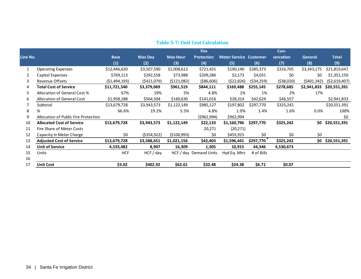|          |                                      |                |                |                 | <b>Fire</b>            |                               |              | Con-      |                |                |
|----------|--------------------------------------|----------------|----------------|-----------------|------------------------|-------------------------------|--------------|-----------|----------------|----------------|
| Line No. |                                      | <b>Base</b>    | <b>Max Day</b> | <b>Max Hour</b> | <b>Protection</b>      | <b>Meter Service Customer</b> |              | servation | <b>General</b> | <b>Total</b>   |
|          |                                      | (1)            | (2)            | (3)             | (4)                    | (5)                           | (6)          | (7)       | (8)            | (9)            |
|          | <b>Operating Expenses</b>            | \$12,446,620   | \$3,507,590    | \$1,008,612     | \$721,431              | \$190,140                     | \$285,373    | \$316,705 | \$3,343,175    | \$21,819,647   |
| 2        | Capital Expenses                     | \$769,113      | \$292,558      | \$73,988        | \$209,286              | \$2,173                       | \$4,031      | \$0       | \$0            | \$1,351,150    |
| 3        | <b>Revenue Offsets</b>               | (51, 494, 193) | (5421,079)     | (5121,082)      | ( \$86, 606)           | (522, 826)                    | ( \$34, 259) | (538,020) | (5401, 342)    | ( \$2,619,407) |
| 4        | <b>Total Cost of Service</b>         | \$11,721,540   | \$3,379,069    | \$961,519       | \$844,111              | \$169,488                     | \$255,145    | \$278,685 | \$2,941,833    | \$20,551,391   |
| 5        | Allocation of General Cost %         | 67%            | 19%            | 5%              | 4.8%                   | 1%                            | 1%           | 2%        | 17%            |                |
| 6        | Allocation of General Cost           | \$1,958,188    | \$564,504      | \$160,630       | \$141,016              | \$28,314                      | \$42,624     | \$46,557  |                | \$2,941,833    |
|          | Subtotal                             | \$13,679,728   | \$3,943,573    | \$1,122,149     | \$985,127              | \$197,802                     | \$297,770    | \$325,242 |                | \$20,551,391   |
| 8        | %                                    | 66.6%          | 19.2%          | 5.5%            | 4.8%                   | 1.0%                          | 1.4%         | 1.6%      | 0.0%           | 100%           |
| 9        | Allocation of Public Fire Protection |                |                |                 | (5962, 994)            | \$962,994                     |              |           |                | \$0            |
| 10       | <b>Allocated Cost of Service</b>     | \$13,679,728   | \$3,943,573    | \$1,122,149     | \$22,133               | \$1,160,796                   | \$297,770    | \$325,242 | \$0            | \$20,551,391   |
| 11       | Fire Share of Meter Costs            |                |                |                 | 20,271                 | (20, 271)                     |              |           |                |                |
| 12       | Capacity in Meter Charge             | \$0            | ( \$354, 922)  | ( \$100,993)    | \$0                    | \$455,915                     | \$0          | \$0       | \$0            |                |
| 13       | <b>Adjusted Cost of Service</b>      | \$13,679,728   | \$3,588,651    | \$1,021,156     | \$42,403               | \$1,596,441                   | \$297,770    | \$325,242 | \$0            | \$20,551,391   |
| 14       | <b>Unit of Service</b>               | 4,533,482      | 8,907          | 16,309          | 1,305                  | 10,915                        | 44,346       | 4,530,673 |                |                |
| 15       | Units                                | <b>HCF</b>     | $HCF$ / day    |                 | HCF / day Demand Units | Hyd Eq. Mtrs                  | # of Bills   |           |                |                |
| 16       |                                      |                |                |                 |                        |                               |              |           |                |                |
| 17       | <b>Unit Cost</b>                     | \$3.02         | \$402.92       | \$62.61         | \$32.48                | \$24.38                       | \$6.71       | \$0.07    |                |                |

## **Table 5-7: Unit Cost Calculation**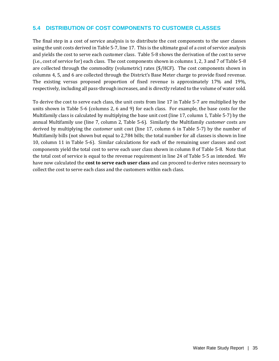## **5.4 DISTRIBUTION OF COST COMPONENTS TO CUSTOMER CLASSES**

The final step in a cost of service analysis is to distribute the cost components to the user classes using the unit costs derived in Table 5-7, line 17. This is the ultimate goal of a cost of service analysis and yields the cost to serve each customer class. Table 5-8 shows the derivation of the cost to serve (i.e., cost of service for) each class. The cost components shown in columns 1, 2, 3 and 7 of Table 5-8 are collected through the commodity (volumetric) rates (\$/HCF). The cost components shown in columns 4, 5, and 6 are collected through the District's Base Meter charge to provide fixed revenue. The existing versus proposed proportion of fixed revenue is approximately 17% and 19%, respectively, including all pass-through increases, and is directly related to the volume of water sold.

To derive the cost to serve each class, the unit costs from line 17 in Table 5-7 are multiplied by the units shown in Table 5-6 (columns 2, 6 and 9) for each class. For example, the base costs for the Multifamily class is calculated by multiplying the base unit cost (line 17, column 1, Table 5-7) by the annual Multifamily use (line 7, column 2, Table 5-6). Similarly the Multifamily *customer* costs are derived by multiplying the *customer* unit cost (line 17, column 6 in Table 5-7) by the number of Multifamily bills (not shown but equal to 2,784 bills; the total number for all classes is shown in line 10, column 11 in Table 5-6). Similar calculations for each of the remaining user classes and cost components yield the total cost to serve each user class shown in column 8 of Table 5-8. Note that the total cost of service is equal to the revenue requirement in line 24 of Table 5-5 as intended. We have now calculated the **cost to serve each user class** and can proceed to derive rates necessary to collect the cost to serve each class and the customers within each class.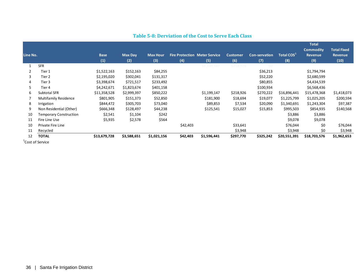| Line No. |                               | <b>Base</b><br>(1) | <b>Max Day</b><br>(2) | <b>Max Hour</b><br>(3) | (4)      | <b>Fire Protection Meter Service</b><br>(5) | <b>Customer</b><br>(6) | <b>Con-servation</b><br>(7) | Total COS <sup>1</sup><br>(8) | <b>Total</b><br><b>Commodity</b><br><b>Revenue</b><br>(9) | <b>Total Fixed</b><br><b>Revenue</b><br>(10) |
|----------|-------------------------------|--------------------|-----------------------|------------------------|----------|---------------------------------------------|------------------------|-----------------------------|-------------------------------|-----------------------------------------------------------|----------------------------------------------|
|          | <b>SFR</b>                    |                    |                       |                        |          | \$1,199,147                                 | \$218,926              | -SO                         |                               |                                                           |                                              |
| 2        | Tier 1                        | \$1,522,163        | \$152,163             | \$84,255               |          |                                             |                        | \$36,213                    |                               | \$1,794,794                                               |                                              |
| 3        | Tier 2                        | \$2,195,020        | \$302,041             | \$131,317              |          |                                             |                        | \$52,220                    |                               | \$2,680,599                                               |                                              |
| 4        | Tier 3                        | \$3,398,674        | \$721,517             | \$233,492              |          |                                             |                        | \$80,855                    |                               | \$4,434,539                                               |                                              |
| 5        | Tier 4                        | \$4,242,671        | \$1,823,674           | \$401,158              |          |                                             |                        | \$100,934                   |                               | \$6,568,436                                               |                                              |
| 6        | Subtotal SFR                  | \$11,358,528       | \$2,999,397           | \$850,222              |          | \$1,199,147                                 | \$218,926              | \$270,222                   | \$16,896,441                  | \$15,478,368                                              | \$1,418,073                                  |
|          | <b>Multifamily Residence</b>  | \$801,905          | \$151,373             | \$52,850               |          | \$181,900                                   | \$18,694               | \$19,077                    | \$1,225,799                   | \$1,025,205                                               | \$200,594                                    |
| 8        | Irrigation                    | \$844,472          | \$305,703             | \$73,040               |          | \$89,853                                    | \$7,534                | \$20,090                    | \$1,340,691                   | \$1,243,304                                               | \$97,387                                     |
| 9        | Non Residential (Other)       | \$666,348          | \$128,497             | \$44,238               |          | \$125,541                                   | \$15,027               | \$15,853                    | \$995,503                     | \$854,935                                                 | \$140,568                                    |
| 10       | <b>Temporary Construction</b> | \$2,541            | \$1,104               | \$242                  |          |                                             |                        |                             | \$3,886                       | \$3,886                                                   |                                              |
| 11       | Fire Line Use                 | \$5,935            | \$2,578               | \$564                  |          |                                             |                        |                             | \$9,078                       | \$9,078                                                   |                                              |
| 10       | Private Fire Line             |                    |                       |                        | \$42,403 |                                             | \$33,641               |                             | \$76,044                      | \$0                                                       | \$76,044                                     |
| 11       | Recycled                      |                    |                       |                        |          |                                             | \$3,948                |                             | \$3,948                       | \$0                                                       | \$3,948                                      |
| 12       | <b>TOTAL</b>                  | \$13,679,728       | \$3,588,651           | \$1,021,156            | \$42,403 | \$1,596,441                                 | \$297,770              | \$325,242                   | \$20,551,391                  | \$18,703,576                                              | \$1,962,653                                  |
|          | $1 - 1 - 1$                   |                    |                       |                        |          |                                             |                        |                             |                               |                                                           |                                              |

## **Table 5-8: Derviation of the Cost to Serve Each Class**

Cost of Service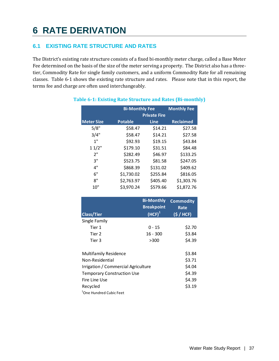# **6 RATE DERIVATION**

## **6.1 EXISTING RATE STRUCTURE AND RATES**

The District's existing rate structure consists of a fixed bi-monthly meter charge, called a Base Meter Fee determined on the basis of the size of the meter serving a property. The District also has a threetier, Commodity Rate for single family customers, and a uniform Commodity Rate for all remaining classes. Table 6-1 shows the existing rate structure and rates. Please note that in this report, the terms fee and charge are often used interchangeably.

|                                     | <b>Bi-Monthly Fee</b> | <b>Monthly Fee</b>  |                  |
|-------------------------------------|-----------------------|---------------------|------------------|
|                                     |                       | <b>Private Fire</b> |                  |
| <b>Meter Size</b>                   | <b>Potable</b>        | <b>Line</b>         | <b>Reclaimed</b> |
| 5/8"                                | \$58.47               | \$14.21             | \$27.58          |
| 3/4"                                | \$58.47               | \$14.21             | \$27.58          |
| 1 <sup>0</sup>                      | \$92.93               | \$19.15             | \$43.84          |
| 11/2"                               | \$179.10              | \$31.51             | \$84.48          |
| 2"                                  | \$282.49              | \$46.97             | \$133.25         |
| 3"                                  | \$523.75              | \$81.58             | \$247.05         |
| 4"                                  | \$868.39              | \$131.02            | \$409.62         |
| 6"                                  | \$1,730.02            | \$255.84            | \$816.05         |
| 8"                                  | \$2,763.97            | \$405.40            | \$1,303.76       |
| 10"                                 | \$3,970.24            | \$579.66            | \$1,872.76       |
|                                     |                       |                     |                  |
|                                     |                       | <b>Bi-Monthly</b>   | <b>Commodity</b> |
|                                     |                       | <b>Breakpoint</b>   | <b>Rate</b>      |
| <b>Class/Tier</b>                   |                       | $(HCF)^1$           | (S / HCF)        |
| Single Family                       |                       |                     |                  |
| Tier 1                              |                       | $0 - 15$            | \$2.70           |
| Tier 2                              |                       | $16 - 300$          | \$3.84           |
| Tier 3                              |                       | >300                | \$4.39           |
|                                     |                       |                     |                  |
| <b>Multifamily Residence</b>        |                       |                     | \$3.84           |
| Non-Residential                     |                       |                     | \$3.71           |
| Irrigation / Commercial Agriculture |                       | \$4.04              |                  |
| <b>Temporary Construction Use</b>   |                       |                     | \$4.39           |
| Fire Line Use                       | \$4.39                |                     |                  |
| Recycled                            |                       |                     | \$3.19           |
| <sup>1</sup> One Hundred Cubic Feet |                       |                     |                  |

## **Table 6-1: Existing Rate Structure and Rates (Bi-monthly)**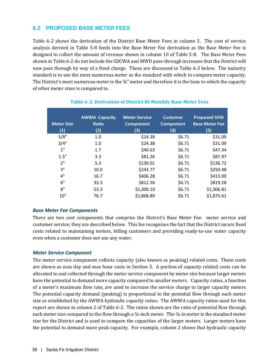## **6.2 PROPOSED BASE METER FEES**

Table 6-2 shows the derivation of the District Base Meter Fees in column 5. The cost of service analysis derived in Table 5-8 feeds into the Base Meter Fee derivation as the Base Meter Fee is designed to collect the amount of revenue shown in column 10 of Table 5-8. The Base Meter Fees shown in Table 6-2 do not include the SDCWA and MWD pass-through increases that the District will now pass through by way of a fixed charge. These are discussed in Table 6-3 below. The industry standard is to use the most numerous meter as the standard with which to compare meter capacity. The District's most numerous meter is the  $\frac{3}{4}$ " meter and therefore it is the base to which the capacity of other meter sizes is compared to.

| <b>Meter Size</b><br>(1) | <b>AWWA Capacity</b><br><b>Ratio</b><br>(2) | <b>Meter Service</b><br><b>Component</b><br>(3) | <b>Customer</b><br><b>Component</b><br>(4) | <b>Proposed SFID</b><br><b>Base Meter Fee</b><br>(5) |
|--------------------------|---------------------------------------------|-------------------------------------------------|--------------------------------------------|------------------------------------------------------|
| 5/8"                     | 1.0                                         | \$24.38                                         | \$6.71                                     | \$31.09                                              |
| 3/4"                     | 1.0                                         | \$24.38                                         | \$6.71                                     | \$31.09                                              |
| 1"                       | 1.7                                         | \$40.63                                         | \$6.71                                     | \$47.34                                              |
| 1.5"                     | 3.3                                         | \$81.26                                         | \$6.71                                     | \$87.97                                              |
| 2"                       | 5.3                                         | \$130.01                                        | \$6.71                                     | \$136.72                                             |
| 3"                       | 10.0                                        | \$243.77                                        | \$6.71                                     | \$250.48                                             |
| 4"                       | 16.7                                        | \$406.28                                        | \$6.71                                     | \$413.00                                             |
| 6"                       | 33.3                                        | \$812.56                                        | \$6.71                                     | \$819.28                                             |
| 8"                       | 53.3                                        | \$1,300.10                                      | \$6.71                                     | \$1,306.81                                           |
| 10"                      | 76.7                                        | \$1,868.89                                      | \$6.71                                     | \$1,875.61                                           |

#### **Table 6-2: Derivation of District Bi-Monthly Base Meter Fees**

#### *Base Meter Fee Components*

There are two cost components that comprise the District's Base Meter Fee: meter service and customer service; they are described below. This fee recognizes the fact that the District incurs fixed costs related to maintaining meters, billing customers and providing ready-to-use water capacity even when a customer does not use any water.

#### *Meter Service Component*

The meter service component collects capacity (also known as peaking) related costs. These costs are shown as max day and max hour costs in Section 5. A portion of capacity related costs can be allocated to and collected through the meter service component by meter size because larger meters have the potential to demand more capacity compared to smaller meters. Capacity ratios, a function of a meter's maximum flow rate, are used to increase the service charge to larger capacity meters The potential capacity demand (peaking) is proportional to the potential flow through each meter size as established by the AWWA hydraulic capacity ratios. The AWWA capacity ratios used for this report are shown in column 2 of Table 6-2. The ratios shown are the ratio of potential flow through each meter size compared to the flow through a  $\frac{3}{4}$ -inch meter. The  $\frac{3}{4}$ -in meter is the standard meter size for the District and is used to compare the capacities of the larger meters. Larger meters have the potential to demand more peak capacity. For example, column 2 shows that hydraulic capacity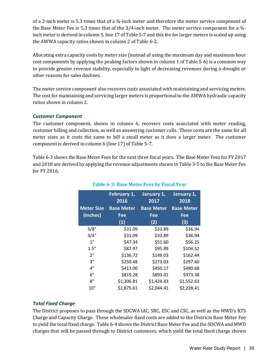of a 2-inch meter is 5.3 times that of a ¾-inch meter and therefore the meter service component of the Base Meter Fee is 5.3 times that of the 3/4-inch meter. The meter service component for a  $\frac{3}{4}$ inch meter is derived in column 5, line 17 of Table 5-7 and this fee for larger meters is scaled up using the AWWA capacity ratios shown in column 2 of Table 6-2.

Allocating extra capacity costs by meter size (instead of using the maximum day and maximum hour cost components by applying the peaking factors shown in column 1 of Table 5-6) is a common way to provide greater revenue stability, especially in light of decreasing revenues during a drought or other reasons for sales declines.

The meter service component also recovers costs associated with maintaining and servicing meters. The cost for maintaining and servicing larger meters is proportional to the AWWA hydraulic capacity ratios shown in column 2.

#### *Customer Component*

The customer component, shown in column 4, recovers costs associated with meter reading, customer billing and collection, as well as answering customer calls. These costs are the same for all meter sizes as it costs the same to bill a small meter as it does a larger meter. The customer component is derived in column 6 (line 17) of Table 5-7.

Table 6-3 shows the Base Meter Fees for the next three fiscal years. The Base Meter Fees for FY 2017 and 2018 are derived by applying the revenue adjustments shown in Table 3-5 to the Base Meter Fee for FY 2016.

|                   | February 1,<br>2016 | January 1,<br>2017 | January 1,<br>2018 |  |
|-------------------|---------------------|--------------------|--------------------|--|
| <b>Meter Size</b> | <b>Base Meter</b>   | <b>Base Meter</b>  | <b>Base Meter</b>  |  |
| (Inches)          | Fee                 | Fee                | Fee                |  |
|                   | (1)                 | (2)                | (3)                |  |
| 5/8"              | \$31.09             | \$33.89            | \$36.94            |  |
| 3/4"              | \$31.09             | \$33.89            | \$36.94            |  |
| 1"                | \$47.34             | \$51.60            | \$56.25            |  |
| 1.5"              | \$87.97             | \$95.89            | \$104.52           |  |
| 2"                | \$136.72            | \$149.03           | \$162.44           |  |
| 3"                | \$250.48            | \$273.03           | \$297.60           |  |
| 4"                | \$413.00            | \$450.17           | \$490.68           |  |
| 6"                | \$819.28            | \$893.01           | \$973.38           |  |
| 8"                | \$1,306.81          | \$1,424.43         | \$1,552.63         |  |
| 10"               | \$1,875.61          | \$2,044.41         | \$2,228.41         |  |

## **Table 6-3: Base Meter Fees by Fiscal Year**

#### *Total Fixed Charge*

The District proposes to pass through the SDCWA IAC, SRC, ESC and CSC, as well as the MWD's RTS Charge and Capacity Charge. These wholesaler fixed costs are added to the Districts Base Meter Fee to yield the total fixed charge. Table 6-4 shows the District Base Meter Fee and the SDCWA and MWD charges that will be passed through to District customers, which yield the total fixed charge shown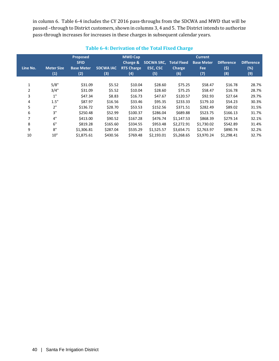in column 6. Table 6-4 includes the CY 2016 pass-throughs from the SDCWA and MWD that will be passed –through to District customers, shown in columns 3, 4 and 5. The District intends to authorize pass-through increases for increases in these charges in subsequent calendar years.

|                |                   |                         |                  |                            |                   | ີ                  |                                     |                   |                   |
|----------------|-------------------|-------------------------|------------------|----------------------------|-------------------|--------------------|-------------------------------------|-------------------|-------------------|
|                |                   | Proposed<br><b>SFID</b> |                  | <b>MWD Cap</b><br>Charge & | <b>SDCWA SRC,</b> | <b>Total Fixed</b> | <b>Current</b><br><b>Base Meter</b> | <b>Difference</b> | <b>Difference</b> |
| Line No.       | <b>Meter Size</b> | <b>Base Meter</b>       | <b>SDCWA IAC</b> | <b>RTS Charge</b>          | <b>ESC, CSC</b>   | <b>Charge</b>      | Fee                                 | (5)               | (%)               |
|                | (1)               | (2)                     | (3)              | (4)                        | (5)               | (6)                | (7)                                 | (8)               | (9)               |
|                |                   |                         |                  |                            |                   |                    |                                     |                   |                   |
| $\mathbf{1}$   | 5/8"              | \$31.09                 | \$5.52           | \$10.04                    | \$28.60           | \$75.25            | \$58.47                             | \$16.78           | 28.7%             |
| $\overline{2}$ | 3/4"              | \$31.09                 | \$5.52           | \$10.04                    | \$28.60           | \$75.25            | \$58.47                             | \$16.78           | 28.7%             |
| 3              | 1"                | \$47.34                 | \$8.83           | \$16.73                    | \$47.67           | \$120.57           | \$92.93                             | \$27.64           | 29.7%             |
| 4              | 1.5"              | \$87.97                 | \$16.56          | \$33.46                    | \$95.35           | \$233.33           | \$179.10                            | \$54.23           | 30.3%             |
| 5              | 2"                | \$136.72                | \$28.70          | \$53.53                    | \$152.56          | \$371.51           | \$282.49                            | \$89.02           | 31.5%             |
| 6              | 3"                | \$250.48                | \$52.99          | \$100.37                   | \$286.04          | \$689.88           | \$523.75                            | \$166.13          | 31.7%             |
| 7              | 4"                | \$413.00                | \$90.52          | \$167.28                   | \$476.74          | \$1,147.53         | \$868.39                            | \$279.14          | 32.1%             |
| 8              | 6"                | \$819.28                | \$165.60         | \$334.55                   | \$953.48          | \$2,272.91         | \$1,730.02                          | \$542.89          | 31.4%             |
| 9              | 8"                | \$1,306.81              | \$287.04         | \$535.29                   | \$1,525.57        | \$3,654.71         | \$2,763.97                          | \$890.74          | 32.2%             |
| 10             | 10"               | \$1,875.61              | \$430.56         | \$769.48                   | \$2,193.01        | \$5,268.65         | \$3,970.24                          | \$1,298.41        | 32.7%             |
|                |                   |                         |                  |                            |                   |                    |                                     |                   |                   |

## **Table 6-4: Derivation of the Total Fixed Charge**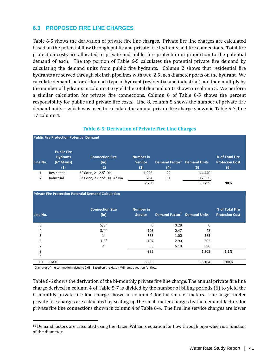## **6.3 PROPOSED FIRE LINE CHARGES**

Table 6-5 shows the derivation of private fire line charges. Private fire line charges are calculated based on the potential flow through public and private fire hydrants and fire connections. Total fire protection costs are allocated to private and public fire protection in proportion to the potential demand of each. The top portion of Table 6-5 calculates the potential private fire demand by calculating the demand units from public fire hydrants. Column 2 shows that residential fire hydrants are served through six inch pipelines with two, 2.5 inch diameter ports on the hydrant. We calculate demand factors<sup>[13](#page-50-0)</sup> for each type of hydrant (residential and industrial) and then multiply by the number of hydrants in column 3 to yield the total demand units shown in column 5. We perform a similar calculation for private fire connections. Column 6 of Table 6-5 shows the percent responsibility for public and private fire costs. Line 8, column 5 shows the number of private fire demand units – which was used to calculate the annual private fire charge shown in Table 5-7, line 17 column 4.

|          | <b>Public Fire Protection Potential Demand</b>             |                                       |                                           |                                                              |        |                                                 |  |  |  |  |  |  |  |
|----------|------------------------------------------------------------|---------------------------------------|-------------------------------------------|--------------------------------------------------------------|--------|-------------------------------------------------|--|--|--|--|--|--|--|
| Line No. | <b>Public Fire</b><br><b>Hydrants</b><br>(6" Mains)<br>(1) | <b>Connection Size</b><br>(in)<br>(2) | <b>Number in</b><br><b>Service</b><br>(3) | Demand Factor <sup>1</sup> Demand Units<br>$\left( 4\right)$ | (5)    | % of Total Fire<br><b>Protecion Cost</b><br>(6) |  |  |  |  |  |  |  |
|          | Residential                                                | 6" Conn, 2 - 2.5" Dia                 | 1,996                                     | 22                                                           | 44,440 |                                                 |  |  |  |  |  |  |  |
| 2        | Industrial                                                 | 6" Conn, 2 - 2.5" Dia, 4" Dia         | 204                                       | 61                                                           | 12,359 |                                                 |  |  |  |  |  |  |  |
|          |                                                            |                                       | 2,200                                     |                                                              | 56,799 | 98%                                             |  |  |  |  |  |  |  |

#### **Table 6-5: Derivation of Private Fire Line Charges**

| <b>Private Fire Protection Potential Demand Calculation</b> |                                |                                    |                                         |        |                                          |  |  |  |  |  |  |  |  |
|-------------------------------------------------------------|--------------------------------|------------------------------------|-----------------------------------------|--------|------------------------------------------|--|--|--|--|--|--|--|--|
| Line No.                                                    | <b>Connection Size</b><br>(in) | <b>Number in</b><br><b>Service</b> | Demand Factor <sup>1</sup> Demand Units |        | % of Total Fire<br><b>Protecion Cost</b> |  |  |  |  |  |  |  |  |
| 3                                                           | 5/8"                           | $\Omega$                           | 0.29                                    | 0      |                                          |  |  |  |  |  |  |  |  |
| 4                                                           | 3/4"                           | 103                                | 0.47                                    | 48     |                                          |  |  |  |  |  |  |  |  |
| 5                                                           | 1"                             | 565                                | 1.00                                    | 565    |                                          |  |  |  |  |  |  |  |  |
| 6                                                           | 1.5"                           | 104                                | 2.90                                    | 302    |                                          |  |  |  |  |  |  |  |  |
|                                                             | 2"                             | 63                                 | 6.19                                    | 390    |                                          |  |  |  |  |  |  |  |  |
| 8                                                           |                                | 835                                |                                         | 1,305  | 2.2%                                     |  |  |  |  |  |  |  |  |
| 9                                                           |                                |                                    |                                         |        |                                          |  |  |  |  |  |  |  |  |
| Total<br>10                                                 |                                | 3,035                              |                                         | 58,104 | 100%                                     |  |  |  |  |  |  |  |  |

 $^{1}$ Diameter of the connection raised to 2.63 - Based on the Hazen-Williams equation for flow.

Table 6-6 shows the derivation of the bi-monthly private fire line charge. The annual private fire line charge derived in column 4 of Table 5-7 is divided by the number of billing periods (6) to yield the bi-monthly private fire line charge shown in column 4 for the smaller meters. The larger meter private fire charges are calculated by scaling up the small meter charges by the demand factors for private fire line connections shown in column 4 of Table 6-4. The fire line service charges are lower

<span id="page-50-0"></span>j  $<sup>13</sup>$  Demand factors are calculated using the Hazen Williams equation for flow through pipe which is a function</sup> of the diameter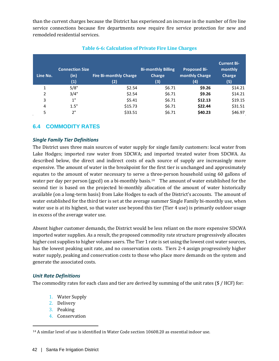than the current charges because the District has experienced an increase in the number of fire line service connections because fire departments now require fire service protection for new and remodeled residential services.

| Line No. | <b>Connection Size</b><br>(in)<br>(1) | Fire Bi-monthly Charge<br>(2) | <b>Bi-monthly Billing</b><br><b>Charge</b><br>(3) | <b>Proposed Bi-</b><br>monthly Charge<br>(4) | <b>Current Bi-</b><br>monthly<br><b>Charge</b><br>(5) |
|----------|---------------------------------------|-------------------------------|---------------------------------------------------|----------------------------------------------|-------------------------------------------------------|
| 1        | 5/8"                                  | \$2.54                        | \$6.71                                            | \$9.26                                       | \$14.21                                               |
| 2        | 3/4"                                  | \$2.54                        | \$6.71                                            | \$9.26                                       | \$14.21                                               |
| 3        | 1"                                    | \$5.41                        | \$6.71                                            | \$12.13                                      | \$19.15                                               |
| 4        | 1.5"                                  | \$15.73                       | \$6.71                                            | \$22.44                                      | \$31.51                                               |
| 5        | 2"                                    | \$33.51                       | \$6.71                                            | \$40.23                                      | \$46.97                                               |

### **Table 6-6: Calculation of Private Fire Line Charges**

## **6.4 COMMODITY RATES**

#### *Single Family Tier Definitions*

The District uses three main sources of water supply for single family customers: local water from Lake Hodges; imported raw water from SDCWA; and imported treated water from SDCWA. As described below, the direct and indirect costs of each source of supply are increasingly more expensive. The amount of water in the breakpoint for the first tier is unchanged and approximately equates to the amount of water necessary to serve a three-person household using 60 gallons of water per day per person (gpcd) on a bi-monthly basis.<sup>14</sup> The amount of water established for the second tier is based on the projected bi-monthly allocation of the amount of water historically available (on a long-term basis) from Lake Hodges to each of the District's accounts. The amount of water established for the third tier is set at the average summer Single Family bi-monthly use, when water use is at its highest, so that water use beyond this tier (Tier 4 use) is primarily outdoor usage in excess of the average water use.

Absent higher customer demands, the District would be less reliant on the more expensive SDCWA imported water supplies. As a result, the proposed commodity rate structure progressively allocates higher cost supplies to higher volume users. The Tier 1 rate is set using the lowest cost water sources, has the lowest peaking unit rate, and no conservation costs. Tiers 2-4 assign progressively higher water supply, peaking and conservation costs to those who place more demands on the system and generate the associated costs.

#### *Unit Rate Definitions*

The commodity rates for each class and tier are derived by summing of the unit rates (\$ / HCF) for:

- 1. Water Supply
- 2. Delivery
- 3. Peaking
- 4. Conservation

<span id="page-51-0"></span>j <sup>14</sup> A similar level of use is identified in Water Code section 10608.20 as essential indoor use.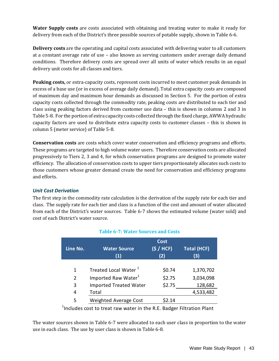**Water Supply costs** are costs associated with obtaining and treating water to make it ready for delivery from each of the District's three possible sources of potable supply, shown in Table 6-6.

**Delivery costs** are the operating and capital costs associated with delivering water to all customers at a constant average rate of use – also known as serving customers under average daily demand conditions. Therefore delivery costs are spread over all units of water which results in an equal delivery unit costs for all classes and tiers.

**Peaking costs,** or extra-capacity costs, represent costs incurred to meet customer peak demands in excess of a base use (or in excess of average daily demand). Total extra capacity costs are composed of maximum day and maximum hour demands as discussed in Section 5. For the portion of extra capacity costs collected through the commodity rate, peaking costs are distributed to each tier and class using peaking factors derived from customer use data – this is shown in columns 2 and 3 in Table 5-8. For the portion of extra capacity costs collected through the fixed charge, AWWA hydraulic capacity factors are used to distribute extra capacity costs to customer classes – this is shown in column 5 (meter service) of Table 5-8.

**Conservation costs** are costs which cover water conservation and efficiency programs and efforts. These programs are targeted to high volume water users. Therefore conservation costs are allocated progressively to Tiers 2, 3 and 4, for which conservation programs are designed to promote water efficiency. The allocation of conservation costs to upper tiers proportionately allocates such costs to those customers whose greater demand create the need for conservation and efficiency programs and efforts.

## *Unit Cost Derivation*

The first step in the commodity rate calculation is the derivation of the supply rate for each tier and class. The supply rate for each tier and class is a function of the cost and amount of water allocated from each of the District's water sources. Table 6-7 shows the estimated volume (water sold) and cost of each District's water source.

| Line No.      | <b>Water Source</b><br>(1)       | <b>Cost</b><br>(S / HCF)<br>(2) | <b>Total (HCF)</b><br>(3) |
|---------------|----------------------------------|---------------------------------|---------------------------|
| 1             | Treated Local Water <sup>1</sup> | \$0.74                          | 1,370,702                 |
| $\mathcal{P}$ | Imported Raw Water <sup>1</sup>  | \$2.75                          | 3,034,098                 |
| 3             | <b>Imported Treated Water</b>    | \$2.75                          | 128,682                   |
| 4             | Total                            |                                 | 4,533,482                 |
| 5             | <b>Weighted Average Cost</b>     | \$2.14                          |                           |

## **Table 6-7: Water Sources and Costs**

 $1$ Includes cost to treat raw water in the R.E. Badger Filtration Plant

The water sources shown in Table 6-7 were allocated to each user class in proportion to the water use in each class. The use by user class is shown in Table 6-8.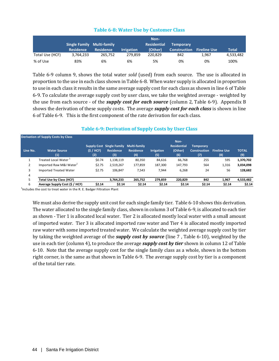#### **Table 6-8: Water Use by Customer Class**

|                 |                            |                  |                   | Non-               |                     |                     |              |
|-----------------|----------------------------|------------------|-------------------|--------------------|---------------------|---------------------|--------------|
|                 | Single Family Multi-family |                  |                   | <b>Residential</b> | <b>Temporary</b>    |                     |              |
|                 | <b>Residence</b>           | <b>Residence</b> | <b>Irrigation</b> | (Other)            | <b>Construction</b> | <b>Fireline Use</b> | <b>Total</b> |
| Total Use (HCF) | 3.764.233                  | 265.752          | 279.859           | 220.829            | 842                 | 1.967               | 4,533,482    |
| % of Use        | 83%                        | 6%               | 6%                | 5%                 | 0%                  | 0%                  | 100%         |

Table 6-9 column 9, shows the total water *sold* (used) from each source. The use is allocated in proportion to the use in each class shown in Table 6-8. When water supply is allocated in proportion to use in each class it results in the same average supply cost for each class as shown in line 6 of Table 6-9. To calculate the average supply cost by user class, we take the weighted average - weighted by the use from each source - of the *supply cost for each source* (column 2, Table 6-9). Appendix B shows the derivation of these supply costs. The average *supply cost for each class* is shown in line 6 of Table 6-9. This is the first component of the rate derivation for each class.

|          | Derivation of Supply Costs by Class |                  |                                                      |                                                |                          |                                              |                                                |                            |                     |
|----------|-------------------------------------|------------------|------------------------------------------------------|------------------------------------------------|--------------------------|----------------------------------------------|------------------------------------------------|----------------------------|---------------------|
| Line No. | <b>Water Source</b><br>(1)          | (S / HCF)<br>(2) | Supply Cost Single Family<br><b>Residence</b><br>(3) | <b>Multi-family</b><br><b>Residence</b><br>(4) | <b>Irrigation</b><br>(5) | Non-<br><b>Residential</b><br>(Other)<br>(6) | <b>Temporary</b><br><b>Construction</b><br>(7) | <b>Fireline Use</b><br>(8) | <b>TOTAL</b><br>(9) |
|          | Treated Local Water <sup>1</sup>    | \$0.74           | 1,138,119                                            | 80,350                                         | 84,616                   | 66,768                                       | 255                                            | 595                        | 1,370,702           |
| 2        | Imported Raw M&I Water <sup>1</sup> | \$2.75           | 2,519,267                                            | 177,859                                        | 187,300                  | 147,793                                      | 564                                            | 1,316                      | 3,034,098           |
| 3        | <b>Imported Treated Water</b>       | \$2.75           | 106,847                                              | 7,543                                          | 7,944                    | 6,268                                        | 24                                             | 56                         | 128,682             |
| 4        |                                     |                  |                                                      |                                                |                          |                                              |                                                |                            |                     |
|          | Total Use by Class (HCF)            |                  | 3,764,233                                            | 265,752                                        | 279,859                  | 220,829                                      | 842                                            | 1,967                      | 4,533,482           |
| 6        | Average Supply Cost (\$ / HCF)      | \$2.14           | \$2.14                                               | \$2.14                                         | \$2.14                   | \$2.14                                       | \$2.14                                         | \$2.14                     | \$2.14              |

#### **Table 6-9: Derivation of Supply Costs by User Class**

 $1$ Includes the cost to treat water in the R. E. Badger Filtration Plant

We must also derive the supply unit cost for each single family tier. Table 6-10 shows this derivation. The water allocated to the single family class, shown in column 3 of Table 6-9, is allocated to each tier as shown - Tier 1 is allocated local water. Tier 2 is allocated mostly local water with a small amount of imported water. Tier 3 is allocated imported raw water and Tier 4 is allocated mostly imported raw water with some imported treated water. We calculate the weighted average supply cost by tier by taking the weighted average of the *supply cost by source* (line 7 , Table 6-10), weighted by the use in each tier (column 4), to produce the average *supply cost by tier* shown in column 12 of Table 6-10. Note that the average supply cost for the single family class as a whole, shown in the bottom right corner, is the same as that shown in Table 6-9. The average supply cost by tier is a component of the total tier rate.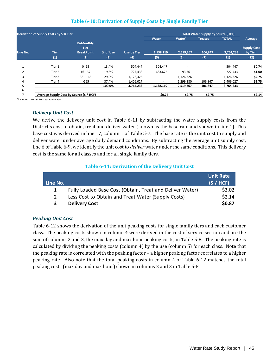#### **Table 6-10: Derivation of Supply Costs by Single Family Tier**

|                | <b>Derivation of Supply Costs by SFR Tier</b> |                   |          |                    |           | <b>Total Water Supply by Source (HCF)</b> |                |              |                    |
|----------------|-----------------------------------------------|-------------------|----------|--------------------|-----------|-------------------------------------------|----------------|--------------|--------------------|
|                |                                               |                   |          |                    | Water     | Water <sup>1</sup>                        | <b>Treated</b> | <b>TOTAL</b> | Average            |
|                |                                               | <b>Bi-Monthly</b> |          |                    |           |                                           |                |              |                    |
|                |                                               | <b>Tier</b>       |          |                    |           |                                           |                |              | <b>Supply Cost</b> |
| Line No.       | <b>Tier</b>                                   | <b>BreakPoint</b> | % of Use | <b>Use by Tier</b> | 1,138,119 | 2,519,267                                 | 106,847        | 3,764,233    | by Tier            |
|                | (1)                                           | (2)               | (3)      | (4)                | (5)       | (6)                                       | (7)            | (11)         | (12)               |
|                | Tier 1                                        | $0 - 15$          | 13.4%    | 504,447            | 504,447   |                                           | ۰              | 504,447      | \$0.74             |
| $\overline{2}$ | Tier 2                                        | $16 - 37$         | 19.3%    | 727,433            | 633,672   | 93,761                                    | ٠              | 727,433      | \$1.00             |
| 3              | Tier 3                                        | $38 - 165$        | 29.9%    | 1,126,326          | ٠         | 1,126,326                                 |                | 1,126,326    | \$2.75             |
| 4              | Tier 4                                        | >165              | 37.4%    | 1,406,027          | ۰         | 1,299,180                                 | 106,847        | 1,406,027    | \$2.75             |
| 5              |                                               |                   | 100.0%   | 3,764,233          | 1,138,119 | 2,519,267                                 | 106,847        | 3,764,233    |                    |
| 6              |                                               |                   |          |                    |           |                                           |                |              |                    |
|                | Average Supply Cost by Source (\$ / HCF)      |                   |          |                    | \$0.74    | \$2.75                                    | \$2.75         |              | \$2.14             |

1 Includes the cost to treat raw water

#### *Delivery Unit Cost*

We derive the delivery unit cost in Table 6-11 by subtracting the water supply costs from the District's cost to obtain, treat and deliver water (known as the base rate and shown in line 1). This base cost was derived in line 17, column 1 of Table 5-7. The base rate is the unit cost to supply and deliver water under average daily demand conditions. By subtracting the average unit supply cost, line 6 of Table 6-9, we identify the unit cost to *deliver* water under the same conditions. This delivery cost is the same for all classes and for all single family tiers.

#### **Table 6-11: Derivation of the Delivery Unit Cost**

| Line No. |                                                          | <b>Unit Rate</b><br>(S / HCF) |
|----------|----------------------------------------------------------|-------------------------------|
|          | Fully Loaded Base Cost (Obtain, Treat and Deliver Water) | \$3.02                        |
|          | Less Cost to Obtain and Treat Water (Supply Costs)       | \$2.14                        |
|          | <b>Delivery Cost</b>                                     | \$0.87                        |

#### *Peaking Unit Cost*

Table 6-12 shows the derivation of the unit peaking costs for single family tiers and each customer class. The peaking costs shown in column 4 were derived in the cost of service section and are the sum of columns 2 and 3, the max day and max hour peaking costs, in Table 5-8. The peaking rate is calculated by dividing the peaking costs (column 4) by the use (column 5) for each class. Note that the peaking rate is correlated with the peaking factor – a higher peaking factor correlates to a higher peaking rate. Also note that the total peaking costs in column 4 of Table 6-12 matches the total peaking costs (max day and max hour) shown in columns 2 and 3 in Table 5-8.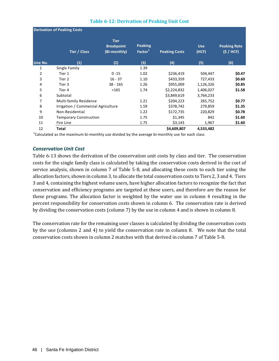|          | <b>Derivation of Peaking Costs</b>  |                                                  |                                       |                      |                     |                                   |
|----------|-------------------------------------|--------------------------------------------------|---------------------------------------|----------------------|---------------------|-----------------------------------|
|          | Tier / Class                        | <b>Tier</b><br><b>Breakpoint</b><br>(Bi-monthly) | <b>Peaking</b><br>Factor <sup>1</sup> | <b>Peaking Costs</b> | <b>Use</b><br>(HCF) | <b>Peaking Rate</b><br>(\$ / HCF) |
| Line No. | (1)                                 | (2)                                              | (3)                                   | (4)                  | (5)                 | (6)                               |
| 1        | Single Family                       |                                                  | 1.39                                  |                      |                     |                                   |
| 2        | Tier 1                              | $0 - 15$                                         | 1.02                                  | \$236,419            | 504,447             | \$0.47                            |
| 3        | Tier 2                              | $16 - 37$                                        | 1.10                                  | \$433,359            | 727,433             | \$0.60                            |
| 4        | Tier 3                              | $38 - 165$                                       | 1.26                                  | \$955,009            | 1,126,326           | \$0.85                            |
| 5        | Tier 4                              | >165                                             | 1.74                                  | \$2,224,832          | 1,406,027           | \$1.58                            |
| 6        | Subtotal                            |                                                  |                                       | \$3,849,619          | 3,764,233           |                                   |
| 7        | <b>Multi-family Residence</b>       |                                                  | 1.21                                  | \$204,223            | 265,752             | \$0.77                            |
| 8        | Irrigation / Commercial Agriculture |                                                  | 1.59                                  | \$378,742            | 279,859             | \$1.35                            |
| 9        | Non-Residential                     |                                                  | 1.22                                  | \$172,735            | 220,829             | \$0.78                            |
| 10       | <b>Temporary Construction</b>       |                                                  | 1.75                                  | \$1,345              | 842                 | \$1.60                            |
| 11       | Fire Line                           |                                                  | 1.75                                  | \$3,143              | 1,967               | \$1.60                            |
| 12       | <b>Total</b>                        |                                                  |                                       | \$4,609,807          | 4,533,482           |                                   |

#### **Table 6-12: Derivation of Peaking Unit Cost**

 $^{1}$ Calculated as the maximum bi-monthly use divided by the average bi-monthly use for each class

#### *Conservation Unit Cost*

Table 6-13 shows the derivation of the conservation unit costs by class and tier. The conservation costs for the single family class is calculated by taking the conservation costs derived in the cost of service analysis, shown in column 7 of Table 5-8, and allocating these costs to each tier using the allocation factors, shown in column 3, to allocate the total conservation costs to Tiers 2, 3 and 4. Tiers 3 and 4, containing the highest volume users, have higher allocation factors to recognize the fact that conservation and efficiency programs are targeted at these users, and therefore are the reason for these programs. The allocation factor is weighted by the water use in column 4 resulting in the percent responsibility for conservation costs shown in column 6. The conservation rate is derived by dividing the conservation costs (column 7) by the use in column 4 and is shown in column 8.

The conservation rate for the remaining user classes is calculated by dividing the conservation costs by the use (columns 2 and 4) to yield the conservation rate in column 8. We note that the total conservation costs shown in column 2 matches with that derived in column 7 of Table 5-8.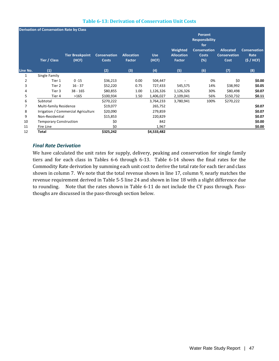|          | <b>Derivation of Conservation Rate by Class</b> |                                     |                                     |                             |                     |                                         |                                                                                       |                                                        |                                          |
|----------|-------------------------------------------------|-------------------------------------|-------------------------------------|-----------------------------|---------------------|-----------------------------------------|---------------------------------------------------------------------------------------|--------------------------------------------------------|------------------------------------------|
|          | Tier / Class                                    | <b>Tier Breakpoint</b><br>(HCF)     | <b>Conservation</b><br><b>Costs</b> | <b>Allocation</b><br>Factor | <b>Use</b><br>(HCF) | Weighted<br><b>Allocation</b><br>Factor | Percent<br><b>Responsibility</b><br>for<br><b>Conservation</b><br><b>Costs</b><br>(%) | <b>Allocated</b><br><b>Conservation</b><br><b>Cost</b> | <b>Conservation</b><br>Rate<br>(S / HCF) |
| Line No. | (1)                                             |                                     | (2)                                 | (3)                         | (4)                 | (5)                                     | (6)                                                                                   | (7)                                                    | (8)                                      |
| 1        | Single Family                                   |                                     |                                     |                             |                     |                                         |                                                                                       |                                                        |                                          |
| 2        | Tier 1                                          | $0 - 15$                            | \$36,213                            | 0.00                        | 504,447             |                                         | 0%                                                                                    | \$0                                                    | \$0.00                                   |
| 3        | Tier 2                                          | $16 - 37$                           | \$52,220                            | 0.75                        | 727,433             | 545,575                                 | 14%                                                                                   | \$38,992                                               | \$0.05                                   |
| 4        | Tier 3                                          | $38 - 165$                          | \$80,855                            | 1.00                        | 1,126,326           | 1,126,326                               | 30%                                                                                   | \$80,498                                               | \$0.07                                   |
| 5        | Tier 4                                          | >165                                | \$100,934                           | 1.50                        | 1,406,027           | 2,109,041                               | 56%                                                                                   | \$150,732                                              | \$0.11                                   |
| 6        | Subtotal                                        |                                     | \$270,222                           |                             | 3,764,233           | 3,780,941                               | 100%                                                                                  | \$270,222                                              |                                          |
| 7        | <b>Multi-family Residence</b>                   |                                     | \$19,077                            |                             | 265,752             |                                         |                                                                                       |                                                        | \$0.07                                   |
| 8        |                                                 | Irrigation / Commercial Agriculture | \$20,090                            |                             | 279,859             |                                         |                                                                                       |                                                        | \$0.07                                   |
| 9        | Non-Residential                                 |                                     | \$15,853                            |                             | 220,829             |                                         |                                                                                       |                                                        | \$0.07                                   |
| 10       | <b>Temporary Construction</b>                   |                                     | \$0                                 |                             | 842                 |                                         |                                                                                       |                                                        | \$0.00                                   |
| 11       | Fire Line                                       |                                     | \$0                                 |                             | 1,967               |                                         |                                                                                       |                                                        | \$0.00                                   |
| 12       | Total                                           |                                     | \$325,242                           |                             | \$4,533,482         |                                         |                                                                                       |                                                        |                                          |

#### **Table 6-13: Derivation of Conservation Unit Costs**

#### *Final Rate Derivation*

We have calculated the unit rates for supply, delivery, peaking and conservation for single family tiers and for each class in Tables 6-6 through 6-13. Table 6-14 shows the final rates for the Commodity Rate derivation by summing each unit cost to derive the total rate for each tier and class shown in column 7. We note that the total revenue shown in line 17, column 9, nearly matches the revenue requirement derived in Table 5-5 line 24 and shown in line 18 with a slight difference due to rounding. Note that the rates shown in Table 6-11 do not include the CY pass through. Passthoughs are discussed in the pass-through section below.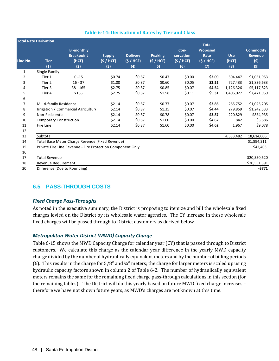|                | <b>Total Rate Derivation</b>  |                                                            |                                   |                                     |                                    |                                       | <b>Total</b>                                |                            |                                                  |
|----------------|-------------------------------|------------------------------------------------------------|-----------------------------------|-------------------------------------|------------------------------------|---------------------------------------|---------------------------------------------|----------------------------|--------------------------------------------------|
| Line No.       | <b>Tier</b><br>(1)            | <b>Bi-monthly</b><br><b>Breakpoint</b><br>(HCF)<br>(2)     | <b>Supply</b><br>(S / HCF)<br>(3) | <b>Delivery</b><br>(S / HCF)<br>(4) | <b>Peaking</b><br>(S / HCF)<br>(5) | Con-<br>servation<br>(S / HCF)<br>(6) | <b>Proposed</b><br>Rate<br>(S / HCF)<br>(7) | <b>Use</b><br>(HCF)<br>(8) | <b>Commodity</b><br><b>Revenue</b><br>(5)<br>(9) |
| 1              | Single Family                 |                                                            |                                   |                                     |                                    |                                       |                                             |                            |                                                  |
| 2              | Tier 1                        | $0 - 15$                                                   | \$0.74                            | \$0.87                              | \$0.47                             | \$0.00                                | \$2.09                                      | 504,447                    | \$1,051,953                                      |
| 3              | Tier 2                        | $16 - 37$                                                  | \$1.00                            | \$0.87                              | \$0.60                             | \$0.05                                | \$2.52                                      | 727,433                    | \$1,836,633                                      |
| 4              | Tier 3                        | $38 - 165$                                                 | \$2.75                            | \$0.87                              | \$0.85                             | \$0.07                                | \$4.54                                      | 1,126,326                  | \$5,117,823                                      |
| 5              | Tier 4                        | >165                                                       | \$2.75                            | \$0.87                              | \$1.58                             | \$0.11                                | \$5.31                                      | 1,406,027                  | \$7,471,959                                      |
| 6              |                               |                                                            |                                   |                                     |                                    |                                       |                                             |                            |                                                  |
| $\overline{7}$ | <b>Multi-family Residence</b> |                                                            | \$2.14                            | \$0.87                              | \$0.77                             | \$0.07                                | \$3.86                                      | 265,752                    | \$1,025,205                                      |
| 8              |                               | Irrigation / Commercial Agriculture                        | \$2.14                            | \$0.87                              | \$1.35                             | \$0.07                                | \$4.44                                      | 279,859                    | \$1,242,533                                      |
| 9              | Non-Residential               |                                                            | \$2.14                            | \$0.87                              | \$0.78                             | \$0.07                                | \$3.87                                      | 220,829                    | \$854,935                                        |
| 10             | <b>Temporary Construction</b> |                                                            | \$2.14                            | \$0.87                              | \$1.60                             | \$0.00                                | \$4.62                                      | 842                        | \$3,886                                          |
| 11             | Fire Line                     |                                                            | \$2.14                            | \$0.87                              | \$1.60                             | \$0.00                                | \$4.62                                      | 1,967                      | \$9,078                                          |
| 12             |                               |                                                            |                                   |                                     |                                    |                                       |                                             |                            |                                                  |
| 13             | Subtotal                      |                                                            |                                   |                                     |                                    |                                       |                                             | 4,533,482                  | 18,614,006                                       |
| 14             |                               | Total Base Meter Charge Revenue (Fixed Revenue)            |                                   |                                     |                                    |                                       |                                             |                            | \$1,894,211                                      |
| 15             |                               | Private Fire Line Revenue - Fire Protection Component Only |                                   |                                     |                                    |                                       |                                             |                            | \$42,403                                         |
| 16             |                               |                                                            |                                   |                                     |                                    |                                       |                                             |                            |                                                  |
| 17             | <b>Total Revenue</b>          |                                                            |                                   |                                     |                                    |                                       |                                             |                            | \$20,550,620                                     |
| 18             | Revenue Requirement           |                                                            |                                   |                                     |                                    |                                       |                                             |                            | \$20,551,391                                     |
| 20             | Difference (Due to Rounding)  |                                                            |                                   |                                     |                                    |                                       |                                             |                            | -\$771                                           |

#### **Table 6-14: Derivation of Rates by Tier and Class**

## **6.5 PASS-THROUGH COSTS**

#### *Fixed Charge Pass-Throughs*

As noted in the executive summary, the District is proposing to itemize and bill the wholesale fixed charges levied on the District by its wholesale water agencies. The CY increase in these wholesale fixed charges will be passed through to District customers as derived below.

#### *Metropolitan Water District (MWD) Capacity Charge*

Table 6-15 shows the MWD Capacity Charge for calendar year (CY) that is passed through to District customers. We calculate this charge as the calendar year difference in the yearly MWD capacity charge divided by the number of hydraulically equivalent meters and by the number of billing periods (6). This results in the charge for 5/8" and ¾" meters; the charge for larger meters is scaled up using hydraulic capacity factors shown in column 2 of Table 6-2. The number of hydraulically equivalent meters remains the same for the remaining fixed charge pass-through calculations in this section (for the remaining tables). The District will do this yearly based on future MWD fixed charge increases – therefore we have not shown future years, as MWD's charges are not known at this time.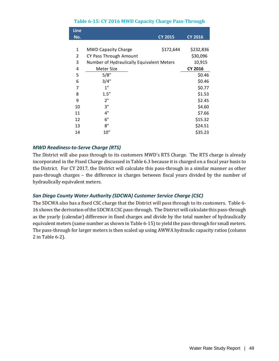#### **Table 6-15: CY 2016 MWD Capacity Charge Pass-Through**

| Line |                                           |                |                |
|------|-------------------------------------------|----------------|----------------|
| No.  |                                           | <b>CY 2015</b> | <b>CY 2016</b> |
|      |                                           |                |                |
| 1    | <b>MWD Capacity Charge</b>                | \$172,644      | \$232,836      |
| 2    | CY Pass Through Amount                    |                | \$30,096       |
| 3    | Number of Hydraulically Equivalent Meters |                | 10,915         |
| 4    | Meter Size                                |                | <b>CY 2016</b> |
| 5    | 5/8"                                      |                | \$0.46         |
| 6    | 3/4"                                      |                | \$0.46         |
| 7    | 1"                                        |                | \$0.77         |
| 8    | 1.5"                                      |                | \$1.53         |
| 9    | 2"                                        |                | \$2.45         |
| 10   | 3"                                        |                | \$4.60         |
| 11   | 4"                                        |                | \$7.66         |
| 12   | 6"                                        |                | \$15.32        |
| 13   | 8"                                        |                | \$24.51        |
| 14   | 10"                                       |                | \$35.23        |

#### *MWD Readiness-to-Serve Charge (RTS)*

The District will also pass through to its customers MWD's RTS Charge. The RTS charge is already incorporated in the Fixed Charge discussed in Table 6.3 because it is charged on a fiscal year basis to the District. For CY 2017, the District will calculate this pass-through in a similar manner as other pass-through charges – the difference in charges between fiscal years divided by the number of hydraulically equivalent meters.

#### *San Diego County Water Authority (SDCWA) Customer Service Charge (CSC)*

The SDCWA also has a fixed CSC charge that the District will pass through to its customers. Table 6- 16 shows the derivation of the SDCWA CSC pass-through. The District will calculate this pass-through as the yearly (calendar) difference in fixed charges and divide by the total number of hydraulically equivalent meters (same number as shown in Table 6-15) to yield the pass-through for small meters. The pass-through for larger meters is then scaled up using AWWA hydraulic capacity ratios (column 2 in Table 6-2).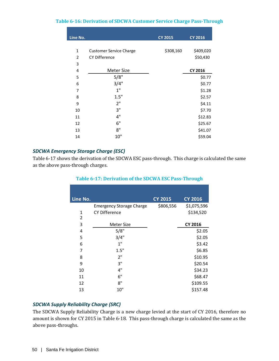#### **Table 6-16: Derivation of SDCWA Customer Service Charge Pass-Through**

| Line No.       |                                | <b>CY 2015</b> | <b>CY 2016</b> |
|----------------|--------------------------------|----------------|----------------|
|                |                                |                |                |
| 1              | <b>Customer Service Charge</b> | \$308,160      | \$409,020      |
| $\overline{2}$ | <b>CY Difference</b>           |                | \$50,430       |
| 3              |                                |                |                |
| 4              | Meter Size                     |                | <b>CY 2016</b> |
| 5              | 5/8"                           |                | \$0.77         |
| 6              | 3/4"                           |                | \$0.77         |
| 7              | 1"                             |                | \$1.28         |
| 8              | 1.5"                           |                | \$2.57         |
| 9              | 2"                             |                | \$4.11         |
| 10             | 3"                             |                | \$7.70         |
| 11             | 4"                             |                | \$12.83        |
| 12             | 6"                             |                | \$25.67        |
| 13             | 8"                             |                | \$41.07        |
| 14             | 10"                            |                | \$59.04        |
|                |                                |                |                |

#### *SDCWA Emergency Storage Charge (ESC)*

Table 6-17 shows the derivation of the SDCWA ESC pass-through. This charge is calculated the same as the above pass-through charges.

|                                 | <b>CY 2015</b> | <b>CY 2016</b> |
|---------------------------------|----------------|----------------|
| <b>Emergency Storage Charge</b> | \$806,556      | \$1,075,596    |
| <b>CY Difference</b>            |                | \$134,520      |
|                                 |                |                |
| <b>Meter Size</b>               |                | <b>CY 2016</b> |
| 5/8"                            |                | \$2.05         |
| 3/4"                            |                | \$2.05         |
| 1"                              |                | \$3.42         |
| 1.5"                            |                | \$6.85         |
| 2"                              |                | \$10.95        |
| 3"                              |                | \$20.54        |
| 4"                              |                | \$34.23        |
| 6"                              |                | \$68.47        |
| 8"                              |                | \$109.55       |
| 10"                             |                | \$157.48       |
|                                 |                |                |

#### **Table 6-17: Derivation of the SDCWA ESC Pass-Through**

#### *SDCWA Supply Reliability Charge (SRC)*

The SDCWA Supply Reliability Charge is a new charge levied at the start of CY 2016, therefore no amount is shown for CY 2015 in Table 6-18. This pass-through charge is calculated the same as the above pass-throughs.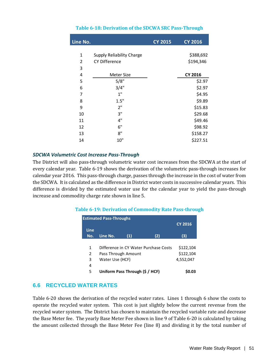| Line No.       |                                  | <b>CY 2015</b> | <b>CY 2016</b> |
|----------------|----------------------------------|----------------|----------------|
|                |                                  |                |                |
| 1              | <b>Supply Reliability Charge</b> |                | \$388,692      |
| $\overline{2}$ | <b>CY Difference</b>             |                | \$194,346      |
| 3              |                                  |                |                |
| 4              | <b>Meter Size</b>                |                | <b>CY 2016</b> |
| 5              | 5/8"                             |                | \$2.97         |
| 6              | 3/4"                             |                | \$2.97         |
| 7              | 1"                               |                | \$4.95         |
| 8              | 1.5"                             |                | \$9.89         |
| 9              | 2"                               |                | \$15.83        |
| 10             | 3"                               |                | \$29.68        |
| 11             | 4"                               |                | \$49.46        |
| 12             | 6"                               |                | \$98.92        |
| 13             | 8"                               |                | \$158.27       |
| 14             | 10"                              |                | \$227.51       |
|                |                                  |                |                |

#### **Table 6-18: Derivation of the SDCWA SRC Pass-Through**

#### *SDCWA Volumetric Cost Increase Pass-Through*

The District will also pass-through volumetric water cost increases from the SDCWA at the start of every calendar year. Table 6-19 shows the derivation of the volumetric pass-through increases for calendar year 2016. This pass-through charge, passes through the increase in the cost of water from the SDCWA. It is calculated as the difference in District water costs in successive calendar years. This difference is divided by the estimated water use for the calendar year to yield the pass-through increase and commodity charge rate shown in line 5.

#### **Table 6-19: Derivation of Commodity Rate Pass-through**

|      | <b>Estimated Pass-Throughs</b>  |                 |                                       |                |  |  |  |  |  |  |  |
|------|---------------------------------|-----------------|---------------------------------------|----------------|--|--|--|--|--|--|--|
|      |                                 |                 |                                       | <b>CY 2016</b> |  |  |  |  |  |  |  |
| Line |                                 |                 |                                       |                |  |  |  |  |  |  |  |
| No.  | Line No.                        | (1)             | (2)                                   | (3)            |  |  |  |  |  |  |  |
|      |                                 |                 |                                       |                |  |  |  |  |  |  |  |
| 1    |                                 |                 | Difference in CY Water Purchase Costs | \$122,104      |  |  |  |  |  |  |  |
| 2    | Pass Through Amount             |                 |                                       | \$122,104      |  |  |  |  |  |  |  |
| 3    |                                 | Water Use (HCF) |                                       |                |  |  |  |  |  |  |  |
| 4    |                                 |                 |                                       |                |  |  |  |  |  |  |  |
| 5    | Uniform Pass Through (\$ / HCF) | S0.03           |                                       |                |  |  |  |  |  |  |  |

## **6.6 RECYCLED WATER RATES**

Table 6-20 shows the derivation of the recycled water rates. Lines 1 through 6 show the costs to operate the recycled water system. This cost is just slightly below the current revenue from the recycled water system. The District has chosen to maintain the recycled variable rate and decrease the Base Meter fee. The yearly Base Meter Fee shown in line 9 of Table 6-20 is calculated by taking the amount collected through the Base Meter Fee (line 8) and dividing it by the total number of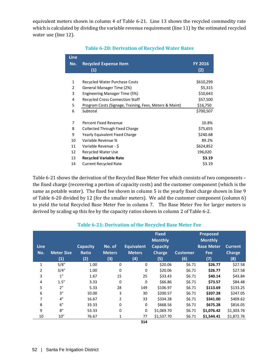equivalent meters shown in column 4 of Table 6-21. Line 13 shows the recycled commodity rate which is calculated by dividing the variable revenue requirement (line 11) by the estimated recycled water use (line 12).

| <b>Line</b> |                                                         |                |
|-------------|---------------------------------------------------------|----------------|
| No.         | <b>Recycled Expense Item</b>                            | <b>FY 2016</b> |
|             | (1)                                                     | (2)            |
|             |                                                         |                |
| 1           | <b>Recycled Water Purchase Costs</b>                    | \$610,299      |
| 2           | General Manager Time (2%)                               | \$5,315        |
| 3           | Engineering Manager Time (5%)                           | \$10,643       |
| 4           | <b>Recycled Cross Connection Staff</b>                  | \$57,500       |
| 5           | Program Costs (Signage, Training, Fees, Meters & Maint) | \$16,750       |
| 6           | Subtotal                                                | \$700,507      |
|             |                                                         |                |
| 7           | Percent Fixed Revenue                                   | 10.8%          |
| 8           | <b>Collected Through Fixed Charge</b>                   | \$75,655       |
| 9           | Yearly Equivalent Fixed Charge                          | \$240.68       |
| 10          | Variable Revenue %                                      | 89.2%          |
| 11          | Variable Revenue - \$                                   | \$624,852      |
| 12          | <b>Recycled Water Use</b>                               | 196,020        |
| 13          | <b>Recycled Variable Rate</b>                           | \$3.19         |
| 14          | <b>Current Recycled Rate</b>                            | \$3.19         |

#### **Table 6-20: Derivation of Recycled Water Rates**

Table 6-21 shows the derivation of the Recycled Base Meter Fee which consists of two components – the fixed charge (recovering a portion of capacity costs) and the customer component (which is the same as potable water). The fixed fee shown in column 5 is the yearly fixed charge shown in line 9 of Table 6-20 divided by 12 (for the smaller meters). We add the customer component (column 6) to yield the total Recycled Base Meter Fee in column 7. The Base Meter Fee for larger meters is derived by scaling up this fee by the capacity ratios shown in column 2 of Table 6-2.

#### **Table 6-21: Derivation of the Recycled Base Meter Fee**

| <b>Line</b>  |                   | <b>Capacity</b> | No. of        | <b>Equivalent</b> | <b>Fixed</b><br><b>Monthly</b><br><b>Capacity</b> |                 | <b>Proposed</b><br><b>Monthly</b><br><b>Base Meter</b> | <b>Current</b> |
|--------------|-------------------|-----------------|---------------|-------------------|---------------------------------------------------|-----------------|--------------------------------------------------------|----------------|
| No.          | <b>Meter Size</b> | <b>Ratio</b>    | <b>Meters</b> | <b>Meters</b>     | <b>Charge</b>                                     | <b>Customer</b> | Fee                                                    | <b>Charge</b>  |
|              | (1)               | (2)             | (3)           | (4)               | (5)                                               | (6)             | (7)                                                    | (8)            |
| $\mathbf{1}$ | 5/8"              | 1.00            | 0             | 0                 | \$20.06                                           | \$6.71          | \$26.77                                                | \$27.58        |
| 2            | 3/4"              | 1.00            | 0             | $\mathbf 0$       | \$20.06                                           | \$6.71          | \$26.77                                                | \$27.58        |
| 3            | 1"                | 1.67            | 15            | 25                | \$33.43                                           | \$6.71          | \$40.14                                                | \$43.84        |
| 4            | 1.5"              | 3.33            | $\mathbf 0$   | $\mathbf 0$       | \$66.86                                           | \$6.71          | \$73.57                                                | \$84.48        |
| 5            | 2"                | 5.33            | 28            | 149               | \$106.97                                          | \$6.71          | \$113.69                                               | \$133.25       |
| 6            | 3"                | 10.00           | 3             | 30                | \$200.57                                          | \$6.71          | \$207.28                                               | \$247.05       |
| 7            | 4"                | 16.67           | 2             | 33                | \$334.28                                          | \$6.71          | \$341.00                                               | \$409.62       |
| 8            | 6"                | 33.33           | 0             | 0                 | \$668.56                                          | \$6.71          | \$675.28                                               | \$816.05       |
| 9            | 8"                | 53.33           | 0             | 0                 | \$1,069.70                                        | \$6.71          | \$1,076.42                                             | \$1,303.76     |
| 10           | 10"               | 76.67           | 1             | 77                | \$1,537.70                                        | \$6.71          | \$1,544.41                                             | \$1,872.76     |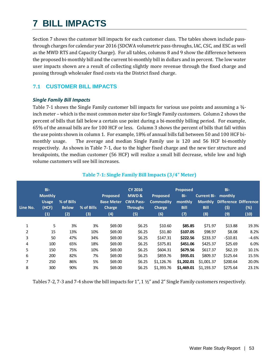## **7 BILL IMPACTS**

Section 7 shows the customer bill impacts for each customer class. The tables shown include passthrough charges for calendar year 2016 (SDCWA volumetric pass-throughs, IAC, CSC, and ESC as well as the MWD RTS and Capacity Charge). For all tables, columns 8 and 9 show the difference between the proposed bi-monthly bill and the current bi-monthly bill in dollars and in percent. The low water user impacts shown are a result of collecting slightly more revenue through the fixed charge and passing through wholesaler fixed costs via the District fixed charge.

## **7.1 CUSTOMER BILL IMPACTS**

#### *Single Family Bill Impacts*

Table 7-1 shows the Single Family customer bill impacts for various use points and assuming a  $\frac{3}{4}$ inch meter – which is the most common meter size for Single Family customers. Column 2 shows the percent of bills that fall below a certain use point during a bi-monthly billing period. For example, 65% of the annual bills are for 100 HCF or less. Column 3 shows the percent of bills that fall within the use points shown in column 1. For example, 18% of annual bills fall between 50 and 100 HCF bimonthly usage. The average and median Single Family use is 120 and 56 HCF bi-monthly respectively. As shown in Table 7-1, due to the higher fixed charge and the new tier structure and breakpoints, the median customer (56 HCF) will realize a small bill decrease, while low and high volume customers will see bill increases.

| Line No. | Bi-<br><b>Monthly</b><br><b>Usage</b><br>(HCF)<br>(1) | % of Bills<br><b>Below</b><br>(2) | $%$ of Bills<br>(3) | <b>Proposed</b><br><b>Base Meter</b><br><b>Charge</b><br>(4) | <b>CY 2016</b><br>MWD&<br><b>CWA Pass-</b><br><b>Throughs</b><br>(5) | <b>Proposed</b><br><b>Commodity</b><br>Charge<br>(6) | <b>Proposed</b><br>Bi-<br>monthly<br><b>Bill</b><br>(7) | <b>Current Bi-</b><br><b>Monthly</b><br><b>Bill</b><br>(8) | Bi-<br>monthly<br>(5)<br>(9) | <b>Difference Difference</b><br>(%)<br>(10) |
|----------|-------------------------------------------------------|-----------------------------------|---------------------|--------------------------------------------------------------|----------------------------------------------------------------------|------------------------------------------------------|---------------------------------------------------------|------------------------------------------------------------|------------------------------|---------------------------------------------|
| 1        | 5                                                     | 3%                                | 3%                  | \$69.00                                                      | \$6.25                                                               | \$10.60                                              | \$85.85                                                 | \$71.97                                                    | \$13.88                      | 19.3%                                       |
| 2        | 15                                                    | 13%                               | 10%                 | \$69.00                                                      | \$6.25                                                               | \$31.80                                              | \$107.05                                                | \$98.97                                                    | \$8.08                       | 8.2%                                        |
| 3        | 50                                                    | 47%                               | 34%                 | \$69.00                                                      | \$6.25                                                               | \$147.31                                             | \$222.56                                                | \$233.37                                                   | $-510.81$                    | $-4.6%$                                     |
| 4        | 100                                                   | 65%                               | 18%                 | \$69.00                                                      | \$6.25                                                               | \$375.81                                             | \$451.06                                                | \$425.37                                                   | \$25.69                      | 6.0%                                        |
| 5        | 150                                                   | 75%                               | 10%                 | \$69.00                                                      | \$6.25                                                               | \$604.31                                             | \$679.56                                                | \$617.37                                                   | \$62.19                      | 10.1%                                       |
| 6        | 200                                                   | 82%                               | 7%                  | \$69.00                                                      | \$6.25                                                               | \$859.76                                             | \$935.01                                                | \$809.37                                                   | \$125.64                     | 15.5%                                       |
| 7        | 250                                                   | 86%                               | 5%                  | \$69.00                                                      | \$6.25                                                               | \$1,126,76                                           | \$1,202.01                                              | \$1,001.37                                                 | \$200.64                     | 20.0%                                       |
| 8        | 300                                                   | 90%                               | 3%                  | \$69.00                                                      | \$6.25                                                               | \$1,393.76                                           | \$1,469.01                                              | \$1,193.37                                                 | \$275.64                     | 23.1%                                       |

#### **Table 7-1: Single Family Bill Impacts (3/4" Meter)**

Tables 7-2, 7-3 and 7-4 show the bill impacts for 1", 1 ½" and 2" Single Family customers respectively.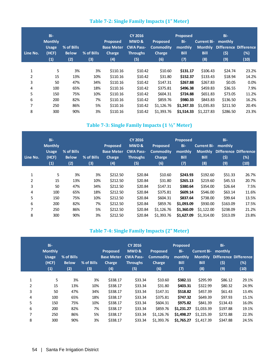| Line No. | Bi-<br><b>Monthly</b><br><b>Usage</b><br>(HCF)<br>(1) | % of Bills<br><b>Below</b><br>(2) | % of Bills<br>(3) | <b>Proposed</b><br><b>Base Meter</b><br><b>Charge</b><br>(4) | <b>CY 2016</b><br>MWD&<br><b>CWA Pass-</b><br><b>Throughs</b><br>(5) | <b>Proposed</b><br><b>Commodity</b><br><b>Charge</b><br>(6) | <b>Proposed</b><br>Bi-<br>monthly<br><b>Bill</b><br>(7) | <b>Current Bi-</b><br><b>Monthly</b><br><b>Bill</b><br>(8) | Bi-<br>monthly<br>(\$)<br>(9) | <b>Difference Difference</b><br>$(\%)$<br>(10) |
|----------|-------------------------------------------------------|-----------------------------------|-------------------|--------------------------------------------------------------|----------------------------------------------------------------------|-------------------------------------------------------------|---------------------------------------------------------|------------------------------------------------------------|-------------------------------|------------------------------------------------|
| 1        | 5                                                     | 3%                                | 3%                | \$110.16                                                     | \$10.42                                                              | \$10.60                                                     | \$131.17                                                | \$106.43                                                   | \$24.74                       | 23.2%                                          |
| 2        | 15                                                    | 13%                               | 10%               | \$110.16                                                     | \$10.42                                                              | \$31.80                                                     | \$152.37                                                | \$133.43                                                   | \$18.94                       | 14.2%                                          |
|          |                                                       |                                   |                   |                                                              |                                                                      |                                                             |                                                         |                                                            |                               |                                                |
| 3        | 50                                                    | 47%                               | 34%               | \$110.16                                                     | \$10.42                                                              | \$147.31                                                    | \$267.88                                                | \$267.83                                                   | \$0.05                        | $0.0\%$                                        |
| 4        | 100                                                   | 65%                               | 18%               | \$110.16                                                     | \$10.42                                                              | \$375.81                                                    | \$496.38                                                | \$459.83                                                   | \$36.55                       | 7.9%                                           |
| 5        | 150                                                   | 75%                               | 10%               | \$110.16                                                     | \$10.42                                                              | \$604.31                                                    | \$724.88                                                | \$651.83                                                   | \$73.05                       | 11.2%                                          |
| 6        | 200                                                   | 82%                               | 7%                | \$110.16                                                     | \$10.42                                                              | \$859.76                                                    | \$980.33                                                | \$843.83                                                   | \$136.50                      | 16.2%                                          |
| 7        | 250                                                   | 86%                               | 5%                | \$110.16                                                     | \$10.42                                                              | \$1,126,76                                                  | \$1,247.33                                              | \$1,035.83                                                 | \$211.50                      | 20.4%                                          |
| 8        | 300                                                   | 90%                               | 3%                | \$110.16                                                     | \$10.42                                                              | \$1,393.76                                                  | \$1,514.33                                              | \$1,227.83                                                 | \$286.50                      | 23.3%                                          |

## **Table 7-2: Single Family Impacts (1" Meter)**

## **Table 7-3: Single Family Impacts (1 ½" Meter)**

| Line No. | Bi-<br><b>Monthly</b><br><b>Usage</b><br>(HCF)<br>(1) | % of Bills<br><b>Below</b><br>(2) | % of Bills<br>(3) | <b>Proposed</b><br><b>Base Meter</b><br><b>Charge</b><br>(4) | <b>CY 2016</b><br>MWD&<br><b>CWA Pass-</b><br><b>Throughs</b><br>(5) | <b>Proposed</b><br><b>Commodity</b><br><b>Charge</b><br>(6) | <b>Proposed</b><br>Bi-<br>monthly<br><b>Bill</b><br>(7) | <b>Current Bi-</b><br><b>Monthly</b><br><b>Bill</b><br>(8) | Bi-<br>monthly<br><b>Difference Difference</b><br>(5)<br>(9) | $(\%)$<br>(10) |
|----------|-------------------------------------------------------|-----------------------------------|-------------------|--------------------------------------------------------------|----------------------------------------------------------------------|-------------------------------------------------------------|---------------------------------------------------------|------------------------------------------------------------|--------------------------------------------------------------|----------------|
| 1        | 5                                                     | 3%                                | 3%                | \$212.50                                                     | \$20.84                                                              | \$10.60                                                     | \$243.93                                                | \$192.60                                                   | \$51.33                                                      | 26.7%          |
| 2        | 15                                                    | 13%                               | 10%               | \$212.50                                                     | \$20.84                                                              | \$31.80                                                     | \$265.13                                                | \$219.60                                                   | \$45.53                                                      | 20.7%          |
| 3        | 50                                                    | 47%                               | 34%               | \$212.50                                                     | \$20.84                                                              | \$147.31                                                    | \$380.64                                                | \$354.00                                                   | \$26.64                                                      | 7.5%           |
| 4        | 100                                                   | 65%                               | 18%               | \$212.50                                                     | \$20.84                                                              | \$375.81                                                    | \$609.14                                                | \$546.00                                                   | \$63.14                                                      | 11.6%          |
| 5        | 150                                                   | 75%                               | 10%               | \$212.50                                                     | \$20.84                                                              | \$604.31                                                    | \$837.64                                                | \$738.00                                                   | \$99.64                                                      | 13.5%          |
| 6        | 200                                                   | 82%                               | 7%                | \$212.50                                                     | \$20.84                                                              | \$859.76                                                    | \$1,093.09                                              | \$930.00                                                   | \$163.09                                                     | 17.5%          |
| 7        | 250                                                   | 86%                               | 5%                | \$212.50                                                     | \$20.84                                                              | \$1,126.76                                                  | \$1,360.09                                              | \$1,122,00                                                 | \$238.09                                                     | 21.2%          |
| 8        | 300                                                   | 90%                               | 3%                | \$212.50                                                     | \$20.84                                                              | \$1,393.76                                                  | \$1,627.09                                              | \$1,314.00                                                 | \$313.09                                                     | 23.8%          |

### **Table 7-4: Single Family Impacts (2" Meter)**

|   | Bi-<br><b>Monthly</b><br><b>Usage</b><br>(HCF)<br>(1) | % of Bills<br><b>Below</b><br>(2) | % of Bills<br>(3) | <b>Proposed</b><br><b>Base Meter</b><br><b>Charge</b><br>(4) | <b>CY 2016</b><br>MWD&<br><b>CWA Pass-</b><br><b>Throughs</b><br>(5) | <b>Proposed</b><br><b>Commodity</b><br><b>Charge</b><br>(6) | <b>Proposed</b><br>Bi-<br>monthly<br><b>Bill</b><br>(7) | <b>Current Bi-</b><br><b>Monthly</b><br><b>Bill</b><br>(8) | Bi-<br>monthly<br>(5)<br>(9) | <b>Difference Difference</b><br>(%)<br>(10) |
|---|-------------------------------------------------------|-----------------------------------|-------------------|--------------------------------------------------------------|----------------------------------------------------------------------|-------------------------------------------------------------|---------------------------------------------------------|------------------------------------------------------------|------------------------------|---------------------------------------------|
| 1 | 5                                                     | 3%                                | 3%                | \$338.17                                                     | \$33.34                                                              | \$10.60                                                     | \$382.11                                                | \$295.99                                                   | \$86.12                      | 29.1%                                       |
| 2 | 15                                                    | 13%                               | 10%               | \$338.17                                                     | \$33.34                                                              | \$31.80                                                     | \$403.31                                                | \$322.99                                                   | \$80.32                      | 24.9%                                       |
| 3 | 50                                                    | 47%                               | 34%               | \$338.17                                                     | \$33.34                                                              | \$147.31                                                    | \$518.82                                                | \$457.39                                                   | \$61.43                      | 13.4%                                       |
| 4 | 100                                                   | 65%                               | 18%               | \$338.17                                                     | \$33.34                                                              | \$375.81                                                    | \$747.32                                                | \$649.39                                                   | \$97.93                      | 15.1%                                       |
| 5 | 150                                                   | 75%                               | 10%               | \$338.17                                                     | \$33.34                                                              | \$604.31                                                    | \$975.82                                                | \$841.39                                                   | \$134.43                     | 16.0%                                       |
| 6 | 200                                                   | 82%                               | 7%                | \$338.17                                                     | \$33.34                                                              | \$859.76                                                    | \$1,231.27                                              | \$1,033.39                                                 | \$197.88                     | 19.1%                                       |
| 7 | 250                                                   | 86%                               | 5%                | \$338.17                                                     | \$33.34                                                              | \$1,126.76                                                  | \$1,498.27                                              | \$1,225.39                                                 | \$272.88                     | 22.3%                                       |
| 8 | 300                                                   | 90%                               | 3%                | \$338.17                                                     | \$33.34                                                              | \$1,393.76                                                  | \$1,765.27                                              | \$1,417.39                                                 | \$347.88                     | 24.5%                                       |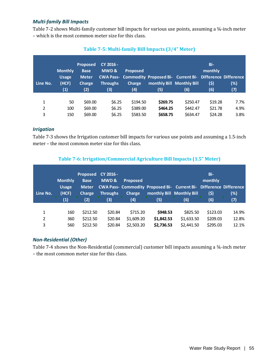#### *Multi-family Bill Impacts*

Table 7-2 shows Multi-family customer bill impacts for various use points, assuming a 34-inch meter – which is the most common meter size for this class.

| Line No. | <b>Monthly</b><br><b>Usage</b><br>(HCF)<br>(1) | <b>Proposed</b><br><b>Base</b><br><b>Meter</b><br><b>Charge</b><br>(2) | CY 2016 -<br>MWD&<br>Throughs<br>(3) | <b>Proposed</b><br><b>Charge</b><br>(4) | CWA Pass- Commodity Proposed Bi- Current Bi- Difference Difference<br>monthly Bill Monthly Bill<br>(5) | (6)      | Bi-<br>monthly<br>(5)<br>(6) | (%)<br>(7) |
|----------|------------------------------------------------|------------------------------------------------------------------------|--------------------------------------|-----------------------------------------|--------------------------------------------------------------------------------------------------------|----------|------------------------------|------------|
| 1        | 50                                             | \$69.00                                                                | \$6.25                               | \$194.50                                | \$269.75                                                                                               | \$250.47 | \$19.28                      | 7.7%       |
| 2        | 100                                            | \$69.00                                                                | \$6.25                               | \$389.00                                | \$464.25                                                                                               | \$442.47 | \$21.78                      | 4.9%       |
| 3        | 150                                            | \$69.00                                                                | \$6.25                               | \$583.50                                | \$658.75                                                                                               | \$634.47 | \$24.28                      | 3.8%       |

### **Table 7-5: Multi-family Bill Impacts (3/4" Meter)**

#### *Irrigation*

Table 7-3 shows the Irrigation customer bill impacts for various use points and assuming a 1.5-inch meter – the most common meter size for this class.

## **Table 7-6: Irrigation/Commercial Agriculture Bill Impacts (1.5" Meter)**

| Line No. | <b>Monthly</b><br><b>Usage</b><br>(HCF)<br>(1) | <b>Proposed</b><br><b>Base</b><br><b>Meter</b><br><b>Charge</b><br>(2) | CY 2016 -<br><b>MWD&amp;</b><br><b>Throughs</b><br>(3) | <b>Proposed</b><br>Charge<br>(4) | CWA Pass- Commodity Proposed Bi- Current Bi- Difference Difference<br>(5) | monthly Bill Monthly Bill<br>(6) | Bi-<br>monthly<br>(5)<br>(6) | (%)<br>(7) |
|----------|------------------------------------------------|------------------------------------------------------------------------|--------------------------------------------------------|----------------------------------|---------------------------------------------------------------------------|----------------------------------|------------------------------|------------|
| 1        | 160                                            | \$212.50                                                               | \$20.84                                                | \$715.20                         | \$948.53                                                                  | \$825.50                         | \$123.03                     | 14.9%      |
| 2        | 360                                            | \$212.50                                                               | \$20.84                                                | \$1,609.20                       | \$1,842.53                                                                | \$1,633.50                       | \$209.03                     | 12.8%      |
| 3        | 560                                            | \$212.50                                                               | \$20.84                                                | \$2,503.20                       | \$2,736.53                                                                | \$2,441.50                       | \$295.03                     | 12.1%      |

## *Non-Residential (Other)*

Table 7-4 shows the Non-Residential (commercial) customer bill impacts assuming a 34-inch meter – the most common meter size for this class.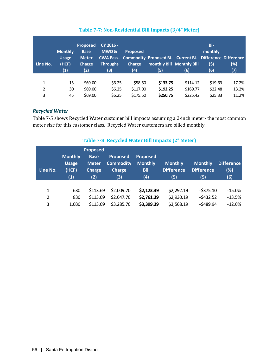| Line No. | <b>Monthly</b><br><b>Usage</b><br>(HCF)<br>(1) | <b>Proposed</b><br><b>Base</b><br><b>Meter</b><br><b>Charge</b><br>(2) | CY 2016 -<br><b>MWD&amp;</b><br><b>Throughs</b><br>(3) | <b>Proposed</b><br><b>Charge</b><br>(4) | CWA Pass- Commodity Proposed Bi- Current Bi- Difference Difference<br>(5) | monthly Bill Monthly Bill<br>(6) | Bi-<br>monthly<br>(\$)<br>(6) | (%)<br>(7) |
|----------|------------------------------------------------|------------------------------------------------------------------------|--------------------------------------------------------|-----------------------------------------|---------------------------------------------------------------------------|----------------------------------|-------------------------------|------------|
| 1        | 15                                             | \$69.00                                                                | \$6.25                                                 | \$58.50                                 | \$133.75                                                                  | \$114.12                         | \$19.63                       | 17.2%      |
| 2        | 30                                             | \$69.00                                                                | \$6.25                                                 | \$117.00                                | \$192.25                                                                  | \$169.77                         | \$22.48                       | 13.2%      |
| 3        | 45                                             | \$69.00                                                                | \$6.25                                                 | \$175.50                                | \$250.75                                                                  | \$225.42                         | \$25.33                       | 11.2%      |

### **Table 7-7: Non-Residential Bill Impacts (3/4" Meter)**

#### *Recycled Water*

Table 7-5 shows Recycled Water customer bill impacts assuming a 2-inch meter- the most common meter size for this customer class. Recycled Water customers are billed monthly.

#### **Line No. Monthly Usage (HCF) Proposed Base Meter Charge Proposed Commodity Charge Proposed Monthly Bill Monthly Difference Monthly Difference Difference (%) (1) (2) (3) (4) (5) (5) (6)** 1 630 \$113.69 \$2,009.70 **\$2,123.39** \$2,292.19 -\$375.10 -15.0% 2 830 \$113.69 \$2,647.70 **\$2,761.39** \$2,930.19 -\$432.52 -13.5% 3 1,030 \$113.69 \$3,285.70 **\$3,399.39** \$3,568.19 -\$489.94 -12.6%

#### **Table 7-8: Recycled Water Bill Impacts (2" Meter)**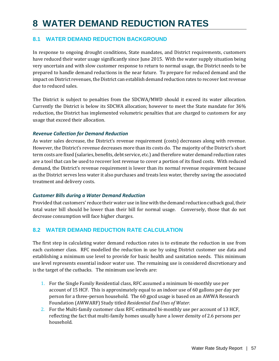## **8 WATER DEMAND REDUCTION RATES**

## **8.1 WATER DEMAND REDUCTION BACKGROUND**

In response to ongoing drought conditions, State mandates, and District requirements, customers have reduced their water usage significantly since June 2015. With the water supply situation being very uncertain and with slow customer response to return to normal usage, the District needs to be prepared to handle demand reductions in the near future. To prepare for reduced demand and the impact on District revenues, the District can establish demand reduction rates to recover lost revenue due to reduced sales.

The District is subject to penalties from the SDCWA/MWD should it exceed its water allocation. Currently the District is below its SDCWA allocation; however to meet the State mandate for 36% reduction, the District has implemented volumetric penalties that are charged to customers for any usage that exceed their allocation.

#### *Revenue Collection for Demand Reduction*

As water sales decrease, the District's revenue requirement (costs) decreases along with revenue. However, the District's revenue decreases more than its costs do. The majority of the District's short term costs are fixed (salaries, benefits, debt service, etc.) and therefore water demand reduction rates are a tool that can be used to recover lost revenue to cover a portion of its fixed costs. With reduced demand, the District's revenue requirement is lower than its normal revenue requirement because as the District serves less water it also purchases and treats less water, thereby saving the associated treatment and delivery costs.

#### *Customer Bills during a Water Demand Reduction*

Provided that customers' reduce their water use in line with the demand reduction cutback goal, their total water bill should be lower than their bill for normal usage. Conversely, those that do not decrease consumption will face higher charges.

## **8.2 WATER DEMAND REDUCTION RATE CALCULATION**

The first step in calculating water demand reduction rates is to estimate the reduction in use from each customer class. RFC modelled the reduction in use by using District customer use data and establishing a minimum use level to provide for basic health and sanitation needs. This minimum use level represents essential indoor water use. The remaining use is considered discretionary and is the target of the cutbacks. The minimum use levels are:

- 1. For the Single Family Residential class, RFC assumed a minimum bi-monthly use per account of 15 HCF. This is approximately equal to an indoor use of 60 gallons per day per person for a three-person household. The 60 gpcd usage is based on an AWWA Research Foundation (AWWARF) Study titled *Residential End Uses of Water*.
- 2. For the Multi-family customer class RFC estimated bi-monthly use per account of 13 HCF, reflecting the fact that multi-family homes usually have a lower density of 2.6 persons per household.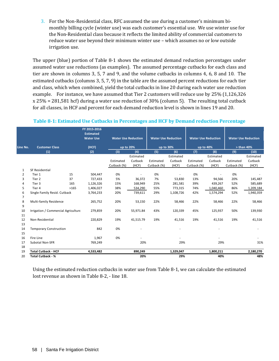3. For the Non-Residential class, RFC assumed the use during a customer's minimum bimonthly billing cycle (winter use) was each customer's essential use. We use winter use for the Non-Residential class because it reflects the limited ability of commercial customers to reduce water use beyond their minimum winter use – which assumes no or low outside irrigation use.

The upper (blue) portion of Table 8-1 shows the estimated demand reduction percentages under assumed water use reductions (as examples). The assumed percentage cutbacks for each class and tier are shown in columns 3, 5, 7 and 9, and the volume cutbacks in columns 4, 6, 8 and 10. The estimated cutbacks (columns 3, 5, 7, 9) in the table are the assumed percent reductions for each tier and class, which when combined, yield the total cutbacks in line 20 during each water use reduction example. For instance, we have assumed that Tier 2 customers will reduce use by 25% (1,126,326 x 25% = 281,581 hcf) during a water use reduction of 30% (column 5). The resulting total cutback for all classes, in HCF and percent for each demand reduction level is shown in lines 19 and 20.

|          |                                     | FY 2015-2016<br><b>Estimated</b><br><b>Water Use</b> | <b>Water Use Reduction</b> |           | <b>Water Use Reduction</b> |           | <b>Water Use Reduction</b> |           |              | <b>Water Use Reduction</b> |
|----------|-------------------------------------|------------------------------------------------------|----------------------------|-----------|----------------------------|-----------|----------------------------|-----------|--------------|----------------------------|
| Line No. | <b>Customer Class</b>               | (HCF)                                                | up to 20%                  |           | up to 30%                  |           | up to 40%                  |           | $>$ than 40% |                            |
|          | (1)                                 | (2)                                                  | (3)                        | (4)       | (5)                        | (6)       | (7)                        | (8)       | (9)          | (10)                       |
|          |                                     |                                                      |                            | Estimated |                            | Estimated |                            | Estimated |              | Estimated                  |
|          |                                     |                                                      | Estimated                  | Cutback   | Estimated                  | Cutback   | Estimated                  | Cutback   | Estimated    | Cutback                    |
|          |                                     |                                                      | Cutback (%)                | (HCF)     | Cutback (%)                | (HCF)     | Cutback (%)                | (HCF)     | Cutback (%)  | (HCF)                      |
| 1        | <b>SF Residential</b>               |                                                      |                            |           |                            |           |                            |           |              |                            |
| 2        | 15<br>Tier 1                        | 504,447                                              | 0%                         | ÷,        | 0%                         |           | 0%                         |           | 0%           |                            |
| 3        | 37<br>Tier 2                        | 727,433                                              | 5%                         | 36,372    | 7%                         | 53,830    | 13%                        | 94,566    | 20%          | 145,487                    |
| 4        | Tier 3<br>165                       | 1,126,326                                            | 15%                        | 168,949   | 25%                        | 281,581   | 39%                        | 439,267   | 52%          | 585,689                    |
| 5        | >165<br>Tier 4                      | 1,406,027                                            | 38%                        | 534,290   | 55%                        | 773,315   | 74%                        | 1,040,460 | 86%          | 1,209,184                  |
| 6        | Single Family Resid. Cutback        | 3,764,233                                            | 20%                        | 739,611   | 29%                        | 1,108,726 | 42%                        | 1,574,294 | 52%          | 1,940,359                  |
| 7        |                                     |                                                      |                            |           |                            |           |                            |           |              |                            |
| 8<br>9   | <b>Multi-family Residence</b>       | 265,752                                              | 20%                        | 53,150    | 22%                        | 58,466    | 22%                        | 58,466    | 22%          | 58,466                     |
| 10       | Irrigation / Commercial Agriculture | 279,859                                              | 20%                        | 55,971.84 | 43%                        | 120,339   | 45%                        | 125,937   | 50%          | 139,930                    |
| 11       |                                     |                                                      |                            |           |                            |           |                            |           |              |                            |
| 12       | Non-Residential                     | 220,829                                              | 19%                        | 41,515.79 | 19%                        | 41,516    | 19%                        | 41,516    | 19%          | 41,516                     |
| 13       |                                     |                                                      |                            |           |                            |           |                            |           |              |                            |
| 14       | <b>Temporary Construction</b>       | 842                                                  | 0%                         |           |                            |           |                            |           |              |                            |
| 15       |                                     |                                                      |                            |           |                            |           |                            |           |              |                            |
| 16       | Fire Line                           | 1,967                                                | 0%                         |           |                            |           |                            |           |              |                            |
| 17       | Subotal Non-SFR                     | 769,249                                              |                            | 20%       |                            | 29%       |                            | 29%       |              | 31%                        |
| 18       |                                     |                                                      |                            |           |                            |           |                            |           |              |                            |
| 19       | <b>Total Cutback - HCF</b>          | 4,533,482                                            |                            | 890,249   |                            | 1,329,047 |                            | 1,800,211 |              | 2,180,270                  |
| 20       | <b>Total Cutback - %</b>            |                                                      |                            | 20%       |                            | 29%       |                            | 40%       |              | 48%                        |

#### **Table 8-1: Estimated Use Cutbacks in Percentages and HCF by Demand reduction Percentage**

Using the estimated reduction cutbacks in water use from Table 8-1, we can calculate the estimated lost revenue as shown in Table 8-2, - line 18.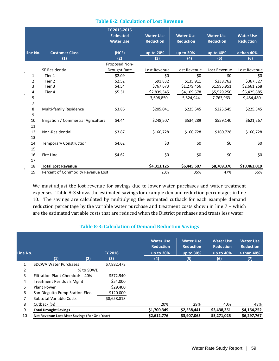|  |  |  |  |  |  | <b>Table 8-2: Calculation of Lost Revenue</b> |
|--|--|--|--|--|--|-----------------------------------------------|
|--|--|--|--|--|--|-----------------------------------------------|

|             |                                     | FY 2015-2016<br><b>Estimated</b> | <b>Water Use</b> | <b>Water Use</b> | <b>Water Use</b> | <b>Water Use</b> |
|-------------|-------------------------------------|----------------------------------|------------------|------------------|------------------|------------------|
|             |                                     | <b>Water Use</b>                 | <b>Reduction</b> | <b>Reduction</b> | <b>Reduction</b> | <b>Reduction</b> |
| Line No.    | <b>Customer Class</b>               | (HCF)                            | up to 20%        | up to 30%        | up to 40%        | $>$ than 40%     |
|             | (1)                                 | (2)                              | (3)              | (4)              | (5)              | (6)              |
|             |                                     | Proposed Non-                    |                  |                  |                  |                  |
|             | <b>SF Residential</b>               | Drought Rate                     | Lost Revenue     | Lost Revenue     | Lost Revenue     | Lost Revenue     |
| 1           | Tier 1                              | \$2.09                           | \$0              | \$0\$            | \$0              | \$0              |
| 2           | Tier 2                              | \$2.52                           | \$91,832         | \$135,911        | \$238,762        | \$367,327        |
| 3           | Tier 3                              | \$4.54                           | \$767,673        | \$1,279,456      | \$1,995,951      | \$2,661,268      |
| 4           | Tier 4                              | \$5.31                           | \$2,839,345      | \$4,109,578      | \$5,529,250      | \$6,425,885      |
| 5           |                                     |                                  | 3,698,850        | 5,524,944        | 7,763,963        | 9,454,480        |
| 7           |                                     |                                  |                  |                  |                  |                  |
| $\,$ 8 $\,$ | Multi-family Residence              | \$3.86                           | \$205,041        | \$225,545        | \$225,545        | \$225,545        |
| 9           |                                     |                                  |                  |                  |                  |                  |
| 10          | Irrigation / Commercial Agriculture | \$4.44                           | \$248,507        | \$534,289        | \$559,140        | \$621,267        |
| 11          |                                     |                                  |                  |                  |                  |                  |
| 12          | Non-Residential                     | \$3.87                           | \$160,728        | \$160,728        | \$160,728        | \$160,728        |
| 13          |                                     |                                  |                  |                  |                  |                  |
| 14          | <b>Temporary Construction</b>       | \$4.62                           | \$0              | \$0              | \$0              | \$0              |
| 15          |                                     |                                  |                  |                  |                  |                  |
| 16          | Fire Line                           | \$4.62                           | \$0              | \$0              | \$0              | \$0              |
| 17          |                                     |                                  |                  |                  |                  |                  |
| 18          | <b>Total Lost Revenue</b>           |                                  | \$4,313,125      | \$6,445,507      | \$8,709,376      | \$10,462,019     |
| 19          | Percent of Commodity Revenue Lost   |                                  | 23%              | 35%              | 47%              | 56%              |

We must adjust the lost revenue for savings due to lower water purchases and water treatment expenses. Table 8-3 shows the estimated savings for example demand reduction percentages in line 10. The savings are calculated by multiplying the estimated cutback for each example demand reduction percentage by the variable water purchase and treatment costs shown in line 7 – which are the estimated variable costs that are reduced when the District purchases and treats less water.

#### **Table 8-3: Calculation of Demand Reduction Savings**

| Line No. |                                               |           | <b>FY 2016</b> | <b>Water Use</b><br><b>Reduction</b><br>up to 20% | <b>Water Use</b><br><b>Reduction</b><br>up to $30\%$ | <b>Water Use</b><br><b>Reduction</b><br>up to $40\%$ | <b>Water Use</b><br><b>Reduction</b><br>$>$ than 40% |
|----------|-----------------------------------------------|-----------|----------------|---------------------------------------------------|------------------------------------------------------|------------------------------------------------------|------------------------------------------------------|
|          | (1)                                           | (2)       | (3)            | (4)                                               | (5)                                                  | (6)                                                  | (7)                                                  |
| 1        | <b>SDCWA Water Purchases</b>                  |           | \$7,882,478    |                                                   |                                                      |                                                      |                                                      |
| 2        |                                               | % to SDWD |                |                                                   |                                                      |                                                      |                                                      |
| 3        | <b>Filtration Plant Chemical:</b>             | 40%       | \$572,940      |                                                   |                                                      |                                                      |                                                      |
| 4        | <b>Treatment Residuals Mgmt</b>               |           | \$54,000       |                                                   |                                                      |                                                      |                                                      |
| 5        | Plant Power                                   |           | \$29,400       |                                                   |                                                      |                                                      |                                                      |
| 6        | San Dieguito Pump Station Elec.               |           | \$120,000      |                                                   |                                                      |                                                      |                                                      |
| 7        | <b>Subtotal Variable Costs</b>                |           | \$8,658,818    |                                                   |                                                      |                                                      |                                                      |
| 8        | Cutback (%)                                   |           |                | 20%                                               | 29%                                                  | 40%                                                  | 48%                                                  |
| 9        | <b>Total Drought Savings</b>                  |           |                | \$1,700,349                                       | \$2,538,441                                          | \$3,438,351                                          | \$4,164,252                                          |
| 10       | Net Revenue Lost After Savings (For One Year) |           |                | \$2,612,776                                       | \$3,907,065                                          | \$5,271,025                                          | \$6,297,767                                          |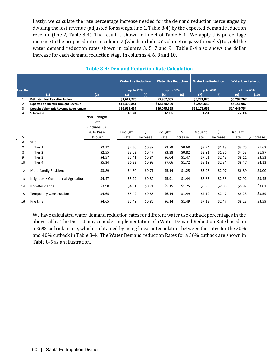Lastly, we calculate the rate percentage increase needed for the demand reduction percentages by dividing the lost revenue (adjusted for savings, line 1, Table 8-4) by the expected demand reduction revenue (line 2, Table 8-4). The result is shown in line 4 of Table 8-4. We apply this percentage increase to the proposed rates in column 2 (which include CY volumetric pass-throughs) to yield the water demand reduction rates shown in columns 3, 5, 7 and 9. Table 8-4 also shows the dollar increase for each demand reduction stage in columns 4, 6, 8 and 10.

|              |                                            |              | <b>Water Use Reduction</b> |          | <b>Water Use Reduction</b> |          | <b>Water Use Reduction</b> |          | <b>Water Use Reduction</b> |             |
|--------------|--------------------------------------------|--------------|----------------------------|----------|----------------------------|----------|----------------------------|----------|----------------------------|-------------|
| Line No.     |                                            |              | up to 20%                  |          | up to 30%                  |          | up to 40%                  |          | $>$ than 40%               |             |
|              | (1)                                        | (2)          | (3)                        | (4)      | (5)                        | (6)      | (7)                        | (8)      | (9)                        | (10)        |
| $\mathbf{1}$ | <b>Estimated Lost Rev after Savings</b>    |              | \$2,612,776                |          | \$3,907,065                |          | \$5,271,025                |          | \$6,297,767                |             |
| 2            | <b>Expected Volumetric Drought Revenue</b> |              | \$14,300,881               |          | \$12,168,499               |          | \$9,904,630                |          | \$8,151,987                |             |
| 3            | Drought Volumetric Revenue Requirement     |              | \$16,913,657               |          | \$16,075,565               |          | \$15,175,655               |          | \$14,449,754               |             |
| 4            | % Increase                                 |              | 18.3%                      |          | 32.1%                      |          | 53.2%                      |          | 77.3%                      |             |
|              |                                            | Non-Drought  |                            |          |                            |          |                            |          |                            |             |
|              |                                            | Rate         |                            |          |                            |          |                            |          |                            |             |
|              |                                            | (Includes CY |                            |          |                            |          |                            |          |                            |             |
|              |                                            | 2016 Pass-   | Drought                    | \$       | Drought                    | \$       | Drought                    | \$       | Drought                    |             |
| 5            |                                            | Through      | Rate                       | Increase | Rate                       | Increase | Rate                       | Increase | Rate                       | \$ Increase |
| 6            | <b>SFR</b>                                 |              |                            |          |                            |          |                            |          |                            |             |
| 7            | Tier 1                                     | \$2.12       | \$2.50                     | \$0.39   | \$2.79                     | \$0.68   | \$3.24                     | \$1.13   | \$3.75                     | \$1.63      |
| 8            | Tier 2                                     | \$2.55       | \$3.02                     | \$0.47   | \$3.38                     | \$0.82   | \$3.91                     | \$1.36   | \$4.53                     | \$1.97      |
| 9            | Tier 3                                     | \$4.57       | \$5.41                     | \$0.84   | \$6.04                     | \$1.47   | \$7.01                     | \$2.43   | \$8.11                     | \$3.53      |
| 10           | Tier 4                                     | \$5.34       | \$6.32                     | \$0.98   | \$7.06                     | \$1.72   | \$8.19                     | \$2.84   | \$9.47                     | \$4.13      |
|              |                                            |              |                            |          |                            |          |                            |          |                            |             |
| 12           | Multi-family Residence                     | \$3.89       | \$4.60                     | \$0.71   | \$5.14                     | \$1.25   | \$5.96                     | \$2.07   | \$6.89                     | \$3.00      |
| 13           | Irrigation / Commercial Agriculture        | \$4.47       | \$5.29                     | \$0.82   | \$5.91                     | \$1.44   | \$6.85                     | \$2.38   | \$7.92                     | \$3.45      |
|              |                                            |              |                            |          |                            |          |                            |          |                            |             |
| 14           | Non-Residential                            | \$3.90       | \$4.61                     | \$0.71   | \$5.15                     | \$1.25   | \$5.98                     | \$2.08   | \$6.92                     | \$3.01      |
| 15           | <b>Temporary Construction</b>              | \$4.65       | \$5.49                     | \$0.85   | \$6.14                     | \$1.49   | \$7.12                     | \$2.47   | \$8.23                     | \$3.59      |
| 16           | Fire Line                                  | \$4.65       | \$5.49                     | \$0.85   | \$6.14                     | \$1.49   | \$7.12                     | \$2.47   | \$8.23                     | \$3.59      |
|              |                                            |              |                            |          |                            |          |                            |          |                            |             |

## **Table 8-4: Demand Reduction Rate Calculation**

We have calculated water demand reduction rates for different water use cutback percentages in the above table. The District may consider implementation of a Water Demand Reduction Rate based on a 36% cutback in use, which is obtained by using linear interpolation between the rates for the 30% and 40% cutback in Table 8-4. The Water Demand reduction Rates for a 36% cutback are shown in Table 8-5 as an illustration.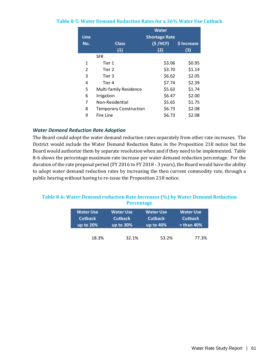| <b>Line</b> |                               | <b>Water</b><br><b>Shortage Rate</b> |             |
|-------------|-------------------------------|--------------------------------------|-------------|
| No.         | <b>Class</b>                  | (S/HCF)                              | \$ Increase |
|             | (1)                           | (2)                                  | (3)         |
|             | <b>SFR</b>                    |                                      |             |
| 1           | Tier 1                        | \$3.06                               | \$0.95      |
| 2           | Tier 2                        | \$3.70                               | \$1.14      |
| 3           | Tier 3                        | \$6.62                               | \$2.05      |
| 4           | Tier 4                        | \$7.74                               | \$2.39      |
| 5           | <b>Multi-family Residence</b> | \$5.63                               | \$1.74      |
| 6           | Irrigation                    | \$6.47                               | \$2.00      |
| 7           | Non-Residential               | \$5.65                               | \$1.75      |
| 8           | <b>Temporary Construction</b> | \$6.73                               | \$2.08      |
| 9           | Fire Line                     | \$6.73                               | \$2.08      |

#### **Table 8-5: Water Demand Reduction Rates for a 36% Water Use Cutback**

#### *Water Demand Reduction Rate Adoption*

The Board could adopt the water demand reduction rates separately from other rate increases. The District would include the Water Demand Reduction Rates in the Proposition 218 notice but the Board would authorize them by separate resolution when and if they need to be implemented. Table 8-6 shows the percentage maximum rate increase per water demand reduction percentage. For the duration of the rate proposal period (FY 2016 to FY 2018 - 3 years), the Board would have the ability to adopt water demand reduction rates by increasing the then current commodity rate, through a public hearing without having to re-issue the Proposition 218 notice.

#### **Table 8-6: Water Demand reduction Rate Increases (%) by Water Demand Reduction Percentage**

| Water Use      | Water Use'     | <b>Water Use</b> | Water Use'     |  |
|----------------|----------------|------------------|----------------|--|
| <b>Cutback</b> | <b>Cutback</b> | <b>Cutback</b>   | <b>Cutback</b> |  |
| up to $20%$    | up to $30\%$   | up to $40\%$     | $>$ than 40%   |  |
| 18.3%          | 32.1%          | 53.2%            | 77.3%          |  |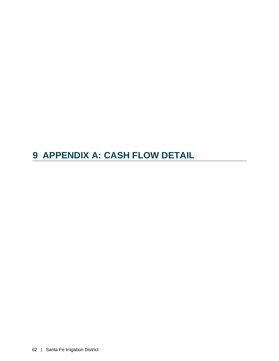## **9 APPENDIX A: CASH FLOW DETAIL**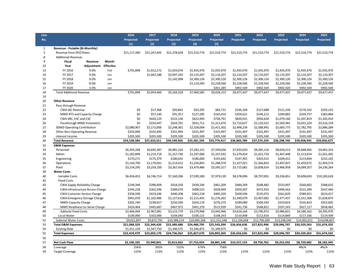| Line           |                                     |                             |       | 2016         | 2017         | 2018         | 2019         | 2020         | 2021         | 2022         | 2023         | 2024         | 2025         |
|----------------|-------------------------------------|-----------------------------|-------|--------------|--------------|--------------|--------------|--------------|--------------|--------------|--------------|--------------|--------------|
| No.            |                                     |                             |       | Projected    | Projected    | Projected    | Projected    | Projected    | Projected    | Projected    | Projected    | Projected    | Projected    |
|                |                                     |                             |       | (1)          | (2)          | (3)          | (4)          | (5)          |              |              |              |              |              |
| $\mathbf{1}$   | Revenue - Potable (Bi-Monthly)      |                             |       |              |              |              |              |              |              |              |              |              |              |
| $\overline{2}$ | Revenue from SFID Rates             |                             |       | \$21,117,280 | \$21,247,465 | \$21,378,628 | \$21,510,774 | \$21,510,774 | \$21,510,774 | \$21,510,774 | \$21,510,774 | \$21,510,774 | \$21,510,774 |
| 8              | <b>Additional Revenue:</b>          |                             |       |              |              |              |              |              |              |              |              |              |              |
| 9              | <b>Fiscal</b>                       | Revenue                     | Month |              |              |              |              |              |              |              |              |              |              |
| 10             | Year                                | <b>Adjustment Effective</b> |       |              |              |              |              |              |              |              |              |              |              |
| 13             | FY 2016                             | 9.0%                        | Feb   | \$791,898    | \$1,912,272  | \$1,924,076  | \$1,935,970  | \$1,935,970  | \$1,935,970  | \$1,935,970  | \$1,935,970  | \$1,935,970  | \$1,935,970  |
| 14             | FY 2017                             | 9.0%                        | Jan   |              | \$1,042,188  | \$2,097,243  | \$2,110,207  | \$2,110,207  | \$2,110,207  | \$2,110,207  | \$2,110,207  | \$2,110,207  | \$2,110,207  |
| 15             | FY 2018                             | 9.0%                        | Jan   |              |              | \$1,142,998  | \$2,300,126  | \$2,300,126  | \$2,300,126  | \$2,300,126  | \$2,300,126  | \$2,300,126  | \$2,300,126  |
| 16             | FY 2019                             | 8.0%                        | Jan   |              |              |              | \$1,114,283  | \$2,228,566  | \$2,228,566  | \$2,228,566  | \$2,228,566  | \$2,228,566  | \$2,228,566  |
| 17             | FY 2020                             | 3.0%                        | Jan   |              |              |              |              | \$451,285    | \$902,569    | \$902,569    | \$902,569    | \$902,569    | \$902,569    |
| 18             | <b>Total Additional Revenue</b>     |                             |       | \$791,898    | \$2,954,460  | \$5,164,318  | \$7,460,585  | \$9,026,153  | \$9,477,437  | \$9,477,437  | \$9,477,437  | \$9,477,437  | \$9,477,437  |
| 19             |                                     |                             |       |              |              |              |              |              |              |              |              |              |              |
| 20             | <b>Other Revenue</b>                |                             |       |              |              |              |              |              |              |              |              |              |              |
| 21             | Pass-through Revenue                |                             |       |              |              |              |              |              |              |              |              |              |              |
| 22             | <b>CWA IAC Revenue</b>              |                             |       | \$0          | \$17,368     | \$43,842     | \$63,295     | \$83,721     | \$105,169    | \$127,688    | \$151,334    | \$176,162    | \$202,232    |
| 23             | MWD RTS and Capacity Charge         |                             |       | \$0          | \$57,140     | \$91,357     | \$127,285    | \$165,010    | \$204,621    | \$246,212    | \$289,883    | \$335,737    | \$383,884    |
| 24             | CWA SRC, ESC and CSC                |                             |       | \$0          | \$426,129    | \$522,136    | \$622,943    | \$728,791    | \$839,931    | \$956,628    | \$1,079,160  | \$1,207,819  | \$1,342,910  |
| 26             | Passthrough MWD Volumetric          |                             |       | \$0          | \$220,447    | \$563,791    | \$931,711    | \$1,311,670  | \$1,710,627  | \$2,129,531  | \$2,569,381  | \$3,031,224  | \$3,516,159  |
| 27             | SDWD Operating Contribution         |                             |       | \$2,080,907  | \$2,172,006  | \$2,248,361  | \$2,328,004  | \$2,411,302  | \$2,498,234  | \$2,588,991  | \$2,683,773  | \$2,782,795  | \$2,886,284  |
| 28             | <b>Other Non-Operating Revenue</b>  |                             |       | \$333,000    | \$332,495    | \$331,994    | \$331,497    | \$331,497    | \$331,497    | \$331,497    | \$331,497    | \$331,497    | \$331,497    |
| 29             | Interest Income                     |                             |       | \$205,500    | \$205,500    | \$205,500    | \$205,500    | \$205,500    | \$205,500    | \$205,500    | \$205,500    | \$205,500    | \$205,500    |
| 30             | <b>Total Revenue</b>                |                             |       | \$24,528,584 | \$27,633,011 | \$30,549,926 | \$33,581,594 | \$35,774,417 | \$36,883,789 | \$37,574,259 | \$38,298,740 | \$39,058,945 | \$39,856,677 |
| 32             | <b>O&amp;M Expenses</b>             |                             |       |              |              |              |              |              |              |              |              |              |              |
| 33             | Personnel                           |                             |       | \$6,393,268  | \$6,695,387  | \$6,981,226  | \$7,282,131  | \$7,599,056  | \$7,933,020  | \$8,285,116  | \$8,656,513  | \$9,048,465  | \$9,462,316  |
| 34             | Admin                               |                             |       | \$1,182,899  | \$1,219,718  | \$1,257,740  | \$1,297,006  | \$1,337,562  | \$1,379,454  | \$1,422,733  | \$1,467,448  | \$1,513,654  | \$1,561,405  |
| 35             | Engineering                         |                             |       | \$170,271    | \$175,379    | \$180,641    | \$186,060    | \$191,642    | \$197,391    | \$203,312    | \$209,412    | \$215,694    | \$222,165    |
| 36             | Operations                          |                             |       | \$1,144,700  | \$1,179,041  | \$1,214,412  | \$1,250,845  | \$1,288,370  | \$1,327,021  | \$1,366,832  | \$1,407,837  | \$1,450,072  | \$1,493,574  |
| 37             | Plant                               |                             |       | \$3,154,295  | \$3,259,100  | \$3,367,456  | \$3,479,486  | \$3,595,317  | \$3,715,081  | \$3,838,914  | \$3,966,958  | \$4,099,357  | \$4,236,264  |
| 39             | <b>Water Costs</b>                  |                             |       |              |              |              |              |              |              |              |              |              |              |
| 40             | Variable Costs                      |                             |       | \$6,456,453  | \$6,746,714  | \$7,160,396  | \$7,599,180  | \$7,979,139  | \$8,378,096  | \$8,797,001  | \$9,236,851  | \$9,698,693  | \$10,183,628 |
| 42             | <b>Fixed Costs</b>                  |                             |       |              |              |              |              |              |              |              |              |              |              |
| 43             | CWA Supply Reliability Charge       |                             |       | \$194,346    | \$398,409    | \$418,330    | \$439,246    | \$461,209    | \$484,269    | \$508,482    | \$533,907    | \$560,602    | \$588,632    |
| 44             | CWA Infrastructure Access Charge    |                             |       | \$345,228    | \$362,596    | \$389,070    | \$408,523    | \$428,949    | \$450,397    | \$472,916    | \$496,562    | \$521,390    | \$547,460    |
| 45             | <b>CWA Customer Service Charge</b>  |                             |       | \$358,590    | \$419,246    | \$440,208    | \$462,218    | \$485,329    | \$509,596    | \$535,075    | \$561,829    | \$589,921    | \$619,417    |
| 46             | <b>CWA Emergency Storage Charge</b> |                             |       | \$941,076    | \$1,102,486  | \$1,157,610  | \$1,215,491  | \$1,276,265  | \$1,340,079  | \$1,407,082  | \$1,477,437  | \$1,551,308  | \$1,628,874  |
| 47             | <b>MWD Capacity Charge</b>          |                             |       | \$202,740    | \$238,657    | \$250,590    | \$263,119    | \$276,275    | \$290,089    | \$304,593    | \$319,823    | \$335,814    | \$352,605    |
| 48             | MWD Readiness-to-Serve Charge       |                             |       | \$424,464    | \$445,687    | \$467,972    | \$491,370    | \$515,939    | \$541,736    | \$568,822    | \$597,263    | \$627,127    | \$658,483    |
| 49             | <b>Subtotal Fixed Costs</b>         |                             |       | \$2,466,444  | \$2,967,081  | \$3,123,779  | \$3,279,968  | \$3,443,966  | \$3,616,164  | \$3,796,972  | \$3,986,821  | \$4,186,162  | \$4,395,470  |
| 50             | Local Water                         |                             |       | \$100,000    | \$102,000    | \$104,040    | \$106,121    | \$108,243    | \$110,408    | \$112,616    | \$114,869    | \$117,166    | \$119,509    |
| 52             | <b>Subtotal Water Costs</b>         |                             |       | \$9,022,897  | \$9,815,795  | \$10,388,214 | \$10,985,268 | \$11,531,348 | \$12,104,668 | \$12,706,589 | \$13,338,540 | \$14,002,021 | \$14,698,607 |
| 53             | <b>Total O&amp;M Expenses</b>       |                             |       | \$21,068,329 | \$22,344,420 | \$23,389,688 | \$24,480,795 | \$25,543,294 | \$26,656,636 | \$27,823,496 | \$29,046,707 | \$30,329,263 | \$31,674,332 |
| 54             | <b>Existing Debt</b>                |                             |       | \$1,351,150  | \$1,347,750  | \$1,346,575  | \$1,346,875  | \$1,349,975  | \$0          | \$0          | \$0          | \$0          | \$0          |
| 55             | <b>Total Expenses</b>               |                             |       | \$22,419,479 | \$23,692,170 | \$24,736,263 | \$25,827,670 | \$26,893,269 | \$26,656,636 | \$27,823,496 | \$29,046,707 | \$30,329,263 | \$31,674,332 |
| 56             |                                     |                             |       |              |              |              |              |              |              |              |              |              |              |
| 57             | <b>Net Cash Flow</b>                |                             |       | \$2,109,105  | \$3,940,841  | \$5,813,663  | \$7,753,924  | \$8,881,148  | \$10,227,153 | \$9,750,762  | \$9,252,032  | \$8,729,682  | \$8,182,345  |
| 58             | Coverage                            |                             |       | 256%         | 392%         | 532%         | 676%         | 758%         |              |              |              | #N/A         | #N/A         |
| 59             | <b>Target Coverage</b>              |                             |       | 115%         | 115%         | 115%         | 115%         | 115%         | 115%         | 115%         | 115%         | 115%         | 115%         |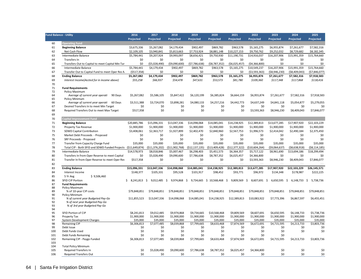| <b>Fund Balance - Utility</b> |                                                                                                  | 2016               | 2017                           | 2018                       | 2019                           | 2020                                  | 2021                       | 2022                        | 2023                          | 2024                   | 2025                           |
|-------------------------------|--------------------------------------------------------------------------------------------------|--------------------|--------------------------------|----------------------------|--------------------------------|---------------------------------------|----------------------------|-----------------------------|-------------------------------|------------------------|--------------------------------|
|                               |                                                                                                  | Projected          | Projected                      | Projected                  | Projected                      | Projected                             | Projected                  | Projected                   | Projected                     | Projected              | Projected                      |
| 60                            | <b>Operating Fund</b>                                                                            |                    |                                |                            |                                |                                       |                            |                             |                               |                        |                                |
| 61                            | <b>Beginning Balance</b>                                                                         | \$3,675,336        | \$5,267,082                    | \$4,179,434                | \$902,497                      | \$869,782                             | \$963,578                  | \$5,165,275                 | \$6,955,874                   | \$7,261,677            | \$7,582,316                    |
| 62                            | Net Cash Flow                                                                                    | \$2,109,105        | \$3,940,841                    | \$5,813,663                | \$7,753,924                    | \$8,881,148                           | \$10,227,153               | \$9,750,762                 | \$9,252,032                   | \$8,729,682            | \$8,182,345                    |
| 63                            | Intermediate Balance                                                                             | \$5,784,441        | \$9,207,924                    | \$9,993,097                | \$8,656,421                    | \$9,750,930                           | \$11,190,731               | \$14,916,037                | \$16,207,906                  | \$15,991,359           | \$15,764,660                   |
| 64                            | Transfers In                                                                                     | \$0                | \$0                            | \$0                        | \$0                            | \$0                                   | \$0                        | \$0                         | \$0                           | \$0                    | \$0                            |
| 65                            | Transfers Out to Capital to meet Capital Min Tar                                                 | \$0                | (55,028,490)                   | (\$9,090,600)              | (57, 786, 638)                 | (58, 787, 352)                        | ( \$6,025,457)             | (54, 366, 800)              | \$0                           | \$0                    | \$0                            |
| 66                            | Intermediate Balance                                                                             | \$5,784,441        | \$4,179,434                    | \$902,497                  | \$869,782                      | \$963,578                             | \$5,165,275                | \$10,549,237                | \$16,207,906                  | \$15,991,359           | \$15,764,660                   |
| 67                            | Transfer Out to Capital Fund to meet Oper Res N                                                  | (5517, 358)        | \$0                            | \$0                        | \$0                            | \$0                                   | \$0                        | (53,593,363)                | (58,946,230)                  | ( \$8,409,043)         | (\$7,846,077)                  |
| 68                            | <b>Ending Balance</b>                                                                            | \$5,267,082        | \$4,179,434                    | \$902,497                  | \$869,782                      | \$963,578                             | \$5,165,275                | \$6,955,874                 | \$7,261,677                   | \$7,582,316            | \$7,918,583                    |
| 69                            | Interest Income(Accted for in income above)                                                      | \$55,258           | \$66,937                       | \$54,478                   | \$47,631                       | \$53,573                              | \$81,780                   | \$109,360                   | \$117,348                     | \$117,868              | \$118,416                      |
| 70                            |                                                                                                  |                    |                                |                            |                                |                                       |                            |                             |                               |                        |                                |
| 71                            | <b>Fund Requirements</b>                                                                         |                    |                                |                            |                                |                                       |                            |                             |                               |                        |                                |
| 72                            | Policy Maximum                                                                                   |                    |                                |                            |                                |                                       |                            |                             |                               |                        |                                |
| 64                            | Average of current year operati<br>90 Days                                                       | \$5,267,082        | \$5,586,105                    | \$5,847,422                | \$6,120,199                    | \$6,385,824                           | \$6,664,159                | \$6,955,874                 | \$7,261,677                   | \$7,582,316            | \$7,918,583                    |
| 65                            | Policy Minimum                                                                                   |                    |                                |                            |                                |                                       |                            |                             |                               |                        |                                |
| 66<br>67                      | 60 Days<br>Average of current year operati<br>Desired Transfers In to meet Min Target            | \$3,511,388<br>\$0 | \$3,724,070<br>\$0             | \$3,898,281<br>\$0         | \$4,080,133<br>\$0             | \$4,257,216<br>\$0                    | \$4,442,773<br>\$0         | \$4,637,249<br>\$0          | \$4,841,118<br>\$0            | \$5,054,877<br>\$0     | \$5,279,055<br>\$0             |
| 68                            | Required Transfers Out to meet Max Target                                                        | \$517,358          | \$0                            | \$0                        | \$0                            | \$0                                   | \$0                        |                             | \$8,946,230                   |                        | \$7,846,077                    |
| 69                            |                                                                                                  |                    |                                |                            |                                |                                       |                            | \$3,593,363                 |                               | \$8,409,043            |                                |
| 70                            | <b>Capital Improvement Fund</b>                                                                  |                    |                                |                            |                                |                                       |                            |                             |                               |                        |                                |
| 71                            | <b>Beginning Balance</b>                                                                         | \$20,885,786       | \$15,096,331                   | \$13,047,336               | \$14,098,068                   | \$14,085,041                          | \$14,238,925               | \$12,389,813                | \$13,677,285                  | \$17,907,920           | \$22,103,229                   |
| 72                            | Property Tax Revenue                                                                             | \$1,900,000        | \$1,900,000                    | \$1,900,000                | \$1,900,000                    | \$1,900,000                           | \$1,900,000                | \$1,900,000                 | \$1,900,000                   | \$1,900,000            | \$1,900,000                    |
| 73                            | SDWD Capital Contribution                                                                        | \$3,408,061        | \$2,363,717                    | \$1,927,899                | \$2,402,470                    | \$2,840,960                           | \$2,567,753                | \$1,996,573                 | \$2,414,042                   | \$2,490,184            | \$2,375,450                    |
| 75                            |                                                                                                  |                    |                                |                            |                                |                                       |                            |                             |                               |                        |                                |
| 76                            | Market Debt Proceeds - Proposed                                                                  | \$0<br>\$0         | \$0<br>\$0                     | \$0<br>\$0                 | \$0<br>\$0                     | \$0<br>\$0                            | \$0<br>\$0                 | \$0<br>\$0                  | \$0<br>\$0                    | \$0<br>\$0             | \$0<br>\$0                     |
| 77                            | SRF Proceeds - Proposed                                                                          | \$35,000           |                                |                            |                                |                                       |                            |                             |                               |                        |                                |
|                               | Transfer from Capacity Charge Fund                                                               |                    | \$35,000                       | \$35,000                   | \$35,000                       | \$35,000                              | \$35,000                   | \$35,000<br>( \$10,604,264) | \$35,000                      | \$35,000               | \$35,000                       |
| 78<br>79                      | Total CIP - Both SFID and SDWD Funded Projects (\$11,649,874)<br>Intermediate Balance            | \$14,578,973       | (511, 376, 202)<br>\$8,018,846 | ( \$11,902,768)            | (512, 137, 135)<br>\$6,298,403 | ( \$13,409,428)                       | (512, 377, 322)            | \$5,717,122                 | ( \$9,064,637)<br>\$8,961,690 | (58, 638, 918)         | (58, 114, 185)<br>\$18,299,494 |
| 80                            |                                                                                                  | \$0                | \$5,028,490                    | \$5,007,467<br>\$9,090,600 | \$7,786,638                    | \$5,451,573<br>\$8,787,352            | \$6,364,357<br>\$6,025,457 | \$4,366,800                 | \$0                           | \$13,694,186<br>\$0    | \$0                            |
| 81                            | Transfers In from Oper Reserve to meet Capital<br>Transfer In from Oper Reserve to meet Oper Res | \$517,358          | \$0                            |                            | \$0                            | \$0                                   | \$0                        | \$3,593,363                 | \$8,946,230                   |                        | \$7,846,077                    |
| 82                            |                                                                                                  |                    | ŚΩ                             | \$0<br>ŚΩ                  | ŚΩ                             | ŚΩ                                    | ŚO                         | Śſ                          |                               | \$8,409,043            | Śſ                             |
| 83                            |                                                                                                  | \$15,096,331       | \$13,047,336                   | \$14,098,068               | \$14,085,041                   | \$14,238,925                          | \$12,389,813               |                             | \$17,907,920                  | \$22,103,229           | \$26,145,571                   |
| 84                            | <b>Ending Balance</b><br>Interest Income                                                         | \$148,377          | \$105,331                      | \$95,528                   | \$101,917                      | \$98,452                              | \$93,771                   | \$13,677,285<br>\$96,972    | \$134,348                     | \$178,987              | \$222,225                      |
| 85                            | \$9,506,460<br>5 Yr Avg                                                                          |                    |                                |                            |                                |                                       |                            |                             |                               |                        |                                |
| 86                            | SFID CIP Portion                                                                                 | 8,241,813 \$<br>\$ |                                | 9,012,485 \$ 9,974,868 \$  |                                | 9,734,665 \$10,568,468 \$9,809,569 \$ |                            | 8,607,691 \$                | 6,650,595                     | - \$<br>$6,148,733$ \$ | 5,738,736                      |
| 87                            | <b>Fund Requirements</b>                                                                         |                    |                                |                            |                                |                                       |                            |                             |                               |                        |                                |
| 88                            | Policy Maximum                                                                                   |                    |                                |                            |                                |                                       |                            |                             |                               |                        |                                |
| 89                            | % of 10-year CIP costs                                                                           | \$79,848,851       | \$79,848,851                   | \$79,848,851               | \$79,848,851                   | \$79,848,851                          | \$79,848,851               | \$79,848,851                | \$79,848,851                  | \$79,848,851           | \$79,848,851                   |
| 90                            | Policy Minimum                                                                                   |                    |                                |                            |                                |                                       |                            |                             |                               |                        |                                |
| 91                            | % of current year Budgeted Pay-Go                                                                | \$11,855,523       | \$13,047,336                   | \$14,098,068               | \$14,085,041                   | \$14,238,925                          | \$12,389,813               | \$10,083,922                | \$7,773,396                   | \$6,867,597            | \$6,455,451                    |
| 92                            | % of next year Budgeted Pay-Go                                                                   |                    |                                |                            |                                |                                       |                            |                             |                               |                        |                                |
| 93<br>94                      | % of 3rd year Budgeted Pay-Go                                                                    |                    |                                |                            |                                |                                       |                            |                             |                               |                        |                                |
| 95                            | SFID Portion of CIP                                                                              | \$8,241,813        | \$9,012,485                    | \$9,974,868                | \$9.734.665                    | \$10.568.468                          | \$9,809,569                | \$8.607.691                 | \$6.650.595                   | \$6,148,733            | \$5,738,736                    |
| 96                            | Property Tax                                                                                     | \$1,900,000        | \$1,900,000                    | \$1,900,000                | \$1,900,000                    | \$1,900,000                           | \$1,900,000                | \$1,900,000                 | \$1,900,000                   | \$1,900,000            | \$1,900,000                    |
| 97                            | <b>System Development Charges</b>                                                                | \$35,000           | \$35,000                       | \$35,000                   | \$35,000                       | \$35,000                              | \$35,000                   | \$35,000                    | \$35,000                      | \$35,000               | \$35,000                       |
| 98                            | <b>Remaining CIP</b>                                                                             | \$6,306,813        | \$7,077,485                    | \$8,039,868                | \$7,799,665                    | \$8,633,468                           | \$7,874,569                | \$6,672,691                 | \$4,715,595                   | \$4,213,733            | \$3,803,736                    |
| 99                            | Debt Issue                                                                                       | \$0                | \$0                            | \$0                        | \$0                            | \$0                                   | \$0                        | \$0                         | \$0                           | \$0                    | \$0                            |
| 100                           | Debt Funds Used                                                                                  | \$0                | \$0                            | \$0                        | \$0                            | \$0                                   | \$0                        | \$0                         | \$0                           | \$0                    | \$0                            |
| 101                           | Debt Funds Remaining                                                                             | \$0                | \$0                            | \$0                        | \$0                            | \$0                                   | \$0                        | \$0                         | \$0                           |                        |                                |
| 102                           | Remaining CIP - Paygo Funded                                                                     | \$6,306,813        | \$7,077,485                    | \$8,039,868                | \$7,799,665                    | \$8,633,468                           | \$7,874,569                | \$6,672,691                 | \$4,715,595                   | \$4,213,733            | \$3,803,736                    |
| 103<br>104                    | <b>Total Policy Minimum</b>                                                                      |                    |                                |                            |                                |                                       |                            |                             |                               |                        |                                |
| 105                           | <b>Required Transfers In</b>                                                                     | \$0                | \$5,028,490                    | \$9,090,600                | \$7,786,638                    | \$8,787,352                           | \$6,025,457                | \$4,366,800                 | \$0                           | \$0                    | \$0                            |
| 106                           | <b>Required Transfers Out</b>                                                                    | \$0                | \$0                            | \$0                        | \$0                            | \$0                                   | \$0                        | \$0                         | \$0                           | \$0                    | \$0                            |
|                               |                                                                                                  |                    |                                |                            |                                |                                       |                            |                             |                               |                        |                                |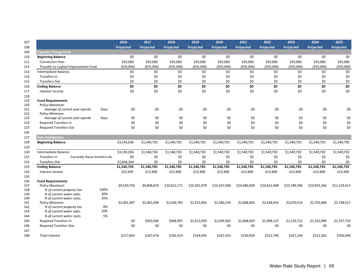|                                                                         | 2016        | 2017        | 2018         | 2019             | 2020         | 2021             | 2022             | 2023             | 2024             | 2025             |
|-------------------------------------------------------------------------|-------------|-------------|--------------|------------------|--------------|------------------|------------------|------------------|------------------|------------------|
|                                                                         | Projected   | Projected   | Projected    | <b>Projected</b> | Projected    | <b>Projected</b> | <b>Projected</b> | <b>Projected</b> | <b>Projected</b> | <b>Projected</b> |
| Capacity Charge Fund                                                    |             |             |              |                  |              |                  |                  |                  |                  |                  |
| <b>Beginning Balance</b>                                                | \$0         | \$0         | \$0          | \$0              | \$0          | \$0              | \$0              | \$0              | \$0              | \$0              |
| <b>Connection Fees</b>                                                  | \$35,000    | \$35,000    | \$35,000     | \$35,000         | \$35,000     | \$35,000         | \$35,000         | \$35,000         | \$35,000         | \$35,000         |
| Trasnfer to Capital Improvement Fund                                    | ( \$35,000) | ( \$35,000) | ( \$35,000)  | ( \$35,000)      | ( \$35,000)  | ( \$35,000)      | ( \$35,000)      | ( \$35,000)      | ( \$35,000)      | ( \$35,000)      |
| Intermediate Balance                                                    | \$0         | \$0         | \$0          | \$0              | \$0          | \$0              | \$0              | \$0              | \$0              | \$0              |
| Transfers In                                                            | \$0         | \$0         | \$0          | \$0              | \$0          | \$0              | \$0              | \$0              | \$0              | \$0              |
| <b>Transfers Out</b>                                                    | \$0         | \$0         | \$0          | \$0              | \$0          | \$0              | \$0              | \$0              | \$0              | \$0              |
| <b>Ending Balance</b>                                                   | \$0         | \$0         | \$0          | \$0              | \$0          | \$0              | \$0              | \$0              | \$0              | \$0              |
| Interest Income                                                         | \$0         | \$0         | \$0          | \$0              | \$0          | \$0              | \$0              | \$0              | \$0              | \$0              |
|                                                                         |             |             |              |                  |              |                  |                  |                  |                  |                  |
| <b>Fund Requirements</b>                                                |             |             |              |                  |              |                  |                  |                  |                  |                  |
| <b>Policy Maximum</b>                                                   |             |             |              |                  |              |                  |                  |                  |                  |                  |
| Average of current year operati<br>Days                                 | \$0         | \$0         | \$0          | \$0              | \$0          | \$0              | \$0              | \$0              | \$0              | \$0              |
| Policy Minimum                                                          | \$0         | \$0         | \$0          | \$0              | \$0          | \$0              | \$0              | \$0              | \$0              |                  |
| Average of current year operati<br>Days<br><b>Required Transfers In</b> | \$0         | \$0         | \$0          | \$0              | \$0          | \$0              | \$0              | \$0              | \$0              | \$0<br>\$0       |
| <b>Required Transfers Out</b>                                           | \$0         | \$0         | \$0          | \$0              | \$0          | \$0              | \$0              | \$0              | \$0              | \$0              |
|                                                                         |             |             |              |                  |              |                  |                  |                  |                  |                  |
| <b>Rate Stabilization</b>                                               |             |             |              |                  |              |                  |                  |                  |                  |                  |
| <b>Beginning Balance</b>                                                | \$3,145,036 | \$1,540,792 | \$1,540,792  | \$1,540,792      | \$1,540,792  | \$1,540,792      | \$1,540,792      | \$1,540,792      | \$1,540,792      | \$1,540,792      |
|                                                                         |             |             |              |                  |              |                  |                  |                  |                  |                  |
| Intermediate Balance                                                    | \$3,145,036 | \$1,540,792 | \$1,540,792  | \$1,540,792      | \$1,540,792  | \$1,540,792      | \$1,540,792      | \$1,540,792      | \$1,540,792      | \$1,540,792      |
| Transfers In<br>Currently these transfers do                            | \$0         | \$0         | \$0          | \$0              | \$0          | \$0              | \$0              | \$0              | \$0              | \$0              |
| <b>Transfers Out</b>                                                    | \$1,604,244 | \$0         | \$0          | \$0              | \$0          | \$0              | \$0              | \$0              | \$0              | \$0              |
| <b>Ending Balance</b>                                                   | \$1,540,792 | \$1,540,792 | \$1,540,792  | \$1,540,792      | \$1,540,792  | \$1,540,792      | \$1,540,792      | \$1,540,792      | \$1,540,792      | \$1,540,792      |
| Interest Income                                                         | \$23,429    | \$15,408    | \$15,408     | \$15,408         | \$15,408     | \$15,408         | \$15,408         | \$15,408         | \$15,408         | \$15,408         |
|                                                                         |             |             |              |                  |              |                  |                  |                  |                  |                  |
| <b>Fund Requirements</b>                                                |             |             |              |                  |              |                  |                  |                  |                  |                  |
| Policy Maximum                                                          | \$9,550,750 | \$9,808,874 | \$10,012,171 | \$10,201,078     | \$10,337,598 | \$10,480,928     | \$10,631,408     | \$10,789,396     | \$10,955,266     | \$11,129,413     |
| 100%<br>% of current property tax                                       |             |             |              |                  |              |                  |                  |                  |                  |                  |
| 30%<br>% of current water sales                                         |             |             |              |                  |              |                  |                  |                  |                  |                  |
| 25%<br>% of current water costs.                                        |             |             |              |                  |              |                  |                  |                  |                  |                  |
| Policy Minimum                                                          | \$2,401,487 | \$2,461,098 | \$2,509,783  | \$2,552,850      | \$2,580,154  | \$2,608,820      | \$2,638,916      | \$2,670,514      | \$2,703,688      | \$2,738,517      |
| 8%<br>% of current property tax<br>10%<br>% of current water sales      |             |             |              |                  |              |                  |                  |                  |                  |                  |
| 5%<br>% of current water costs.                                         |             |             |              |                  |              |                  |                  |                  |                  |                  |
| <b>Required Transfers In</b>                                            | \$0         | \$920,306   | \$968,991    | \$1,012,059      | \$1,039,363  | \$1,068,029      | \$1,098,125      | \$1,129,722      | \$1,162,896      | \$1,197,726      |
| <b>Required Transfers Out</b>                                           | \$0         | \$0         | \$0          | \$0              | \$0          | \$0              | \$0              | \$0              | \$0              | \$0              |
|                                                                         |             |             |              |                  |              |                  |                  |                  |                  |                  |
| <b>Total Interest</b>                                                   | \$227,063   | \$187,676   | \$165,414    | \$164,956        | \$167,433    | \$190,959        | \$221,740        | \$267,104        | \$312,263        | \$356,049        |
|                                                                         |             |             |              |                  |              |                  |                  |                  |                  |                  |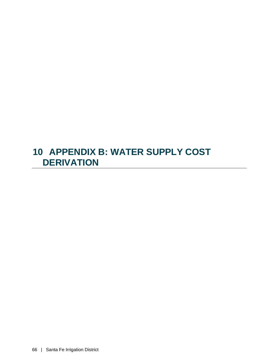## **10 APPENDIX B: WATER SUPPLY COST DERIVATION**